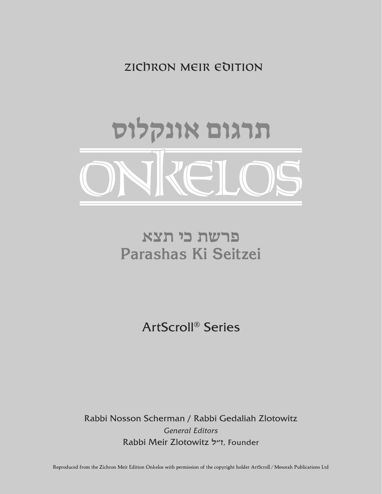zıchron meır edıtıon



# **פרשת כי תצא Parashas Ki Seitzei**

ArtScroll® Series

Rabbi Nosson Scherman / Rabbi Gedaliah Zlotowitz *General Editors* Rabbi Meir Zlotowitz ז״ל*,* Founder

Reproduced from the Zichron Meir Edition Onkelos with permission of the copyright holder ArtScroll / Mesorah Publications Ltd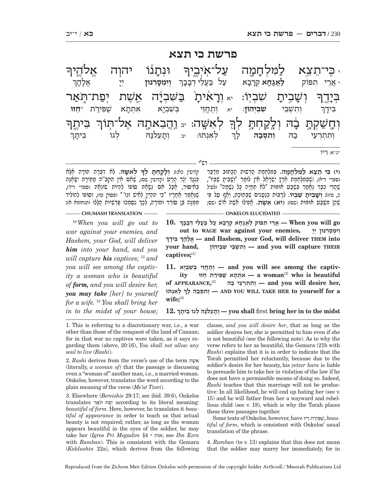### **פרשת כי תצא**

רש"י <u>.</u><br>-1 .<br>ค' ױָהַנֿ ָז<sup>ְנוֹ</sup> יהוְה אֱלֹהֶיךּ ִי כִּי־תֵצִא לַמִּלְחָמֶה עַלְ־אִיְבֶיךָ .<br>-<br>1 וְשָׁ $\ddot{}$ ּµבִיתָ *יֹו* ֹשְׁבְיְוֹ: <sub>יא</sub> וְרָא<sup>ָ</sup> ־אָנ<u>ּ</u>ך יתָ בַּשָּׁבְיָ<del>ּ</del> יָה אֵשֶׁת יְפַת־תְּ**ֹא**ַר ְבּי-י<br>דה .<br>-<br>1 <mark>ֶ</mark><br>בִּיתֱךְ ָ לְאִשֶּׁה: <sub>יִ נ</sub>ַהֲבֵאתֶה אֶל־תִּוֹךְ  $\overline{a}^{\overline{1}}$ <u>ֿוְחָשַׁקְתָ</u> בָֿ ּבָה וְלֵקַחְתָּ לְךָ ְ **וְיִמְסֵרְנּוּן** יִי אל- ה- ך תפּוֹק **אַגָהָא** קְרָבָ<sup>י</sup> א עַל בַּעֲלֵי דְבָבָךְ ְ ְו ִת ְשֵׁבּי **ִשׁ ְבְיהוֹן**: יא ְוֶתֱחֵז ְ י בּ ִשְׁבי ִ - $\kappa$  אתתא  $\dot{\mathbf{w}}$ פירת בִּידָך ְ ֿ לְאִנְתּוּ: יב וְתָ*נ* ַנִעֵלְנַהּ לְגוֹ בִיתָ ביתר ְו ִת ְתְרֵעי ב הּ **ְו ִת ְסּב** ותסבה ן<del>,</del> \*נ"א: ֵ ריו

| קדושין כא:): וְלַקֲחָתָ לְךָ לְאִשָּׁה. לֹא דְבָּרָה תוֹרָה אֱלָא                | (י) <b>בִּי הֵצֵא לַמְלִחֲמָה.</b> בִּמְלָחֲמֶת הָרָשׁוּת הַכָּתוּב מִדַּבֵּר       |
|----------------------------------------------------------------------------------|-------------------------------------------------------------------------------------|
| כְּנֵגֵד יָלֶר הַרֲע וקדושין שִׁס), שֶׁחָם חֶין הקב"ה מַתְּירָהּ יִשָּׂחֲנָה     | וספרי ריא), וֹשֶׁבְּמִלְחֶמֶת אֶרֶץ יִשְׂרָאֵל אֵין לוֹמַר "וְשָׁבִיתָ שִׁבִּיוֹ",  |
| בְּאִיִּסְוּר, אֱבַל אָם נְשָׂאָהּ סוֹפוֹ לְהָיוֹת שֹוֹנְאָהּ וִסְפְרִי רִידְ),  | ֹשֶׁהֲרֵי כִבָר גַּאֲמַר בָּשֶׁבַּט אוּמּוֹת "לֹא תִחֲיֵּה כָּל נִשָּׁמָה" ולטיל    |
| שֶׁכֶּחֱמַר אַתֲרָיו "כִּי תִהְיֶיֶן לְחִישׁ וגו'" (פסוק טו), וְסוֹפוֹ לְהוֹלִיד | כֹ, מּז): וְשָׁבִיתָ שִׁבְיוֹ. לְרַבּוֹת כְּנַטֲנִיִם שֶׁבְּתוֹכָהּ, וְאַף טַל פִּי |
| מִמֵּנַה בֵּן סוֹרֶר וּמוֹרֶה, לְכַךְ נִסְמְכוּ פַּרְשְׁיוֹת הֲלֵלוּ ותנחומא א): | ֹשֶׁהַן מִשֵּׁבַּט אוּמוֹת (שִׁם: (יֹא) אֵשֵׁת. אֲפִילוּ אֶשֶׁת אִישִׁ (שִׁם;       |
|                                                                                  |                                                                                     |

<sup>10</sup> *When you will go out to war against your enemies, and Hashem, your God, will deliver him into your hand, and you will capture his captives;* <sup>11</sup> *and you will see among the captivity a woman who is beautiful of form, and you will desire her, you may take [her] to yourself for a wife.* <sup>12</sup> *You shall bring her in to the midst of your house;* 

**10. ְ go will you When — ֲאֵר ִ י ת פּוֹק לֲאָגָח ְא קָרָב א ע ל בֲּעֵל ְ י דָבָבך ְ ְ וִי ְמָסִר ְ נּוּן יָי ,enemies your against war WAGE to out ְ ִ בּ ָידך הךָ לָאֱ — and Hashem, your God, will deliver THEM into THEIR capture will you and — ְו ִת ְשֵׁבּ ִ י שׁ ְבְיהוֹן ,hand your captives;**[1]

 $\mathbf{v} = \mathbf{v}$  **a** woman<sup>[2]</sup> who is beautiful **captiv the among see will you and — ְוֶתֱחֵז ְ י בּ ִשׁ ְבָיא 11. of APPEARANCE, ,her desire will you and — ְו ִת ְתְרֵע י בהּ** [3] **ְ ְ ל ִאְנתּוּ לך הּ ָ בסְּ תִ וְ — AND YOU WILL TAKE HER to yourself for a**  wife:[4]

**12. ְ midst the to in her bring** first **shall you — ְוָתֵע ִלנּ ְהּ ל ֵ גוֹ ב ָיתך**

1. This is referring to a discretionary war, i.e., a war other than those of the conquest of the land of Canaan; for in that war no captives were taken, as it says regarding them (above, 20:16), *You shall not allow any soul to live* (*Rashi*).

2. *Rashi* derives from the verse's use of the term שׁתֶאֵ (literally, *a woman of*) that the passage is discussing even a "woman of" another man, i.e., a married woman. Onkelos, however, translates the word according to the plain meaning of the verse (*Me'at Tzori*).

3. Elsewhere (*Bereishis* 29:17; see ibid. 39:6), Onkelos translates יפָת תּאֵר *beautiful of form*. Here, however, he translates it *beautiful of appearance* in order to teach us that actual beauty is not required; rather, as long as the woman appears beautiful in the eyes of the soldier, he may take her (*Igros Pri Megadim* §4 י אות ;see *Ibn Ezra*  with *Ramban*). This is consistent with the Gemara (*Kiddushin* 22a), which derives from the following

clause, *and you will desire her*, that as long as the soldier desires her, she is permitted to him even if she is not beautiful (see the following note). As to why the verse refers to her as beautiful, the Gemara (21b with *Rashi*) explains that it is in order to indicate that the Torah permitted her reluctantly, because due to the soldier's desire for her beauty, his *yetzer hara* is liable to persuade him to take her in violation of the law if he does not have a permissible means of doing so. Indeed, *Rashi* teaches that this marriage will not be productive: In all likelihood, he will end up hating her (see v. 15) and he will father from her a wayward and rebellious child (see v. 18), which is why the Torah places these three passages together.

Some texts of Onkelos, however, have ריו תֵ יר פִּ שׁ , *beautiful of form*, which is consistent with Onkelos' usual translation of the phrase.

4. *Ramban* (to v. 13) explains that this does not mean that the soldier may marry her immediately, for in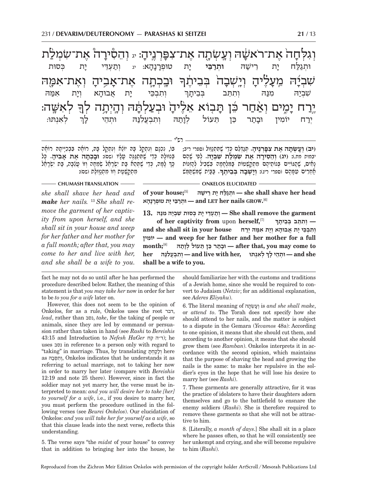**וְגִלְחָ** ֶזה אֶת־רֹא*ש* ה ועשתה את־צפּ ניה: יג **וְהֵסִירָ** ה את־שמלת .<br>ค. ּוּבְׁכְתָה אָת־אָ ַזְבִיהָ וְ **וְאָת־אִמָּה** ֿשָׁבְיַ<del>ּ</del> יָה<sub>ָ</sub> מֵעָ*ּבֶ* ּגִלֶּיהָ וְ **יְיִשְׁבָ** בֵׁנִי בֹּבֵיתֶׁבּ ָ לְאִשֶּׁה: .<br>ก יֶרַח י<sub>ָ</sub> ְמֶים וְאַחַר כֵּן תָּנ ֿיבׂוָא א<del>ַ</del>לֶּיד יהָ וּבְעַלְהָ תָּה וְהָיְתָה לְךָ וּתְגַלַּח יָת ו יַת רֵישַׁה **וּתִרַבִּי ַיבֵּי י**ָת טוּנ ָת טוּפְרָנ<u>ָ</u>הָ **א: יג וְתַעְדֵי יָת** נ ת כּסוּת ותבכי ית אבוּהא א וְיָת א ת אמּ הּ שִׁבְיַה מִנַּה וְתִתֵּב בְּבִיתָ בּבִיתַך ְ ְל ִאְנתּוּ: יִרַח יוֹמִין וּבַתַר ָנְת כֵּן תֵעוֹל לְנָ ָיָמַה וְתִבְעֲלִנַּהּ וּתְהֵי לָ ן<del>,</del>

 **he shall shave her head** – **וֹתְגַלַּח יָת רֵישָׁהּ** (shall shave her head **.GROW nails her LET and — ְוּתרֵבּ ָי י ְ ת טוּפָרָנָהא** [6]  **90. יְתֵעֲדִּי** יָת כִּסוּת שִׁבְיַהּ מִנֵּהּ 13. She shall remove the garment **of her captivity from** upon **herself,**[7] **ְ — ְו ִתֵתּ ְ ב בֵּב ָיתך ְ ו ִת ְבֵכּ ָ י י ֲת א ָבוּה ְא וָי ִת אמּ ְהּ ירח house your in sit shall she and יוֹמין ִ — and weep for her father and her mother for a full to inter frace** וּבְתַּר כֵּן תֵּעוֹל לְוָתָהּ<br>**after** that, you may come to **CHUMASH TRANSLATION ONKELOS ELUCIDATED**  *she shall shave her head and make her nails.* 13 *She shall remove the garment of her captivity from upon herself, and she shall sit in your house and weep for her father and her mother for*  **ְ (יב) וע ְ שׂת ֶ ה א ִת צפְּ רֶנ ָיה.** ְתּגְדֵּל ְם כֵּד ֶ י שִׁתּ ְתנֵוּול (ספרי ריב; יבמות מח.): **ְ (יג) וֵה ִסיר ֶ ה א ִ ת שׂ ְמל ִ ת שׁ ְבי הּ.** ְלִפ ֶ י שֵׁהם **ָ .** בּ בִּ י ֶ ת שִׁמּ ְשׁתֵּ מּשׁ ָנ ִא ֶ ים, שׁה ִ גּוֹיּ ְ ים בּ ֵ נוֹת ֶיה ִ ם מ ְתקְ שּׁטוֹת בִּ מְּלָחָמ ִ ה בְּשִׁב ְ יל להְ זנוֹת אֵ חִר ִ ים עָמֶּהם (ספרי ריג): **ְוי ְ שׁב ְ ה בֵּב ֶיתך** ְבּוֹ, נִכְנָם וְנִתְקַל בָּהּ יוֹגֵׁא וְנִתְקָל בָּהּ, רוֹאֶה בִּבְּכִיָּיתָהּ רוֹאֶה<br>בִּנְוּנְלָהּ כְּדֵי שֶׁתְּתְגֲנֶה טֲלֵיו (שִׁם): **וּבַבְּרֵוּה אֵת אַבְיּדָ**ז. כָּל כָּךְ לָמָה, כְּדֵי שֶׁתְּהֵא בַּת יִשְׂרָחֵל שְׂמֵתָה וְזוֹ טֲגַבָּה, בַּת יִשְׂרָחֵל<br>מִתַּקְשֵׁטָת וְזוֹ מִתְגַוּוֹלֵת ושׁם): רש"י

 **ְ ל ִאְנתּוּ ,her with live and — ְו ִת ְבֲע ִלנּהּ her she and — ְוּתֵה ָ י לך shall be a wife to you.** *a full month; after that, you may come to her and live with her, and she shall be a wife to you.* 

fact he may not do so until after he has performed the procedure described below. Rather, the meaning of this statement is that *you may take her* now in order for her to be *to you for a wife* later on.

However, this does not seem to be the opinion of Onkelos, for as a rule, Onkelos uses the root דבר, *lead*, rather than נסב, *take*, for the taking of people or animals, since they are led by command or persuasion rather than taken in hand (see *Rashi* to *Bereishis*  43:15 and Introduction to *Nefesh HaGer* קח ה"ד ;(he uses נסב in reference to a person only with regard to "taking" in marriage. Thus, by translating תּחְ קלוְ here as וְתִסְּבָהּ, Onkelos indicates that he understands it as referring to actual marriage, not to taking her now in order to marry her later (compare with *Bereishis* 12:19 and note 25 there). However, since in fact the soldier may not yet marry her, the verse must be interpreted to mean: *and you will desire her to take [her] to yourself for a wife*, i.e., if you desire to marry her, you must perform the procedure outlined in the following verses (see *Beurei Onkelos*). Our elucidation of Onkelos: *and you will take her for yourself as a wife*, so that this clause leads into the next verse, reflects this understanding.

5. The verse says "the *midst* of your house" to convey that in addition to bringing her into the house, he should familiarize her with the customs and traditions of a Jewish home, since she would be required to convert to Judaism (*Netziv*; for an additional explanation, see *Aderes Eliyahu*).

**ְ**

6. The literal meaning of תהשְׂ עוְ is *and she shall make*, or *attend to*. The Torah does not specify how she should attend to her nails, and the matter is subject to a dispute in the Gemara (*Yevamos* 48a): According to one opinion, it means that she should cut them, and according to another opinion, it means that she should grow them (see *Ramban*). Onkelos interprets it in accordance with the second opinion, which maintains that the purpose of shaving the head and growing the nails is the same: to make her repulsive in the soldier's eyes in the hope that he will lose his desire to marry her (see *Rashi*).

7. These garments are generally attractive, for it was the practice of idolaters to have their daughters adorn themselves and go to the battlefield to ensnare the enemy soldiers (*Rashi*). She is therefore required to remove these garments so that she will not be attractive to him.

8. [Literally, *a month of days*.] She shall sit in a place where he passes often, so that he will consistently see her unkempt and crying, and she will become repulsive to him (*Rashi*).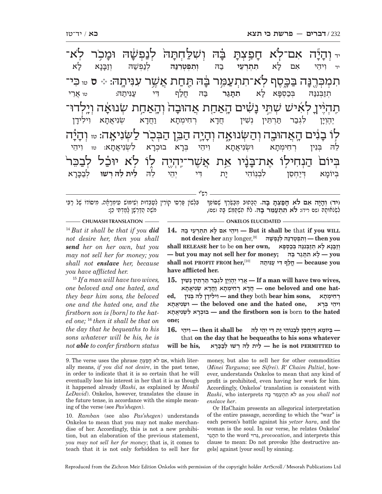יד <mark>וְ ה</mark>ָ ֓֓֓֓֓׆֧֪֬֓֓֓֓֓֓֓֓<br>׆ֺֺ יִיָּה אִם־לְֹא חָ <u>ٙ</u>ׂıڟٙڂڟٙٙؖڂ ּבָה וְשָׁלַחְתָּה<sub>ֹ</sub> לְנַפְשָׁ שָׁה<sub>ּ</sub> וּמָכְ יִכְר לְא־; <u>ֲ</u>תַכְּרֶנ א־תתעמר בּה X ר בּ Wהּ תּח ֲ ת אשׁ ִ V ר עִנּית7 הּ: ♪ **<sup>ס</sup>** טו ִכּי־ הٚ בֹוּבְיֶיךָ ָלְאִישׁ שְׁתֵ*ּי נָשׂ* שים האחת אהוּבה והאחת נוּאָה וְיֶלְדוּ־ ּלְוֹ בָ נְגִים הָאֲהוּבֶה וְהַשְּׂנוּאֶה וְהָיָה הַבֵּן הַבְּכֹר לַשְּׂנִיאָה: <sub>ײ</sub>ַוְהָ ֓֒֓֓֓֓׆֧<del>֛</del><br>׆ׇ יִלְה בְּיוֹםׂ הַנְחִילְוֹ אֶת־בָּ ׇׇ֧֧֘֓<u>֚֓</u>֓׆֬֬֬֬֓֬֓֬֓֓ נִ*ּׂיָיו אֵמ אֲשֶׁר־יִ*יְהְיֶה לֶוֹ לְֹא יוּכַׁל לְבַבֵּר יד ִו ֵיה ִ י אם ל- א **ִת ְתְרֵעי** ב הּ **ְו ִת ְפ ְטִרנּ ּה לְנַפְשַׁה וְזַבָּ** ثة ذ א תְזַבְּנִנּ**ּהּ בְּכַסְפָּ** א לָ תת**גר ָר בַה חֲלַף דִי עַנִּיתַה: טו אֲרֵי** יֶהוִין תֵרתֵּין נִשְׁין חֵדֵא רחימתא  $N$ וַחֲד א שְׂנִיאֲתָא וִילִידָ ן<br>, בִּנִין רִחִימַתַא וּשְׂנִיאֲתָא וִיהֵי בִּרַא בוּכִרַא א לִשְׂנִיאֲתָא: <sub>טז</sub> וִיהֵי בִּיוֹמַא דְיַחְסֶן א דְיַיַחְסֵן לִבְנְוֹהִי יָת ו ת דּ ְ י יֵה ֵ י להּ **ֵל ֵ ית ל ְהּ רשׁוּ** ְלב כּ- ר-א

רש"י

ָ ָ(יד) וְהָיַה <mark>אִם לֹא חָפַצְתָּ בָּהּ.</mark> הַכָּתוּב מְבַשֶּׂרְךָ שֶׁסוֹפְךָ – בִּלְשוֹן פַּרְסִי קוֹרִין לְטַבְדוּת וְשִׁימוּש טִימְרָאָה. מִיסוֹדוֹ שֶׁל רַבִּי<br>לשׂנֹאותה (שם ריד)**: לֹא תתעמר ב**ּהּ. לֹא תשתמש בּהּ (שם). לִשְׂלֹוֹתַהּ ושם ריד)**: לֹא תִתְעֲמֵר בֵּה.** לֹח תְשְׁתַּמֵּשׁ בַּהּ ושִם),

#### **CHUMASH TRANSLATION - <b>CHUMASH TRANSLATION** - **CHUMASH** TRANSLATION

<sup>14</sup> *But it shall be that if you did not desire her, then you shall send her on her own, but you may not sell her for money; you shall not enslave her, because you have afflicted her.*

<sup>15</sup> *If a man will have two wives, one beloved and one hated, and they bear him sons, the beloved one and the hated one, and the firstborn son is [born] to the hated one;* <sup>16</sup> *then it shall be that on the day that he bequeaths to his sons whatever will be his, he is not able to confer firstborn status*  **WILL you if** that **be shall it But — ִו ֵיה ִ י א ָ ם ל ִא ת ְתְרֵע י בהּ 14. • 
<b>hen** you – **hen** you – *l***en** 

**P** וְזָבְּנָא לָא תִזְבְּנִנָּהּ בִּכְסְפָּא , shall RELEASE her to be on her own **— but you may not sell her for money; בּהּ ר גתָּת אִ לָ — you <u>phene</u> decause wou – חֵלַף דִּי עַנִּיתַהּ — because you have afflicted her.**

 $\bf{15.}$  אֵרֵי יֵהֵוְיָן לְגִבַּר תַּרְתֵּין נִשְׁין **15.**  $\bf{15.}$  **A**  $\bf{16.}$  a man will have two wives, חֲדָא רְחִימְתָא וַחֲדָא שְׂנִיאֲתָא ne beloved and one hat-<br>רְחִימְתָא — and they both bear him sons, רְחִימְתָא **ִ ו ֵיה ְ י בָּרא ,one hated the and one beloved the — ְוּשִׂנ ֲיאָתא תאָיאֲ נִשְׂ ל אִ רָבוּכְ — and the firstborn son is** born **to the hated one;**

16. ייהי - then it shall be ויהי לבנוֹהי ית די יהי לה - then it shall be that **on the day that he bequeaths to his sons whatever he is not PERMITTED to** לִית לָהּ רְשׁוּ לִבְּכָּרָא — he is not PERMITTED to

9. The verse uses the phrase תּפְצְהּ, which literally means, *if you did not desire*, in the past tense, in order to indicate that it is so certain that he will eventually lose his interest in her that it is as though it happened already (*Rashi*, as explained by *Maskil LeDavid*). Onkelos, however, translates the clause in the future tense, in accordance with the simple meaning of the verse (see *Pas'shegen*).

10. *Ramban* (see also *Pas'shegen*) understands Onkelos to mean that you may not make merchandise of her. Accordingly, this is not a new prohibition, but an elaboration of the previous statement, *you may not sell her for money*; that is, it comes to teach that it is not only forbidden to sell her for

money, but also to sell her for other commodities (*Minei Targuma*; see *Sifrei*). *R' Chaim Paltiel*, however, understands Onkelos to mean that any kind of profit is prohibited, even having her work for him. Accordingly, Onkelos' translation is consistent with  $Rashi$ , who interprets לֹא תִתְעַמֵּר בָּהּ as you shall not *enslave her*.

Or HaChaim presents an allegorical interpretation of the entire passage, according to which the "war" is each person's battle against his *yetzer hara*, and the woman is the soul. In our verse, he relates Onkelos' גרתּתִ to the word גּרוּיֵ, *provocation*, and interprets this clause to mean: Do not provoke [the destructive angels] against [your soul] by sinning.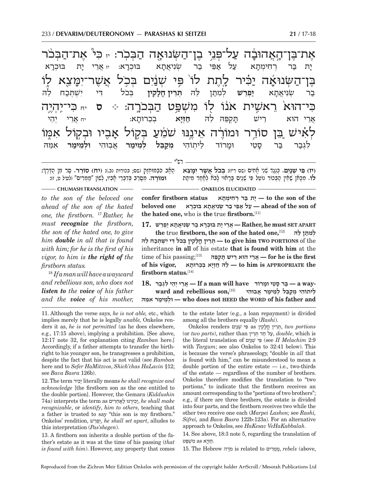אָת־בָּן־הָאֲהוּבָ<mark>ׁ</mark> פּני בן־השׂנוּאה הבכר: <sub>יז</sub> כּיֹ את־הבכו בֶּן־<u>ה</u>שְׂנוּאָ נוּאָה יַבִּיר לֶתֶת לוֹ פִּי שְׁנַּיִם בְּכִל אֲשֶׁר־יִמָּ יצֵא לְוֹ $\mu$ כִּי־הוּא<sup>ֹ</sup> רֵאשִׁית אֹנוֹ לֻוֹ מִשְׁפֵּט הַבְּכֹרֶה: ⊹ ס לְאִישׁ כֵּ֣ן סוֹרֵ֣ר וּמוֹרֶ֔ה אֵינֶנּוּ שֹׁמֵ֫עַ בְּקוֹל אָ ַזַּבָיו וּבְקַוֹּל אָמֶוֹ י-ת בַּר רְחִימְתָ אִפֵּי בַר שִׂנִיא<u>ַת</u>א בּוּכרא: א: יז אֲרֵי יָת בּוּנ<mark>ְ</mark> יַת  $\aleph$ ַבַר *שְׂ*נִיאֲתָ א **י ְ ִפְרֵשׁ לְמִתַּן לֵהּ תְּרֵין חֲלָקִין** בְּבֹל דִי יִשְׁתְּבַח לֵה אֲרֵי הוּא רֵישׁ תָּ תַקִפֶּה לֵהּ **חַזְיַא** בִכְרוּתַא: א: יח ֲאֵר ְ י יֵהי לִגְבַר בַּר סָ סטי וּמרוֹד ליתוֹהי מ**כבל בּ ְ ל לֵמימ אבוּהי ר** ִאֵמּהּ

רש"י

ַ<br>הָאָב כִּבְמוּחְזָק (שם; בכורות נב.)**: (יח) סוֹרֵר. סְר מִן** הַדֶּרֶךְ:<br>**וֹמוֹרה.** מסרב בדברי אביו. לשוֹן "ממרים" (לעיל ט. ז)**:** 

**ִ (יז) פּ ְ י שׁנִ ים.** ְכֶּנֶג ְד שֵׁני אִ חים (שם ריז): **ְבּ ֹכ ֲל א ֶשׁ ִר ימֵּ צא לוֹ.** מִכָּאֿן שֵׁאֵין הַבִּכוֹר נוֹטֵל פִּי שָׁנֵיִם בָּרָאוּי לָבֹא לְאַחֲר מִיתַח

#### **CHUMASH TRANSLATION** *CHUMASH TRANSLATION* **CONKELOS ELUCIDATED**

*to the son of the beloved one ahead of the son of the hated one, the firstborn.* <sup>17</sup> *Rather, he must recognize the firstborn, the son of the hated one, to give him double in all that is found with him; for he is the first of his vigor, to him is the right of the firstborn status.*

<sup>18</sup> *If a man will have a wayward and rebellious son, who does not listen to the voice of his father and the voice of his mother,*   **the of son the to — ָי ת בּ ְר ר ִח ְימָתא status firstborn confer beloved one** *על אַפּּי בָר שִׂנִיאֲתָא בּוּכִרָא* **beloved one <b>/ the hated one,** who is **the** true **firstborn.**[11]

**APART SET must he ,Rather — ֲאֵר ָי י ְ ת בּוּכָר א ב ְר שִׂנ ֲיאָת א י ְפֵרשׁ 17.**

**the** true **firstborn, the son of the hated one,**[12] **לּהּ ן ֵ תּמִ ל ְ** the of **PORTIONS TWO him give to — ְתֵּר ֳ ין חָל ִק ְ ין בּ ֹכ ִל דּ ִי י ְשׁ ְתּכ ֵח להּ** inheritance **in all** of his estate **that is found with him** at the  $\bf{r}$  **for he is the first**  $\bf{r}$  אֵרֵי הוּא רֵישׁ תֵּקְפֵּה $\bf{r}$  is the first  **the APPROPRIATE is him to — ֵל הּ חְזָי ְא בֵכ ָרוּתא ,vigor his of firstborn status.**[14]

18. אֲרֵי יְהֵי לִגְבַר If a man will have – בַּר סְטֵי וּמָרוֹד – a way<br>לִיתוֹהִי מִקַבֵּל לְמֵימַר אֵבוּהִי – ward and rebellious son,[15] **מּהֵּא רִ ימ מֵוּלְ — who does not HEED the WORD of his father and** 

11. Although the verse says, *he is not able,* etc., which implies merely that he is legally *unable,* Onkelos renders it as, *he is not permitted* (as he does elsewhere, e.g., 17:15 above), implying a prohibition. [See above, 12:17 note 32, for explanation citing *Ramban* here.] Accordingly, if a father attempts to transfer the birthright to his younger son, he transgresses a prohibition, despite the fact that his act is not valid (see *Ramban* here and to *Sefer HaMitzvos*, *Shich'chas HaLavin* §12; see *Bava Basra* 126b).

12. The term כּירִ י literally means *he shall recognize and acknowledge* [the firstborn son as the one entitled to the double portion]. However, the Gemara (*Kiddushin*  74a) interprets the term as יָכִּירֵנוּ לַאֲחֵרִים , he shall make *recognizable*, or *identify*, *him to others*, teaching that a father is trusted to say "this son is my firstborn." Onkelos' rendition, רשֵׁפְ י, *he shall set apart*, alludes to this interpretation (*Pas'shegen*).

13. A firstborn son inherits a double portion of the father's estate as it was at the time of his passing (*that is found with him*). However, any property that comes to the estate later (e.g., a loan repayment) is divided among all the brothers equally (*Rashi*).

**Onkelos renders פִּי** שְׁנַיִּם as תְּרֵין *n, two portions* (or *two parts*), rather than ריןֵתּ דְ ח ל ע, *double*, which is the literal translation of פִּי שָׁנַיִם (see *II Melachim* 2:9 with *Targum*; see also Onkelos to 32:41 below). This is because the verse's phraseology, "double in *all* that is found with him," can be misunderstood to mean a double portion of the entire estate  $-$  i.e., two-thirds of the estate — regardless of the number of brothers. Onkelos therefore modifies the translation to "two portions," to indicate that the firstborn receives an amount corresponding to the "portions of two brothers"; e.g., if there are three brothers, the estate is divided into four parts, and the firstborn receives two while the other two receive one each (*Marpei Lashon;* see *Rashi, Sifrei,* and *Bava Basra* 122b-123a). For an alternative approach to Onkelos, see *HaKesav VeHaKabbalah*.

14. See above, 18:3 note 5, regarding the translation of חויא as משפּט.

15. The Hebrew רהֶֹמ is related to ריםִמְ מ, *rebels* (above,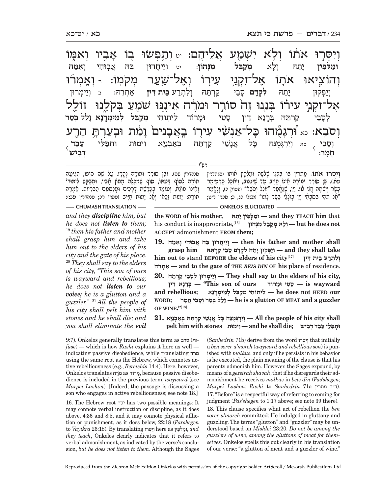וְיִסְּרוּ אֹתוֹ וְלִא יִשְׁמֻע אֲלֵיהֶם: <sub>יִי</sub> וְתָפְשׂוּ בָוֹ אָ אמו וְהוֹצִיאוּ אֹתֶוֹ אֶל־זִקְנֵי עִירָוֹ וְאֶל־שַׁעַר מְקֹמְוֹ: <sub>י</sub> וְאֵמְרֹוּ אָל־זִקְנֵי עִירוֹ בְּנֵנוּ זֶה סוֹרֵר וּמֹרֶה אֵינֶנּוּ שֹׁמֵעַ בְּקֹלֶנוּ ۚ זוֹלֵל **וְסֹבֵא: <sub>כֹּא</sub> וֹּרְגָ** יָמָ<del>ׁהוּ כ</del>ָ יָל־אַנְשֵׁי עִירָוֹ בְאֲבָ ֲנִים<sub>ٰ</sub> וָמֵׁ יָמֵׁת וּבְעַרְתָּ הָ ַיְרֻע **וּמ ְ לּ ִפין** י-יַתֵה וִלַא א **ְמקֵ ַ בְּבֵל מִנְהוֹן:** יט וְיֵיחֲדוּן בֵהּ אֲבְוּהִי וְאִמֵּה ְוי ְ פּקוּן י-ֵ תהּ **ִל ְקד ם** ס-ֵ בי קְ רֵתּ ְ הּ ו ִל ְתרע **ֵבּית ִדּין** א ְ תֵרהּ: <sup>כ</sup> ְוֵי ְימרוּן לְסָ קַרְחֵה ברנא דין סטי וּמֵרוֹד רוֹד ל ֽית ִוֹהי **ְמקֵ ְיְבֵל לְמֵימְרֶנָא ז**ָ ֵ לל **ְבּס ר עֵ בד**  $\overline{\langle}$  **ְדּ ִבישׁ** ְוס-גִמִנּהִ כּל אַנַשי קַרְחֵה ימוּת  $\overline{\langle}$ **חמר** 

רש"י

סנהדרין שם) ֵ . וּב ֵ ן סוֹר ֶ ר וּמוֹר ֶה נֱהָרג ע ֵ ל שׁ ִ ם סוֹפוֹ, הִגּ ָיעה ִּתוֹרָה לְסוֹף דַּעְתּוֹ, סוֹף שֶׁמְכַלֶּה מָמוֹן אָבִיו, וּמְבַקֵּשׁ לִימּוּדוֹ<br>וְאֵינוֹ מוֹלֵא, וְעוֹמֵד בְּפָרָשֵׁת דְּרָרִים וּמְלַסְטֵּם הַבְּרִיוֹת. אָמְרָה<br>תוֹרה: יַמוּת זַכַּאי וִאֲל יַמוּת חַיַּיב וספרי רכ; סנהד

**וִיִּסְרוּ אִתוֹ. מַתְרִין בּוֹ בְּפְנֵי שָׁלֹשָׁה וּמֵלְקִין אוֹתוֹ (סנהדרין** ִעּת). בֵּן סוֹרֵר וּמוֹרֵה אֵינוֹ חַיָּיב עַד שֵׁיְּגְנוֹב, וְיֹאכַל תַּרְטֵימַר בָּשֶׂר וְיִשְׁמָּה חֲלִי לוֹג יֵיִן, שֶׁנֶּחֱמֵר "זוֹלֵל וְסֹבֵא" (פסוק כ), וְנֶחֱמַר<br>"אל תּהי בסֹבאי יין בּזֹללי בשֹר למוֹ" (משלי כג, כ; ספרי ריט;

**CHUMASH TRANSLATION** — **CHUMASH TRANSLATION** — **ONKELOS ELUCIDATED** 

*and they discipline him, but he does not listen to them;* <sup>19</sup> *then his father and mother shall grasp him and take him out to the elders of his city and the gate of his place.*  <sup>20</sup> *They shall say to the elders of his city, ''This son of ours is wayward and rebellious; he does not listen to our voice; he is a glutton and a guzzler.''* <sup>21</sup> *All the people of his city shall pelt him with stones and he shall die; and you shall eliminate the evil*

**the WORD of his mother, תהֵּי ין ָ פִ לְּ וּמ — and they TEACH him** that  **not does he but — ְו ָל ְא מקֵבּ ִל מְנּהוֹן** [16],inappropriate is conduct his **ACCEPT** admonishment **FROM them;**

 **i hen** his father and mother shall — יְיֵיחֲדוּן בָּהּ אֲבוּהִי וְאִמֵּהּ  $\blacksquare$  **take shall they and — ְוי ְפּ ָ קוּן יֵת ִהּ ל ְקָד ָם סֵב י קְרֵתּהּ him grasp him out to** stand **BEFORE the elders of his city**[17] **דּין ית ִ בּ עֵ רתְ לִ ו ְ רהֵּתְ א — and to the gate of THE** *BEIS DIN* **OF his place** of residence.  **,city his of elders the to say shall They — ְוֵי ְימ ְ רוּן לָסֵב י קְרֵתּהּ 20.**

 **יְפֵעִי** וּמָרוֹד (is wayward יהוֹד – "This son of ours" – בִּרְנָא דֵין  **•** *A* **chellious; ליתוֹהי מקבּל למימרנא in be does not HEED our guzzler a and MEAT OF glutton a is he — ָזֵל ְל בּס ְר וָסֵב ֲ י חָמר ;WORD OF WINE."**[18]

 **shall city his of people the All — ְוִיְרְגֻּמֵנּ ָהּ כּ ֱל אָנֵשׁ י קְרֵתּ ְהּ בּא ְבנָיּא 21. ְ וּתפֵלּ ָ י עֵב ְד דּ ִבישׁ ;die shall he and — ִוימוּת stones with him pelt**

9:7). Onkelos generally translates this term as סרב) *refuse*) — which is how *Rashi* explains it here as well indicating passive disobedience, while translating מרד using the same root as the Hebrew, which connotes active rebelliousness (e.g., *Bereishis* 14:4). Here, however, Onkelos translates רהֶֹמ as מרוֹד, because passive disobedience is included in the previous term, *wayward* (see *Marpei Lashon*). [Indeed, the passage is discussing a son who engages in active rebelliousness; see note 18.]

16. The Hebrew root יסר has two possible meanings: It may connote verbal instruction or discipline, as it does above, 4:36 and 8:5, and it may connote physical affliction or punishment, as it does below, 22:18 (*Parshegen* to *Vayikra* 26:18). By translating וְיִסְרוּ here as וְמֵלְפִין, and *they teach*, Onkelos clearly indicates that it refers to verbal admonishment, as indicated by the verse's conclusion, *but he does not listen to them*. Although the Sages

(*Sanhedrin* 71b) derive from the word סּרוְּ יִוְ that initially a *ben sorer u'moreh* (*wayward and rebellious son*) is punished with *malkus*, and only if he persists in his behavior is he executed, the plain meaning of the clause is that his parents admonish him. However, the Sages expound, by means of a *gezeirah shavah*, that if he disregards their admonishment he receives *malkus* in *beis din* (*Pas'shegen*; *Marpei Lashon*; *Rashi* to *Sanhedrin* 71a מתרין ה"ד(. 17. "Before" is a respectful way of referring to coming for judgment (*Pas'shegen* to 1:17 above; see note 39 there). 18. This clause specifies what act of rebellion the *ben sorer u'moreh* committed: He indulged in gluttony and guzzling. The terms "glutton" and "guzzler" may be understood based on *Mishlei* 23:20: *Do not be among the guzzlers of wine, among the gluttons of meat for them-*

*selves*. Onkelos spells this out clearly in his translation of our verse: "a glutton of meat and a guzzler of wine."

Reproduced from the Zichron Meir Edition Onkelos with permission of the copyright holder ArtScroll / Mesorah Publications Ltd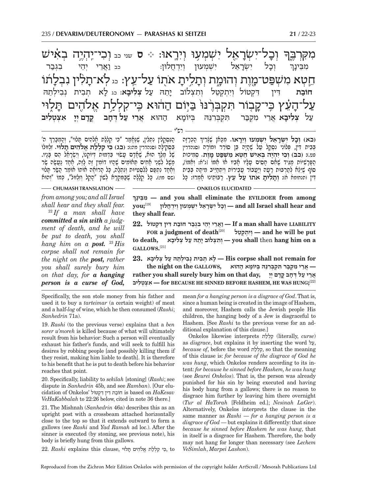.<br>-<br>1 וְבָל־יִ ־ל־יִשְׂרָ י *ישׁמעוּ* ויראוּ: ∻ ס <sub>שני כב</sub> ו ִמִקְּרבּ ך ּ חֵטְא מִשְׁפַּט־מֶוֶת וְהוּמֶת וְתָלִיתָ אֹתֻוֹ עַל־עֵץ: আַלְא־תָל **ֿי**לִין נִבְלָה תוֹ ֿעַל־הָעֵׁ זִעֵּץ כִּי־קָנ<sub>ָ</sub> נּוֹ בּיּוֹם ההוּא כּי לוּי ּ יְכָל יִ ל יִשְׂרָאִ רָאֵל יִשְׁמְעוּן וְיִדְחֲלוּן: כב וַאֲרֵי יְהֵי בִגְבַר ִמֵבּינ- ך **חוֹב ותצלוֹב יתה** ֵ תהּ ע ל **ְצ ִליב א**: כג ל ְ -א תְבִית נְבִילְתֵהּ **ִצְלִיבַא אֵרֵי מִקְבַּר הִקְבְּרִנֵּה** בִּיוֹמָא א ה הוּא **ֲאֵרי ע ל ְדּח ֳ ב קד ם ְיי ִ א ְצ ְט ִליב**

רש"י

.<br>הנסקלין נתלין, שנאמר "כּי קללת אלֹהים תִּלוּי", והמברך ה' ֧֖֖֖֖֖֖֧֚֚֚֚֚֚֚֚֚֚֚֚֝<u>֚</u> הקהן הקהות של האורים.<br>בִּסְקִילָה וסנהדרין מה:: (בג) בי קָלְלַת אֱלֹהִים תָּלוּי. זְלְזוּלוֹ<br>של מלד הוא. שאדם עשוי בדמות דיוקנו. וישראל הם בניו. ּוְחֶׁחָד נִתְפַּס לְלִסְמִיּוּת וְנִתְלָה, כָּל הָרוֹחֶׁה אוֹמוֹ אוֹמֵר הַשַּׂר תָּלוּי<br>(שם מו:). כָּל קְלָלֶה שֶׁבַּמִּחֲרָא לְשוֹן "הָקֵל וְזִלְוּל", כְּמוֹ "וְהוּא של מֶלֶךְ הוּא, שֶׁאֲדָם טָשׂוּי בִּדְמוּת דְּיוֹקְנוֹ, וְיִשְׂרָאֵל הֵם בָּנִיו.<br>מֵשֶׁל לִשְּׁנֵי אֲחִים תִּאוֹמִים שָהֵיוּ דוֹמִין זֶה לָזֶה, אֲחָד נַטֵשֶׂה שַׁר

**ְ**

ְ הְ כָרָזה **ְ (כא) וכ ִ ל י ְשׂרֵ א ִל י ְשׁ ְמ ְ עוּ וִיר אוּ.** ִמָכּ ֶ אן שָׁצִּריך פט.): **ְ (כב) ו ִכ ִ י י ְהֶי ְה ב ִא ֵ ישׁ ח ְט ִא מ ְשׁפּ בְּבֵית דְּין, פִּלוֹנִי נִסְקַל עַל שֶׁהֲיָה בֵּן סוֹרֵר וּמוֹרֵה (סנהדרין** הַפְּרָשִׁיּוֹת מִגִּיד שָׁאָם חַסִים עַלֵּיוּ אֲבִיוּ אוֹ אמּוֹ [נ"א: וְאִמּוֹ], ִדּין (תנחומא א): **ְות ִ לית ֹ אתוֹ ע ֵ ל עץ.** <sup>ר</sup> ֵ בּוֹת ָ ינוּ אְמ ָ רוּ: כּל ֶ סוֹף שֵׁיֵּצ ְא לתְ ר ָ בּוּת רָע ְה ויֲע ֲ בוֹר עֵב ְ ירוֹת וִי ְתחֵ יּ ִ יב מ ָית ְה בֵּבית

**CHUMASH TRANSLATION — CHUMASH TRANSLATION** 

*from among you; and all Israel shall hear and they shall fear.* <sup>22</sup> *If a man shall have* 

*committed a sin with a judgment of death, and he will be put to death, you shall hang him on a post.* <sup>23</sup> *His corpse shall not remain for the night on the post, rather you shall surely bury him on that day, for a hanging person is a curse of God,* **ינךָ בֵּמִ — and you shall eliminate the EVILDOER from among and hear shall Israel all and — ְוָכ ִל י ְשָׂרֵא ִל י ְשׁ ְמ ְ עוּן וִיְדֲחלוּן** [19]**;you they shall fear.**

 **LIABILITY have shall man a If — וֲאֵר ְ י יֵה ִ י ב ְגב ר חוֹב ִת דּ ִ ין דּ ְקטוֹל 22.**

**FOR a judgment of death**[20] **טלֵקְ תְ יִוְ — and he will be put a on hang him on a** – יִתְצְלוֹב יָתֵהּ עַל צְלִיבָא – you shall then hang him on a **GALLOWS.** [21]

 **for remain not shall corpse His — ָל ְא ת ִב ְ ית נ ִב ְילֵת הּ ע ְל צ ִל ָיבא 23. — ֲאֵר ִ י מ ְקבּ ִר תּ ְק ְבִּרֵנּ ְהּ בּ ָ יוֹמ א ההוּא ,GALLOWS the on night the ֲ אֵר י ע ְל דּ ָח ֳב קָד ְם יָי ,day that on him bury surely shall you rather ליבִ טְ צְ אִ — for BECAUSE HE SINNED BEFORE HASHEM, HE WAS HUNG;** [22]

Specifically, the son stole money from his father and used it to buy a *tarteimar* (a certain weight) of meat and a half-*log* of wine, which he then consumed (*Rashi*; *Sanhedrin* 71a).

19. *Rashi* (to the previous verse) explains that a *ben sorer u'moreh* is killed because of what will ultimately result from his behavior: Such a person will eventually exhaust his father's funds, and will seek to fulfill his desires by robbing people [and possibly killing them if they resist, making him liable to death]. It is therefore to his benefit that he is put to death before his behavior reaches that point.

20. Specifically, liability to *sekilah* [stoning] (*Rashi*; see dispute in *Sanhedrin* 45b, and see *Ramban*). [Our elucidation of Onkelos' קטוֹלְדּ ין ִ דּ תִ חוֹב is based on *HaKesav VeHaKabbalah* to 22:26 below, cited in note 36 there.]

21. The Mishnah (*Sanhedrin* 46a) describes this as an upright post with a crossbeam attached horizontally close to the top so that it extends outward to form a gallows (see *Rashi* and *Yad Ramah* ad loc.). After the sinner is executed (by stoning, see previous note), his body is briefly hung from this gallows.

to , ִכּ ִ י ק ְלל ֱת אלֹ ִה ים תּלוּי ,clause this explains *Rashi* 22.

mean *for a hanging person is a disgrace of God*. That is, since a human being is created in the image of Hashem, and moreover, Hashem calls the Jewish people His children, the hanging body of a Jew is disgraceful to Hashem. [See *Rashi* to the previous verse for an additional explanation of this clause.]

Onkelos likewise interprets לתלְ קִ) literally, *curse*) as *disgrace*, but explains it by inserting the word על, *because of*, before the word לתלְ קִ, so that the meaning of this clause is: *for because of the disgrace of God he was hung*, which Onkelos renders according to its intent: *for because he sinned before Hashem, he was hung* (see *Beurei Onkelos*). That is, the person was already punished for his sin by being executed and having his body hung from a gallows; there is no reason to disgrace him further by leaving him there overnight (*Tur al HaTorah* [Feldheim ed.]; *Nesinah LaGer*). Alternatively, Onkelos interprets the clause in the same manner as *Rashi* — *for a hanging person is a disgrace of God* — but explains it differently: that since *because he sinned before Hashem he was hung*, that in itself is a disgrace for Hashem. Therefore, the body may not hang for longer than necessary (see *Lechem VeSimlah*, *Marpei Lashon*).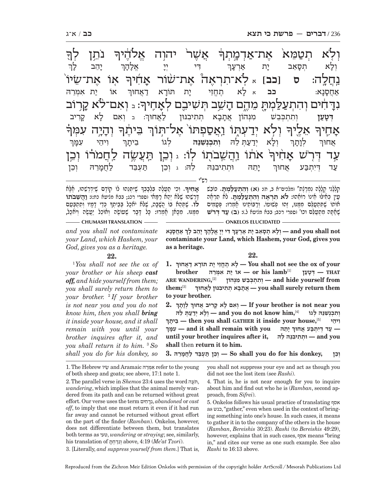רש"י ֖ <u>ุ</u><br>ค -<br>-<br>|-ּ *נִ*תֵן לְךָ ַ אֲשָׁר' יהוה אֱלֹהֶיך .<br>ค. מֹא אָת־ .<br>ר `אָוֹ אֶת־שׂיוֹ $\mu$ נַחֲלֶה: ס <mark>[כב</mark>] <sub>א</sub> לֹא־תִרְאֶה ۚ אֶת־שׁׂוֹר אָדִ לׁ הוגב י<br>זהיך אם קרוֹב<del>ּ,</del> **ֹּנְדָ** דָ ים והתעלמת מהם השב תּשיבם ֗ .<br>-<br>Fl  $\Rightarrow$  ְ וה-ֿיִיָה עִמְּךֹ ְ ֵ בּ ֶ֔יתך -<br>-<br>1 תו ואספתו אל־תּוּך .<br>-<br>ר אַלֵיך א-أبان<br>1⊔**ب**ك אֹתוֹ וַהֲשֵׁבֹתָוֹ לְוֹ: ג וְכֵן תַּעֲשֶׂה לַחֲמֹרוֹ וְכֵן .<br>ה ֿעַר דְּרָשׁ אָד ترابر ׅ֧֧֧֢ׅ֧֓֝֬֓֓<u>֓</u> י<br>י-<br>י-יהב ך  $\sum_{i=1}^{n}$  יוֹד $\sum_{i=1}^{n}$  אל- ה- ך וְלָא וִ א תְסָאֵב י<sub>ָ</sub> ת אַרְעָ ך ֿוֹ אוֹ יַת אִמְרֵה אַחֲסָ נ-.<br>א: **כב** א לָא י תחוי ית ָת תּוֹרָא דַאֲחוּךְ ְ : <sup>ב</sup> ְו ִאם ל-א ק-ִ ריב **ְדּט ע** ותתכבש מנהו<del>ו</del> אתבא תתיבנּוּן לַאַחוּךָ: ׇׅ֧֖֖֖֖֖֖֖֖֖֖ׅ֖ׅ֪ׅ֪֧֖֧֧֚֚֚֚֚֚֚֚֚֚֚֚֚֚֚֚֓֝֬֓֓֞֓֝֓֓֝֬֓֞֓֝֬֓֝֬֝֬ ָ<br>יִ יִיהֵי עִמָּ  $\mathcal{I}$ ְ ְול ְ -א יד ע ְ תּ ֵ להּ **ְו ִת ְכְנ ִשֵׁנּהּ** ְל ֵ גוֹ בית- ך ְ ְלו- ת- ך ֲאחוּך ְ י-יַתֵה וּתִתִיבְנֵה לֵהּ: וִכֶן לַחֲמַרֵהּ וְכֵן עד דיתבע אחוּף

ָ ֶ שִׁיּ ְתֵּנ ֶ הוּ לוֹ קוֹד ֶ ם שִׁיְּדְרֵשׁ ֶ הוּ, אָלּא **.** ְו ִכי תֲ עֶל ִ ה בְּלָבְבך **א ִ חיך ָ**ָהָבְיִהַ דְּרָשׁבֹתוֹ (סִא רַיִּמְא יוֹ הַיִּדְיָם יִת יֹתְבֶּי שָׁיִה יִתְשָׁבֹתוֹ<br>דֶּרְשָׁהוּ שֶׁלֹּא יְהֵא רַיַּמְא וֹספרי רכג; בבא מניעא כח:): **וַהֲשֵׁבֹתוֹ**<br>לוֹ. שִׁתְּהֹא בּוֹ הַשִּׁבֹּה, שַׁלֹּא יוֹאכל בּביתַךְ כִּ **לוֹ.** שִׁתָּהַתُ בּוֹ הֲשָׁבָּה, שֵׁלֹּתُ יֹתְכַל בִּבֵּיתָךְ כְּדֵי דָמָיו וְתִתְבָּטֵם מִמֶּנּוּ. מִכָּאֿן אָמְרוּ: כָּל דָּבָר שֶׁעוֹשֶׂה וְאוֹכֵל יַעֲשֶׂה וְיֹאכַל,

עִ י ְ ן כִּא ֵ ילּוּ א ֵ ינוֹ רוֹאהוּ: **לֹ ִא תְרֶא ְה ו ִה ְתע לּ ְ** <mark>מְלָלַיִי קְלָלָה נִמְרֶגֶת" ומלכים־א ב, ח): (א) וְהִתְעַלַּמְתָ. כּוֹבֵשׁ<br>טיו כּאילוּ אינו רוֹאהוּ: **לֹא תראה והתעלמת.** לא סראה</mark> שְׁאָה מִתְטַלֵּם וכו' (ספרי רכב; בבא מליטא ל.)**: (ב) עַד דְרֹש חׁוֹתוֹ שֵׁתִּתְטַלֵּם מִמֵּנּוּ, זֵהוּ פִשׁוּטוֹ. וְרַבּוֹתֵינוּ חָמִרוּ: פִּטָמִים** 

- CHUMASH TRANSLATION ——————————————————— ONKELOS ELUCIDATED -

*and you shall not contaminate your Land, which Hashem, your God, gives you as a heritage.*

#### **22.**

1  *You shall not see the ox of your brother or his sheep cast off, and hide yourself from them; you shall surely return them to your brother.* <sup>2</sup>  *If your brother is not near you and you do not know him, then you shall bring it inside your house, and it shall remain with you until your brother inquires after it, and you shall return it to him.* <sup>3</sup>  *So shall you do for his donkey, so* 

**ְ אֲחָסָנא ָ יֵה ָב לך ִ דּ ְי יָי ֱ אָל ָהך not shall you and — ְו ָל ְא תָסֵא ָב י ת אְרָעך ְְcontaminate your Land, which Hashem, your God, gives you as a heritage.**

**22.**

**1. ְ your of ox the see not shall You — ָל ֶא תֱחֵז ָ י י ָ ת תּוֹר א דֲאחוּך Prother ARE X HAT 2 A** *<b>i* **3 A** *<b> PHAT Prother A x <i>n x <b> b <i>x n n n n n n n n n n n n n n n n n n* **ARE WANDERING, from yourself hide and — ְו ִת ְת ְכֵּב ִשׁ מְנּהוֹן** [2] **them;**[3] **ְ them return surely shall you — ֲאָתָב ְא ת ִת ִיב נּוּן לֲאחוּך to your brother.**

**2. ְ ְ לָוָתך you near not s i brother your If — ְו ִא ָ ם ל ָא קִר ֲ יב אחוּך ְְ וְתִרְנְשְׁנֵּהּ לְגוֹ** and you do not know him,<sup>[4]</sup><br>ווּ — then you shall GATHER it inside your house.<sup>[5]</sup> **יתךָ בֵ — then you shall GATHER it inside your house,**[5] **יהיֵ ו ִ ְ מּךָעִ — and it shall remain with you תהֵּי ָ ְ — ע ְד דִּי ְתבּ ֲע אחוּך until your brother inquires after it, להּ הֵּ נֵּיבִ תִ וּתְ — and you shall** then **return it to him.**

**ְ וֵכן ,donkey his for do you shall So — ְוֵכ ן תּ ְעֵבּ ד לֲחָמֵרהּ 3.**

1. The Hebrew שׂיוֵֹ and Aramaic רהֵּמְּ אִ refer to the young of both sheep and goats; see above, 17:1 note 1.

2. The parallel verse in *Shemos* 23:4 uses the word עהֶתֹּ , *wandering*, which implies that the animal merely wandered from its path and can be returned without great effort. Our verse uses the term חיםִ דּנִ, *abandoned* or *cast off*, to imply that one must return it even if it had run far away and cannot be returned without great effort on the part of the finder (*Ramban*). Onkelos, however, does not differentiate between them, but translates both terms as טעי, *wandering* or *straying*; see, similarly, his translation of תּחְ דּנִוְ above, 4:19 (*Me'at Tzori*). 3. [Literally, *and suppress yourself from them*.] That is, you shall not suppress your eye and act as though you did not see the lost item (see *Rashi*).

4. That is, he is not near enough for you to inquire about him and find out who he is (*Ramban*, second approach, from *Sifrei*).

5. Onkelos follows his usual practice of translating אסף as כנש," gather," even when used in the context of bringing something into one's house. In such cases, it means to gather it in to the company of the others in the house (*Ramban*, *Bereishis* 30:23). *Rashi* (to *Bereishis* 49:29), however, explains that in such cases, אסף means "bring in," and cites our verse as one such example. See also *Rashi* to 16:13 above.

Reproduced from the Zichron Meir Edition Onkelos with permission of the copyright holder ArtScroll / Mesorah Publications Ltd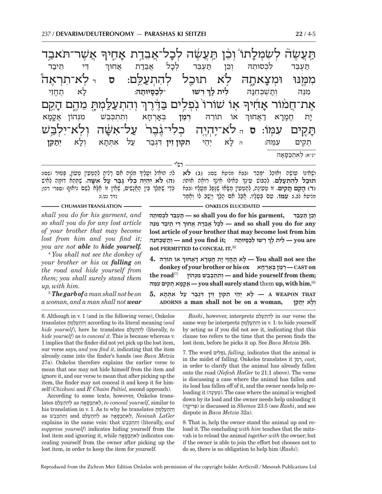רש"י .<br>אֲחֵיך ְאֲשֶׁר־תֹּאב*ָ*ד ּתַּעֲשָׂה לְשָׂמְלָ ּ עֹׂ דת מִמֶּנוּ וּמְצָ יָאתֶהּ לִא תוּכַל לְהִתְעַלֵּם: ס<sub>ַ ד</sub>לְא־תִרְאֶה<sup>ْ</sup> ִּ וְהִתְעַ<u>ל</u>ּמְהָ מִהֶם הָ קuם י<br>אָרויך אוֹ שוֹרוֹ נפלים את־חמור אד תּ-זָקִים עִמְּוֹ: ס<sub>ַ ה</sub>ּ לֹא־יֶהְיֶה כְלִי־גֶּבֶר<sup>ַ</sup> עַל־א*ִש*ֶׂ שָׁה וְלְא־יִלְבַּשׁ ַ יִדִּי תֵ<mark>יבַד</mark> תַּעְבֵּד לִכְסוּתֵהּ וְכֵן תַּעְבֵּד לְכָל זְ אַחוּך **ְ ְרשׁוּ** \* **ְלכ** .<br>ס**יוּת זה:** לָא ר א תֱחֵזי ִמֵנּ ְ הּ ות ְ שׁ ְכּ ִחנּ הּ **ֵלית ל ך** ְ ֵ אוֹ תוֹרהּ **ְרמ ן** ְבּא- $K \Pi$ א וְתִתְכְּב<sup>ָּיָ</sup>ש מִנְּהוֹן אֲקָ מ- א ית ת חֲמָרָ א דַאַחוּך ּתִקִים עָמֵהּ: הַלֲאַ יְהֵי א יֵהי **ִתקּוּן ֵזין** ִדְּגבר ע ִ ל א ְתּת ְ -אתתא א **ְיתֵ קּן** \*נ"א: ְ ל ִא ְתכּ סּ- א- ה

> ָוְשֶׁאֵינוֹ עוֹשֶׂה וְאוֹכֵל יִמֵּכֵר (בבא מניעא שם)**: (ג) לֹא** ָ ְ כִּא ֵ ילּוּ א ְינך **תוּכ ְ ל ל ִה ְתעֵ לּם.** ִלְכ ֵ בּוֹשׁ ע ְינך **(ד) הֵ קם תִּ קים.** ְ זוֹ ט ִע ָינ ְ ה, להְ ט ִעין מָ שּׂ ֶ אוֹ שָׁנּפ ֵ ל מָעָליו (בבא ְּיִי יִבְיִם בַּיְ יִי דְּבְּיָ, יִי יִבְּבְּיִ יִי יִשְׁבָּי יִי יָבָל יִי *ְבָּבֶּי. יִיבְּבָ* לוֹ וְחִמְרָ

ָלוֹ: הוֹאִיל וְטָלֶיךְ מִגְוָה אִם רָאִיתָ לְהַטְטִין טְטוֹן, פָּטוּר (שם):<br>(ה) **לֹא יהיה כלי גבר על אשה.** שִׁתַּהא דוֹמה לאיש **(ה) לֹ ִא י ְהֶי ְ ה כ ִל ֶ י גֶבר ע ִ** ְְבִי שֶׁתֵּלֵךְ בֵּיֹן הָתֲלָשִׁים, שֲׁתֵין זוֹ הָלָּח לְשָׁם נִיתוּף (ספרי רכו;<br>כְּדֵי שֶׁתֵּלֵךְ בֵּין הָתֲלָשִׁים, שֶׁתֵּין זוֹ הָלָּח לְשֵׁם נִיתוּף (ספרי רכו;

**CHUMASH TRANSLATION ONEXELOS ELUCIDATED** *shall you do for his garment, and so shall you do for any lost article of your brother that may become lost from him and you find it; you are not able to hide yourself.*

4  *You shall not see the donkey of your brother or his ox falling on the road and hide yourself from them; you shall surely stand them up, with him.*

 $^5$  **The garb of** a man shall not be on *a woman, and a man shall not wear* 

**ְ וֵכ ן תּ ְעֵבּד ,garment his for do you shall so — תּ ְעֵבּ ִד ל ְכ ֵסוּתהּ ְ ִ דּ ֵ י ת יב ִד מֵנּהּ any for do you shall so and — ְלָכ ֲל אֵבד ֲת אחוּך lost article of your brother that may become lost from him ְ ְ ר ְשׁוּ לכָסּ יוּתהּ ;it find you and — ְות ְשׁ ְכּ ִחנּהּ are you — ֵל ָ ית לך not PERMITTED to CONCEAL IT.** [6]

**ְ ֵ אוֹ תוֹרהּ 4. the see not shall You — ָל ֶא תֱחֵז ָ י י ֲת חָמָר א דֲאחוּך donkey of your brother or his ox חאָ רְאָבּ ן ְ מרְ — CAST on ;them from yourself hide and — ְו ִת ְת ְכֵּב ִשׁ מְנּהוֹן** [7]**road the** [8]**.him with ,up** them **stand surely shall you — ֲאָקָמ ְא ת ִק ִ ים עֵמּהּ**

 **THAT WEAPON A — ָל ְ א יֵה ִ י ת ֵ קּוּן ז ִ ין דְּגב ר ע ִ ל א ְתָּתא 5. ADORNS a man shall not be on a woman, קּןֵתי אְ לָו ְ**

6. Although in v. 1 (and in the following verse), Onkelos  *and* (meaning literal its to according ְו ִה ְתעלּ ְמתּ translates *hide yourself*), here he translates לּםֵעתְ הִ לְ) literally, *to hide yourself*) as *to conceal it*. This is because whereas v. 1 implies that the finder did not yet pick up the lost item, our verse says, *and you find it*, indicating that the item already came into the finder's hands (see *Bava Metzia* 27a). Onkelos therefore explains the earlier verse to mean that one may not hide himself from the item and ignore it, and our verse to mean that after picking up the item, the finder may not conceal it and keep it for himself (*Chizkuni* and *R' Chaim Paltiel,* second approach).

According to some texts, however, Onkelos translates לּםֵעתְ הִ לְ as אהסּכּתְ אִ לְ , *to conceal yourself*, similar to his translation in v. 1. As to why he translates תּמְ לּעתְ הִ וְ as לְהָתְעַלֵּם and וְתִתְכָּבֵשׁ as *לְה*ִתְעַלֵּם as וְתִתְכָּבֵשׁ, *Nesinah LaGer* explains in the same vein: that בשֵׁכְּ תְ תִ וְ) literally, *and suppress yourself*) indicates hiding yourself from the lost item and ignoring it, while אהסּכּתְ אִ לְ indicates concealing yourself from the owner after picking up the lost item, in order to keep the item for yourself.

*Rashi*, however, interprets לּםֵעתְ הִ לְ in our verse the same way he interprets תּמְ לּעתְ הִ וְ in v. 1: to hide yourself by acting as if you did not see it, indicating that this clause too refers to the time that the person finds the lost item, before he picks it up. See *Bava Metzia* 26b.

7. The word ליםִ פְ נֹ , *falling*, indicates that the animal is in the midst of falling. Onkelos translates it מןרְ, *cast*, in order to clarify that the animal has already fallen onto the road (*Nefesh HaGer* to 21:1 above). The verse is discussing a case where the animal has fallen and its load has fallen off of it, and the owner needs help reloading it (טְעִינַה). The case where the animal is weighed down by its load and the owner needs help unloading it (יקה רִפְּ ( is discussed in *Shemos* 23:5 (see *Rashi*, and see dispute in *Bava Metzia* 32a).

8. That is, help the owner stand the animal up and reload it. The concluding *with him* teaches that the mitzvah is to reload the animal *together with* the owner; but if the owner is able to join the effort but chooses not to do so, there is no obligation to help him (*Rashi*).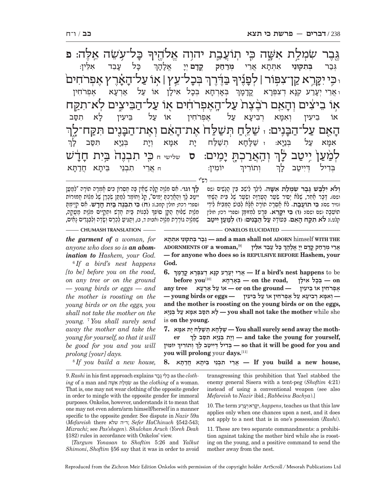גֶּבֶר שִׂמְלַת אִשֶּׁה כִּי תְוֹעֲבַת יהוָה אֱלֹהֶיךָ ֿ בָּל־עָ שׂה אלה: פ  $\mathbf{\mathbf{\Xi}}$ ַל־עֵץ | אוֹ עַל־הָאָׂ -חים ׆<mark>֑</mark>ڋۣؗڔ۬<del>ڔۦ</del> ְבַדְּרְךָ ו הֵי יִקְ ּוֹן אֵפּוֹר | לְפָ אַוֹ בִיצִים וְהָ ּהָאֶם רֹבֶצֶת עַל־הֶאֶפְרֹחִים אָוֹ עַל־הַבִּיצֶים לְא־תִקָּח ְ ה-זְאֵם עַל־הַבָּ נים: ז שׁלּח תּשׁלּח את־האם ֿואת: ה ה ָ<br>ו<u>ּ וְהָאֲר</u>ֹבְתֶ י .<br>מֵ**יּם: ס** שלישי ח כֵּי תִבְנֶה<sup>ֹ</sup> בַּיִת חָדָ<del>ּ</del> **ְ** ֿיָד<sup>ָ</sup>ש לְמַׁעַן יִיטַב לָךְ ְ כּ-ל עָנ ַנְבֵד אָלֵין: ְגּב ר **ְבּ ִת ֵקּוּני** ִא ְתּת ֲ -א אֵרי **ְמר מִרַחַק ק קד ם** ְ יי ֱ -: אַלָ ה- ך ֿ בְּאָרְחָא נְ בכל ל איל-ן אוֹ עַל אַרְעָא , א א ְפרֹ ִחין ו או **ָנ**ַרע קנָא ז א דְצִפְּרָא קֳדָ יִמְ  $\eta$ ך אוֹ בִיעִין וְאִמָּא רְבִיעָ עא על אפרֹחין אוֹ על בּי א תסּ ב ֧֧֧֢ׅ֧֢ׅ֧֦֧֚֝<u>֓</u> אָמָ על א: ז שַׁל<del>ָ</del> $\psi$  ז לחא תשׁלח ית אמַא וית ת בְּנַיָּא וִ תּסב ך י יוֹמִין: ח אֲרֵי תִבְנֵי בֵּיתָא דְ א חֲדַתָּא ותוֹר דייטב ך

רש"י

לה וגו׳. אם מלוה קלה שאין <del>בה חסרון כים אמרה תורה "למעו</del> ְִי יְהָ יְהָ יִתְּי יִתְיָ יִתְיֹ יִתְיֹ יִתְיֹ וֹ שִׁלְרָן שִׁל מְלָוֹת תְמוּרוֹת<br>יִיטַב לֶךְ וְהַאֲרַקְתָּ יָמִים", קַל וָחוֹמֶר לְמַתֵּן שְׂכָרֶן שָׁל מִלְוֹת תֲמוּרוֹת<br>(ספרי רכת: חולין ממב.): (ד) **בי תבגה בית חד'ש.** א (ספרי רכח; חולין קמב.): **ִ (ח) כּ ִ י ת ְבֶנה בִּ** ְָבְּנֵי יִבְיִי, וְבִי הָ יִיִבְיִי, בְּיִי, בְּיִי, בְּיִי, בְּיִבְיִי בְּיִבְּי שִׁי יִהְכַיְיָה עַלְוָת מַעֲקֶה,<br>מִלְוַת שָׁלוּחַ הַקֵּן סוֹפְךָ לִבְנוֹת בַּוֹת חָדָשׁ וּתְקַיֵּים מִלְוֹת מַעֲקֶה,<br>שמלוה גוררת מלוה ואנח ֹשֵׁמְּצָוָה גּוֹרֶרֶת מְגָוָה (אִבּוּת ד, ב), וְתַגְּיִטֲ לְכֵרֶם וְשָׂדֶה וְלִבְגֶדִים נַאִים,

ְולֹא ילבש גבר שמלת אשה. לילך ליֹזב בּין הגֹזיס וזס ושם). דָּבָר אַתֶּר, שָׁלֹּא יַסְיר שִׂעֲר הֻעֲרָוָה וְשָׂעַר שָׁל בֵּית הֲשֶׁחִי (נזיר שם): **ִכּ ֲ י תוֹעב ת.** לֹ ָא אְסָר ָ ה תוֹר ֶה אָלּ ְא לבוּשׁ הֵ מּ ִב ִ יא ל ֵידי קלט.): **לֹ ִא תקּ ח הֵ אם.** ְבּ ָעוֹדהּ **ע ל ה בִּ נ ְ ים: (ז) למ ע ִ ן ייט ב** ֵתוֹעָבה (שם ושם): **ִ (ו) כּ ִ י יקֵּ רא.** ְפָּר ִט ל ְמ ָ זוּמּן (ספרי רכז; חולין

*the garment of a woman, for anyone who does so is an abomination to Hashem, your God.*

6  *If a bird's nest happens [to be] before you on the road, on any tree or on the ground — young birds or eggs — and the mother is roosting on the young birds or on the eggs, you shall not take the mother on the young.* <sup>7</sup>  *You shall surely send away the mother and take the young for yourself, so that it will be good for you and you will prolong [your] days.*

 **THE WITH** himself **ADORN not shall man a and — ְגּב ְר בּ ִת ֵקּוּנ ִ י א ְתָּתא ְADORNMENTS OF a woman, [9] ֲאֵר ְ י מרח ֳק קָד ְם יָי ֱ אָלָהך — for anyone who does so is REPULSIVE BEFORE Hashem, your God. CHUMASH TRANSLATION ONKELOS ELUCIDATED** 

> **6. ְ** be to **happens nest s'bird a If — ֲאֵר ְ י יָער ִע קָנּ ְא ד ִצ ְפָּר ֳא קָדָמך before**  $\text{you}^{[10]}$  **= בְּצִרְחָא — on** the road, **= בְּא ֶא ְפרֹ ִח ֵ ין אוֹ ב ִיעין — ground the on or — אוֹ ע ל אְרָעא tree any — ְו ִאָמּ ְא ר ִב ָיע א ע ֶל א ְפרֹ ִח ין אוֹ ע ֵל בּ ִיעין — eggs or birds young and the mother is roosting on the young birds or on the eggs,**  she while **mother the take not shall you — ָל ִא תסּ ִב אָמּ א ע ְל בּנָיּא** is **on the young.**

> **ְ er- ,yourself for young the take and — ְוָי ְת בּנָיּ ִא תּסּ ָ ב לך moth the away send surely shall You — שָׁלּ ָח ְא ת שׁלּ ָח י ִת אָמּא 7. ְ ִ יוֹמין ְ ו ִתוֹריך לך בָ יט יִדּ יל ְ דִבְּ — so that it will be good for you and ְyou will prolong** your **days.**[11]

> **,house new a build you If — ֲאֵר ִ י ת ְבֵנ ֵ י בּ ָית ֲ א חדָתּא 8.**

8  *If you build a new house,* 

9. *Rashi* in his first approach explains ברֶג יֶ לִ כְ as the *clothing* of a man and שּׁהא תִ למְשִׂ as the *clothing* of a woman. That is, one may not wear clothing of the opposite gender in order to mingle with the opposite gender for immoral purposes. Onkelos, however, understands it to mean that one may not even adorn/arm himself/herself in a manner specific to the opposite gender. See dispute in *Nazir* 59a (*Mefareish* there שלא ה"ד ;*Sefer HaChinuch* §542-543; *Mizrachi*; see *Pas'shegen*). *Shulchan Aruch* (*Yoreh Deah* §182) rules in accordance with Onkelos' view.

[*Targum Yonasan* to *Shoftim* 5:26 and *Yalkut Shimoni*, *Shoftim* §56 say that it was in order to avoid

transgressing this prohibition that Yael stabbed the enemy general Sisera with a tent-peg (*Shoftim* 4:21) instead of using a conventional weapon (see also *Mefareish* to *Nazir* ibid.; *Rabbeinu Bachya*).]

10. The term רעעי/אְ רֵקּיִ, *happens*, teaches us that this law applies only when one chances upon a nest, and it does not apply to a nest that is in one's possession (*Rashi*).

11. These are two separate commandments: a prohibition against taking the mother bird while she is roosting on the young, and a positive command to send the mother away from the nest.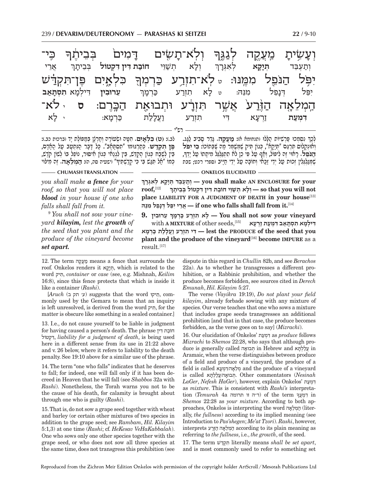| <del>ב</del> ָבִיתֶך<br>כי־                                                    |           | וְעָשִׂיתָ מִעֲקֵה לְגַגֶּךְ וְלְא־תָשָׂים דָמִים <sup>ֹ</sup>                      |      |                 |            |
|--------------------------------------------------------------------------------|-----------|-------------------------------------------------------------------------------------|------|-----------------|------------|
| תְּנָקָא לְאִגְרָךְ וְלָא תְשַׁוֵּי חוֹבַת דִּין דִּקְטוֹל בְּבֵיתָךְ אֲרֵי    |           |                                                                                     |      |                 | וְתַעְבֵּד |
| יִפְּל הַנֹּפֶל מִמֶּנּוּ: לֹא־תִזְרֵע כַּרְמְךָ כִּלְאֶיִם פֶּן־תִּקְדַּשׁ    |           |                                                                                     |      |                 |            |
| יִפֵּל דְּנָפֵל מִגֵּה: טּלָא תִזְרַע כַּרְמָךְ עֵרוּבִין דִּילְמָא תִסְתָּאַב |           |                                                                                     |      |                 |            |
| ־ס לֹא                                                                         |           | הַמְלֵאֶה הַוָּ֫רַע <sup>ֹ</sup> אֲשֶׁר תִּזְרָ <sup>ׂ</sup> ע וּתְבוּאַת הַבְּרֶם: |      |                 |            |
| י לַא                                                                          | ּבַּרְמָא | ּדִּי תִזְרַע וַעֲל <u>ָל</u> ַת                                                    |      | <u>ז</u> ִרְעָא | דִמְעַת    |
|                                                                                |           |                                                                                     | רם"י |                 |            |

לב.): **ִ (ט) כּ ְלאִ ים.** ִחָטּ ְ ה וּשׂ ָעוֹר ְה וחְ רָצ ְ ן בּמ ֶ פּוֹל ָת יד (ברכות כב.): יִ *יְבִּ* בֹּי יִיְאָ יִ יִ דְּבִי יְבִי יִ דְּבִי הָ יִ יִצְר הָ הִ הִ עֲל הָאָדֶ בֹּוֹ הַלְדָם.<br>פ**ִּז תִקְדֹשׁ. כִּ**תְרְגּוּמו "תִסְתְּאָב". כִּל דְּבַר הִנְתְּעַב עַל הָאְדָם. הן היום של השורה הקהלת הגולים להקהלת של היום.<br>בֵּין לְשֶׁבַּח כְּגוֹן הֶקְדֵּשׁ, בֵּין לִגְנַאוֹ כְּגוֹן תִוּסוּר, נוֹפַל בּוֹ לְשׁוֹן קֹדֶשׁ,<br>כִּמוֹ "אל תּגֵשׁ בִּי כִּי הִדֹשִׁמִיּךְ" (יִשְטִיה סה. הָ: **הִמְלֹאה.** זה מי

ְ ִ נ ְס ְמכוּ פְּ רִשׁיּוֹת הָ לּלוּ (תנחומא א): **מֲ עֶקה.** ָגֵּד ָר ס ִביב לָ גּג. ָ , ְו ְאוּנְק ִ לוֹס תְּרֵגּ ְ ם "תָּיָק ְ א", כּ ִ גוֹן תּ ֶ יק שְׁמּשֵׁ מּר מ ֶ ה שְּׁבּתוֹכוֹ: **ִכּ ִי י ֹפּל** ְלָכך **ה ֹ נֵּפל.** ָר ֶ אוּי ז ִה ל ְ יפּוֹל, וא ף ע ִ ל פּ ֵ י כן לֹ ִא ת ְתגְּלֵגּ ִ ל מ ָיתתוֹ ע ָ ל י ְדך ָשְׁמְגַלְגְּלִין זְכוּת עַל יְדֵי זַכַּאִי וְחוֹבָה עַל יִדֵי חַיַּיב וספרי רכט; שבת

**CHUMASH TRANSLATION ONKELOS ELUCIDATED** 

*you shall make a fence for your roof, so that you will not place blood in your house if one who falls shall fall from it.*

9  *You shall not sow your vineyard kilayim, lest the growth of the seed that you plant and the produce of the vineyard become set apart.*

**ְ you shall make AN ENCLOSURE for your** — **بَرْبِوَج** לְאִגְּרָךְ  $\textbf{root}$ <sup>[12]</sup>  **not will you that so — ְו ָל ְא ת שֵׁוּ י חוֹב ִת דּ ִ ין דּ ְק ְ טוֹל בֵּב ָיתך** place LIABILITY FOR A JUDGMENT OF DEATH in your house<sup>[13]</sup> [14]**.it from fall shall falls who one if — ֲאֵר ִי יֵפּ ְל דָּנֵפ ִל מֵנּהּ**

**ְ ֵ ע ִרוּבין 9. vineyard your sow not shall You — ָל ִא תְזר ע כְּרָמך**  $\bm{r}$  **דִּ יִלְמַא תִסְתָּאֵב דְּמִעַת זַרְעָא**<br>דִּ דִּ  **you that seed the of PRODUCE the lest — ִדּ ִ י תְזר ע וֲע ָלל ת כְּרָמא plant and the produce of the vineyard**[16] **become IMPURE** as a  $result.<sup>[17]</sup>$ 

12. The term קהֶעֲמ means a fence that surrounds the roof. Onkelos renders it הְיָקָא, which is related to the word תּיקִ , *container* or *case* (see, e.g. Mishnah, *Keilim* 16:8), since this fence protects that which is inside it like a container (*Rashi*).

 $[Aruch$  (ע׳ תק צ׳ (ע׳ תק ב) suggests that the word תִּיקוֹ monly used by the Gemara to mean that an inquiry is left unresolved, is derived from the word תּיקִ , for the matter is obscure like something in a sealed container.]

13. I.e., do not cause yourself to be liable in judgment for having caused a person's death. The phrase דּין תִ חוֹב קטוֹלְדִּ, *liability for a judgment of death*, is being used here in a different sense from its use in 21:22 above and v. 26 below, where it refers to liability to the death penalty. See 19:10 above for a similar use of the phrase.

14. The term "one who falls" indicates that he deserves to fall; for indeed, one will fall only if it has been decreed in Heaven that he will fall (see *Shabbos* 32a with *Rashi*). Nonetheless, the Torah warns you not to be the cause of his death, for calamity is brought about through one who is guilty (*Rashi*).

15. That is, do not sow a grape seed together with wheat and barley (or certain other mixtures of two species in addition to the grape seed; see *Rambam*, *Hil. Kilayim* 5:1,3) at one time (*Rashi*; cf. *HeKesav VeHaKabbalah*). One who sows only one other species together with the grape seed, or who does not sow all three species at the same time, does not transgress this prohibition (see

dispute in this regard in *Chullin* 82b, and see *Berachos* 22a). As to whether he transgresses a different prohibition, or a Rabbinic prohibition, and whether the produce becomes forbidden, see sources cited in *Derech Emunah*, *Hil. Kilayim* 5:27.

The verse (*Vayikra* 19:19), *Do not plant your field kilayim*, already forbade sowing with any mixture of species. Our verse teaches that one who sows a mixture that includes grape seeds transgresses an additional prohibition [and that in that case, the produce becomes forbidden, as the verse goes on to say] (*Mizrachi*).

16. Our elucidation of Onkelos' עתמְ דִּ as *produce* follows *Mizrachi* to *Shemos* 22:28, who says that although produce is generally called בוּאה תְּ in Hebrew and תּאלְ לעֲ in Aramaic, when the verse distinguishes between produce of a field and produce of a vineyard, the produce of a field is called מִלְאֲה/דְּמְעָא and the produce of a vineyard is called הָבוּאַה/עַלַלְהַא Other commentators (Nesinah *LaGer*, *Nefesh HaGer*), however, explain Onkelos' עתמְ דִּ as *mixture*. This is consistent with *Rashi's* interpretation (*Temurah* 4a תרומה זו ה"ד (of the term in ִד ְמֲעך *Shemos* 22:28 as *your mixture*. According to both approaches, Onkelos is interpreting the word אהלֵמְ ה) literally, *the fullness*) according to its implied meaning (see Introduction to *Pas'shegen*; *Me'at Tzori*). *Rashi*, however, as meaning plain its to according ה ְמֵלא ה הֶזּרע interprets referring to *the fullness*, i.e., *the growth*, of the seed.

17. The term דּשׁקְתִּ literally means *shall be set apart*, and is most commonly used to refer to something set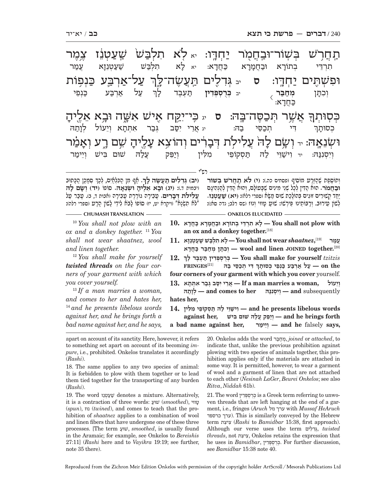תַּחֲרֹשׁ בְּשָׁוֹר־וּבַחֲמֻר יַחְדֶּו: אֵלָא תִלְבַּשׁ שַׁעַטְנֵו צֶמֶר ִ עַל־אַרְבַּע כַּנְפ<mark>ָ</mark>וֹת וּפִשְׁהָים יַחְדֶו: סּ בּגְדִלֶים תַּעֲשֶׂה־לֶךְ ֖ ֲ אשׁ ְ V ר תּכֶ סּה־בּ7 הּ: **ס** יג כּ ִ " י־יקּy ח א ִ b ישׁ אשּׁZ ה וּב ֵ 9 א א1ליה-.<br>ล. **ּ**בְּסְוּתְךָ ֿוּשְׂנִאָה: <sub>יד</sub> וְשָׂם ל ת דבו ים והוצא גַלֵיהָ שָׁם רֶע וְאָ יָקָעָ ִתְרֵדּ ְ י בתוֹר-רָא וּבַחֲמָרָא כַּחֲדָ א: יא לָא - ר א תִלְבַּשׁ שַׁעַטְנֵזָא *י*ָ עמר ֿי עַל אַרְבַּע כַ<mark>ּ</mark>נְפֵי **ְמח** .<br>1⊑ .<br>**י** יב **בְּרֻסְפְּדִין** תַּעֲבֶד לְ ך וְכִתַּן  $\overline{\langle}$ כַּ חֲדָ א: ָ יִ יִ יִפֵּב הָּ - יִ אֲרֵי יִפֵּב גְּבַר אִתְתָא וְ א וְיֵעוֹל לְנָ וְתַה<sub>ּ</sub> בְסוּתָ ך וְיִסְנִנּהּ: יד וִישַׁוֵּי לַהּ תַּסְקוֹפֵי מִלִּין וְיַפֵּק עֲלַהּ שׁוּם בִּישׁ וְיֵימַר

רש"י

ְ(**יִב) גִּדליִם תִּעְשׂה לִ**ךְּ. אֵף מִן הְכַּלְאִיִם, לִכְךְּ סְמִכְן הְכִּתְוּב **ְ**(יבמות ד.): **(יג) וּב ֵ א אֶליה ְ וּשֵׂנא הּ.** סוֹפוֹ **ְ (יד) ושׂ ם להּ ְעֲלִילֹת דִּבַרִים. עֲבֵירָה גוֹרֶרֶת עֲבֶירָה (אבות ד, ב). עָבַר עַל** "לֹא תָשְׂנַא'" (ויקרא יט, יז) סוֹפוֹ לַבֹּא לִידֵי לַשְׁוֹן הֲרָע (ספרי רלה):

**וּבַחֲמֹר.** הוּא הַדְּין לִכַל שָׁנֵי מִינִים שֵׁבַּטוֹלַם, וְהוּא הַדְּין לְהַנְהִינֵם וְתוֹסֶפֶת שֶׁהַזֶּרַע מוֹסִיף (פסחים כה.): <mark>(י) לֹא תַחֲר'ש בְּשׁוֹר</mark><br>**וּבחמֹר.** הוּא הדִין לכל שני מינים שבּעוֹלם. והוּא הדִין להנהיגם יִפְּר ְקְשׁוּרִים זוּגִים בְּהוֹלָכַת שׁוּם מַשָּׂא (ספרי רלא): (**יא) שַׁעֲטְבֵוּ.**<br>מַן קְשוּרִים זוּגִים בְּהוֹלָכַת שוּם מַשָּׂא (ספרי רלא): (**יא) שַׁעֲטְבֵוּ.**<br>לשוֹוּ מִירוּבּ. ורבּוֹתזינוּ פּירשׁוּ: שוּנּ מוּוּי וֹ

 $-$  CHUMASH TRANSLATION ———————————————————— ONKELOS ELUCIDATED —

<sup>10</sup> *You shall not plow with an ox and a donkey together.* <sup>11</sup> *You shall not wear shaatnez, wool and linen together.*

<sup>12</sup> *You shall make for yourself twisted threads on the four corners of your garment with which you cover yourself.*

<sup>13</sup> *If a man marries a woman, and comes to her and hates her,*  <sup>14</sup> *and he presents libelous words against her, and he brings forth a bad name against her, and he says,* 

- 
- **with plow not shall You ָל ִא תְרֵדּ ְ י ב ָתוֹר א וּבֲחָמָר א כֲּחָדא 10. an ox and a donkey together.**[18]
- $\mathbf{I1.}$  **w**ֲשָׁעֲנָזָא  $\div$ X You shall not wear shaatnez, $^{[19]}$  עֲמַר [20]**.together JOINED linen and wool — ְו ִכָתּ ְ ן מחבּ ר כֲּחָדא**
- **12. ְ**  *tzitzis* **yourself for make shall You ְכֻּר ְס ְפִּד ין תּ ְעֶבּ ָ ד לך ְ** $\mathbf{F}\mathbf{R}\mathbf{ING}\mathbf{ES}^{[21]}$  **the on — ע ל אְרבּ ע כְּנֵפ ְ י כ ָסוּתך four corners of your garment with which you cover** yourself.
- **13.** *woman, igh* **אֲרֵי יִסֵּב גִּבַר אִתְּתָא [13.] A man marries a woman, i**  subsequently **and — ְוִי ְסִננּהּ her to comes and — ְלָותהּ hates her,**
- **words libelous presents he and ִו ישֵׁוּ י ל הּ תּ ְס ֵקוֹפ ִ י מ ִלּין 14. forth brings he and — ְויֵפּ ֲק על ִ הּ שׁוּם בּישׁ ,her against a bad name against her, ימר יֵוְ — and he** falsely **says,**

apart on account of its sanctity. Here, however, it refers to something set apart on account of its becoming *impure*, i.e., prohibited. Onkelos translates it accordingly (*Rashi*).

18. The same applies to any two species of animal: It is forbidden to plow with them together or to lead them tied together for the transporting of any burden (*Rashi*).

19. The word נזֵטְ עשׁ denotes a mixture. Alternatively, it is a contraction of three words: שׁוּע) *smoothed*), טווּי (*spun*), נוּז) *twined*), and comes to teach that the prohibition of *shaatnez* applies to a combination of wool and linen fibers that have undergone one of these three processes. [The term שׁוּע , *smoothed*, is usually found in the Aramaic; for example, see Onkelos to *Bereishis* 27:11] (*Rashi* here and to *Vayikra* 19:19; see further, note 35 there).

20. Onkelos adds the word בּרחמְ , *joined* or *attached*, to indicate that, unlike the previous prohibition against plowing with two species of animals together, this prohibition applies only if the materials are attached in some way. It is permitted, however, to wear a garment of wool and a garment of linen that are not attached to each other (*Nesinah LaGer*, *Beurei Onkelos*; see also *Ritva*, *Niddah* 61b).

21. The word דיןִפְּ סְ רֻכְּ is a Greek term referring to unwoven threads that are left hanging at the end of a garment, i.e., fringes (*Aruch* מל ערך with *Mussaf HeAruch*  (ערך כרספד). This is similarly conveyed by the Hebrew term יצתִ צִ) *Rashi* to *Bamidbar* 15:38, first approach). Although our verse uses the term ליםִ דִגְּ, *twisted threads*, not יצתִ צִ , Onkelos retains the expression that he uses in *Bamidbar*, דיןִפְּ סְ רֻכְּ . For further discussion, see *Bamidbar* 15:38 note 40.

Reproduced from the Zichron Meir Edition Onkelos with permission of the copyright holder ArtScroll / Mesorah Publications Ltd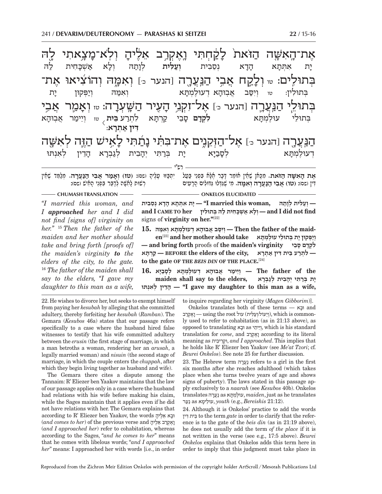רש"י את־האשה הזֹאת לקחתי ואקרב אליה וְלְא־מָ**ּ** לה ּבְּתוּלִים: <sub>ײ</sub>ַוְלָ הַ עֲרָה [הנער כּ] **וֹאִמֵ**הֹ **ו**ד **ה** הנער כּּ] **אל** זְקָנֵי הַעֲיר ערה: <sub>טז</sub> **ְ**זַמְר אֲבֶי ּהַנַּעֲרֶה [הנער כּ] אֶל־הַזְּקֵנֶיִם אֶת־בִּתִּ֫י נָתַ֫תִּי לַ ישׁ הזה  $\dot{\rm w}$ יַת ת אִתְּתָ א ה-הַדָא **נסבית** ועלית לותה א אַשְׁבָּחִית לַה בְּתוּלִין: טּוּ וְיִסֵּב אֲבְוּהָא דְעוּלֶמְתָּא א ו ִאמּ ְ הּ וי ְ פּקוּן י-יַת לִתְרַע **בֵּית** <sub>γ טז</sub> וְיֵימַר אֲבְוּהָ א בְּתוּלֵי עוּלֶמְתָּ **לקדם ס**בי זֶבֵי קַרְתָּא **ִדּין א ְ** .<br>**אַתְרָא** ֿעוּלמתּא א לס-לסביּא ית בִּרַתִּי יִהֲבִית ֿיִבִית לְגַבְרָא הָ הַדֵין לִאִנִתּוּ

אֶת הָאִשָּׁה הַוֹּאת. מִכְּאן שֶׁאֵין אוֹמֵר דָּבָר אֶלָּא בִּפְנֵי בַּעֲל \_ יִתְבַּזּוּ טָנֶיהָ (שׁם): <mark>(טו</mark>) וְאָמַר אֲבִי הַנַּעֲרָה. מְלַמֵּד שֶׁאֵין<br>דִין (שם): (**טו) אבי הנערה ואמה.** מי שגדלו גדולים הרעים יִתְבַּזּוּ טָלֶיהָ ושם): <mark>(שוז) וְאָמַר אֲבִי הַגַּעֲרָה.</mark><br>רשוּת לאשה לדבר בפני האיש ושם):  **נֲּ ער ְ ה ו ִאמּ הּ.** ִמ ֶ י שִׁגְּדּ ִ לוּ גּ ִדּוּל ָ ים הָרִעים

#### $-$  CHUMASH TRANSLATION ———————————————————— ONKELOS ELUCIDATED —

*''I married this woman, and I approached her and I did not find [signs of] virginity on her.''* <sup>15</sup> *Then the father of the maiden and her mother should take and bring forth [proofs of] the maiden's virginity to the elders of the city, to the gate.*  <sup>16</sup> *The father of the maiden shall say to the elders, ''I gave my daughter to this man as a wife,*  **— ְוע ִלּ ְ ית לָותהּ ,woman this married I — "ָי ִת א ְתָּת ָא הָד ְא נֵס ִבית find not did I and — ְו ָל א א ְשָׁכּ ִח ית ל ְהּ בּ ִתוּלין her TO CAME I and** signs of **virginity on her."**[22]

**maid the of father the Then — ְוִיסּ ֲב א ָבוּה ְא ד ֶעוּל ְמָתּ ְא ו ִאמּהּ 15.**

*וְיַפִּקוּן יָת בְּתוּלֵי עוּלַמְתָּא should take וְיַפִּקוּן יָת בְּתוּלֵי עוּלַמְתָּא* **— and bring forth** proofs of **the maiden's virginity ביֵס םָ דָקְ ל ִ — ִל ְתר ֵע בּ ִ ית דּ ין א ְתָרא ,city the of elders the BEFORE — קְרָתּא to the gate OF THE** *BEIS DIN* **OF THE PLACE.** [24]

 **the of father The — ְוֵי ימ ֲ ר א ָבוּה ְ א ד ֶעוּל ְמָתּ ְ א לָסבָיּא 16. ָ י ְת בּר ִתּ ְ י יָה ִב ְ ית לג ְבָרא ,elders the to say shall maiden נתּוְּאִ ל ין ְ דֵהָ" — I gave my daughter to this man as a wife,**

22. He wishes to divorce her, but seeks to exempt himself from paying her *kesubah* by alleging that she committed adultery, thereby forfeiting her *kesubah* (*Ramban*). The Gemara (*Kesubos* 46a) states that our passage refers specifically to a case where the husband hired false witnesses to testify that his wife committed adultery between the *erusin* (the first stage of marriage, in which a man betroths a woman, rendering her an *arusah*, a legally married woman) and *nisuin* (the second stage of marriage, in which the couple enters the *chuppah*, after which they begin living together as husband and wife).

The Gemara there cites a dispute among the Tannaim: R' Eliezer ben Yaakov maintains that the law of our passage applies only in a case where the husband had relations with his wife before making his claim, while the Sages maintain that it applies even if he did not have relations with her. The Gemara explains that according to R' Eliezer ben Yaakov, the words וּבָא אֵלֵיהָ (*and comes to her*) of the previous verse and יְאֵקְרַב אֱלֶיהָ (*and I approached her*) refer to cohabitation, whereas according to the Sages, "*and he comes to her*" means that he comes with libelous words; "*and I approached her*" means: I approached her with words [i.e., in order

to inquire regarding her virginity (*Magen Gibborim*)].

Onkelos translates both of these terms — וּבא and רַאֲקָרָב) — using the root עול), which is commonly used to refer to cohabitation (as in 21:13 above), as opposed to translating וּבא as יתיֵ יֵוְ, which is his standard translation for *come*, and רבקְאֶו according to its literal meaning as יביתִ רֵוּקְ , *and I approached*. This implies that he holds like R' Eliezer ben Yaakov (see *Me'at Tzori*; cf. *Beurei Onkelos*). See note 25 for further discussion.

23. The Hebrew term רהעֲנ refers to a girl in the first six months after she reaches adulthood (which takes place when she turns twelve years of age and shows signs of puberty). The laws stated in this passage apply exclusively to a *naarah* (see *Kesubos* 40b). Onkelos translates רהעֲנ as תּאמְ עוּלֶ , *maiden*, just as he translates ערנ as ימא עוּלֵ , *youth* (e.g., *Bereishis* 21:12).

24. Although it is Onkelos' practice to add the words דּין ית ִ בֵּ to the term *gate* in order to clarify that the reference is to the gate of the *beis din* (as in 21:19 above), he does not usually add the term *of the place* if it is not written in the verse (see e.g., 17:5 above). *Beurei Onkelos* explains that Onkelos adds this term here in order to imply that this judgment must take place in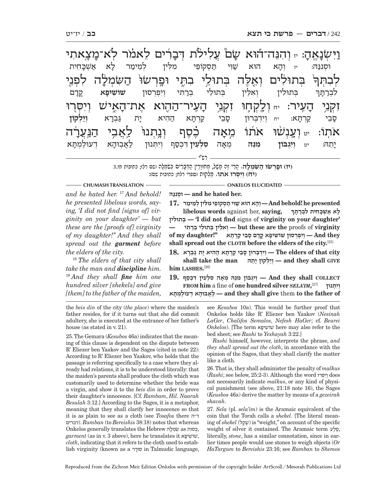רש"י <u>ו</u>יִּשְׂנָ  $\Delta$ ج: זנה־הוּא ּעֲםׂ עֲלִילֹת דְּבָרִים לֵאמֹר לְא־מָ ַ צֻאתִי $\mu$ ַ בְּתוּלִים וְאֵלֶה בְּתוּלֵי בִתֶּי וּפֵרְשׂוּׂ הַשִּׂמְל לָה לִפְנֵי .<br>ล. <u>לְבִהָן -</u> <mark>ֿ</mark>זִקְנֵי הָ ז**ַעִיר: <sub>יח</sub> וְלֵקְחֶוּ זִקְנֵי הָ** ֿיִעִיר־הַהָו<mark>ֹא אָת־</mark>הָ ֿאֱישׁ וְיִסְּרוּ ֿאֹתְוֹ: <sub>יט</sub> יְעֳנְשׁוּ אֹתוֹ מֵאָ ָּזָה כֶּסֶף וְנֵתְנוּ<sup>ּ</sup> לַאֲבִי הַנִּעֲן ּרָה ְוּסִננּ הּ: יז ְוה-ַזִא הוּא שַׁוִּי תַּסְקוֹפֵי מִלִּין לְמֵימַר לָ א אַשְׁבָּד $\,$  חית ְ ְבּ ִתוּל ְ ין ו ִאֵלּ ְ ין בּ ֵתוּל ְ י בר ִ תּ ְ י וִי ְפְרסוּן **ִשׁוֹשׁיפ א** ֳקד-קרַם לִבְרַתָּ ך ס-ַזְבֵי קַרְתָּ ּוָא: יח וְיִדְבְּרוּן סָ זֶבֵי קַרְתָ*ּ* א ה ִ היא י-ית א **ְוי ְ לקוֹן** יתה: ֵ תהּ: יט **ְוִיְג ִ בּוֹן מֵנּהּ** ְמא-יָה ס**ָלְעִין** דִּבְסַף וְיִתְנוּן לַאֲבוּהָא ו א דְעוּלֶמְתָ א

> **(יז) וּפְ רשׂוּ ה ִ שּׂ ְמל ה.** ֲהֵר ֶ י ז ָה מָשׁ ְ ל, מ ָחוּוִרין הְ דָּבִר ְ ים כִּשְׂמָלה (שם רלז; כתובות מו.): **ְ (יח) וִי ְסּ ֹ רוּ אתוֹ.** מְ לקוּת (ספרי רלח; כתובות שם):

#### **CHUMASH TRANSLATION ONKELOS ELUCIDATED**

*and he hated her.* <sup>17</sup> *And behold! he presented libelous words, saying, 'I did not find [signs of] virginity on your daughter' — but these are the [proofs of] virginity of my daughter!'' And they shall spread out the garment before the elders of the city.*

<sup>18</sup> *The elders of that city shall take the man and discipline him.* <sup>19</sup> *And they shall fine him one hundred silver [shekels] and give [them] to the father of the maiden,* 

**נּהּנִוּסְ — and he hated her.**

 **presented he! behold And — ְוָה א הוּא שִׁוּ י תּ ְס ֵקוֹפ ִ י מ ִלּ ְ ין לֵמ ימר 17. libelous words** against her, **saying, ְ ָ ל א א ְשָׁכּ ִח ִ ית ל ְברָתּך תוּליןִ בְּ' — I did not find** signs of **virginity on your daughter' but these are the** proofs of **virginity** — **<b> they — יִיפִרְסוּן שׁוֹשִׁיפָּא קֵדָם סָבֵי קַרְתָּא** — And they — וִיפִרְסוּן ו **shall spread out the CLOTH before the elders of the city.**[25]

 $\bf 18.$  **P** $\bf 18.$  הְרִתְּא הָהִיא יִת גִּבְרָא (18. The elders of that city **shall take the man תהֵּי קוֹן ָ לְ יוְ — and they shall GIVE him LASHES.** [26]

 **And they shall COLLECT** וְיִגְבּוֹן מִנֵּהּ מִאָה סְלְעִין דִּבְסֵף **FROM him** a fine of **one hundred silver** *SELA'IM***, ְ וִי ְתּנוּן** [27] **תּאָמְ עוּלֶ ד אְ בוּהָ אֲל — and they shall give** them **to the father of** 

the *beis din* of the city (*the place*) where the maiden's father resides, for if it turns out that she did commit adultery, she is executed at the entrance of her father's house (as stated in v. 21).

25. The Gemara (*Kesubos* 46a) indicates that the meaning of this clause is dependent on the dispute between R' Eliezer ben Yaakov and the Sages (cited in note 22): According to R' Eliezer ben Yaakov, who holds that the passage is referring specifically to a case where they already had relations, it is to be understood literally: that the maiden's parents shall produce the cloth which was customarily used to determine whether the bride was a virgin, and show it to the *beis din* in order to prove their daughter's innocence. [Cf. *Rambam*, *Hil. Naarah Besulah* 3:12.] According to the Sages, it is a metaphor, meaning that they shall clarify her innocence so that it is as plain to see as a cloth (see *Tosafos* there ה"ד דברים(. *Ramban* (to *Bereishis* 38:18) notes that whereas Onkelos generally translates the Hebrew להמְשִׂ as כּסוּתְ , *garment* (as in v. 3 above), here he translates it יפא שׁוֹשִׁ , *cloth*, indicating that it refers to the cloth used to establish virginity (known as a סוּדר in Talmudic language,

see *Kesubos* 10a). This would be further proof that Onkelos holds like R' Eliezer ben Yaakov (*Nesinah LaGer*, *Chalifos Semalos*, *Nefesh HaGer*; cf. *Beurei Onkelos*). [The term יפא שׁוֹשִׁ here may also refer to the bed sheet; see *Rashi* to *Yeshayah* 3:22.]

*Rashi* himself, however, interprets the phrase, *and they shall spread out the cloth*, in accordance with the opinion of the Sages, that they shall clarify the matter like a cloth.

26. That is, they shall administer the penalty of *malkus* (*Rashi*; see below, 25:2-3). Although the word סּרוְּ יִוְ does not necessarily indicate *malkus*, or any kind of physical punishment (see above, 21:18 note 16), the Sages (*Keusbos* 46a) derive the matter by means of a *gezeirah shavah*.

27. *Sela* (pl. *sela'im*) is the Aramaic equivalent of the coin that the Torah calls a *shekel*. [The literal meaning of *shekel* (קלֶשֶׁ ( is "weight," on account of the specific weight of silver it contained. The Aramaic term לעסֶ, literally, *stone*, has a similar connotation, since in earlier times people would use stones to weigh objects (*Or HaTargum* to *Bereishis* 23:16; see *Ramban* to *Shemos*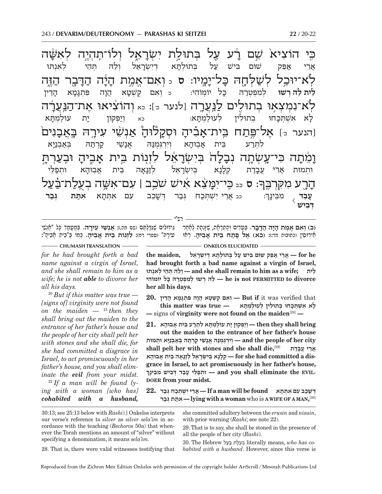כִּי הוֹצִיא<sup>ֹ</sup> שֵׁם וְ שם רע על בתוּלת ישׂראל ֿתהיה שּׁה לֹא־יוּכ*ֵ*ל לְשַׁלְחֶהּ בָּ בל־ימיו: ס כ **ואם**־ ֓֓֓֓֓֓֓֓֓׆֬<br><del>ׇ</del> بَذָה הַדָּ נ<sup>ְבָר</sup> הַיֶּה ים <u>לנַע</u>רַה [לנער כּ]: <sub>כא</sub> וְהוֹצִיאוּ אֶת־ ּרָה ּה] אל־פּתח בית־ אביה ױַקָלן<sub>ּ</sub> ֿוּהָ אַנְשֵׁי עִירֶה בֵּאֲבָ ָנִים<del>ּׁ</del> **וָ**מֵׁתָה כ כּי־עשתה -ַלַ ה לינזור נוֹת בּית <mark>ٞ</mark><br>ئٖڐ؞ڬ ױ**בְעַרְ**תָּ .<br>ค. ָ: ס <sub>כּב</sub> כִּי־יִמָּעֵּׁא אִישׁ שֹׁבֵב | עִם־אִשָּׁה בְעֻלַת־בַּ֫עַל ה-ֿיָרֶע מִקְּרְבֶּך<del>ּ,</del> ָשׁוּם בִּישׁ עַל בִּתוּלְתֵּא דישׂראל ָ־אֵל וְלֵהּ תְּהֵי לְאִנְתּוּ למפטרה<del>ּ</del> כּל יוֹמִוֹהִי: <sub>כ ו</sub>ֹאִם קַשָּׁטַא א הֲנָה נ ה פִּתְנָמָא הָ ֵ דין לִא א אשתכחוּ עוּלמתּא: א: כא וְיַפְּקוּן יָת עו*יכְ*: ית א לִתְרַע בּית  $X$ בוּהָא ויִרְגָּמִנּהִ א*ַנַשֵׁי* קרתַה א וּתמוּת אר עבדת ֶנָא נ<sub>ִ</sub> א בִּיִשְׂרָאֵל לְזַנָּ לוַנאַה בִּית ה בֵּית אֲבְוּהָא וּתְפַלֵּי <sub>כב</sub> ארי ישתכח גבר דשכב עם אתתא **א<sup>תַת גְּב**ַ</sup>  **ר** .<br>**עָבֵד** *ְ* מִבֵּינָךְ  $\overline{\langle}$ **ְדּ ִבישׁ**

(ב) <mark>וְאִם אֱמֶת הָיָה הַדָּבָר. כְּ</mark>טֵדִים וְהַתְרָתָۢה, שֶׁזְּנְתָה לְחַתַּר | גִּידּוּלִים שֶׁגְדַּלְתֶּם (שִׁס מה.)**: אַנְשֵׁי עִירָה.** בְּמַטֲמַד כָּל "אַנְשֵׁי<br>אירוסיו (כתובות מד:): (בא) אל פתח בית אביה. ראו | טירה" ְגִּידוּלִיִּם שֶׁגְּדַלְמֶם ושם מה.)**: אַנְשֵׁי עִירָה.** בְּמַטֲמַד כָּל "אַכְשִׁי":<br>טִירַהּ" וספרי רמז**: לִזְגוֹת בֵּית אַבִיהַ. כִּמוֹ בְּ"כֵית אַבִּיהַ":** ח וכתובות מד:)**: (בא) אֵל פֵּתַח בֵּית אַבִיהַ.** רְאוּ

רש"י

- CHUMASH TRANSLATION ——————————————————— ONKELOS ELUCIDATED -

*for he had brought forth a bad name against a virgin of Israel, and she shall remain to him as a wife; he is not able to divorce her all his days.*

<sup>20</sup> *But if this matter was true — [signs of] virginity were not found on the maiden*  $-$  <sup>21</sup> *then they shall bring out the maiden to the entrance of her father's house and the people of her city shall pelt her with stones and she shall die, for she had committed a disgrace in Israel, to act promiscuously in her father's house, and you shall eliminate the evil from your midst.* 22 *If a man will be found lying with a woman [who has] cohabited with a husband,*

 **he for — ֲאֵר י אֵפּ ִ ק שׁוּם בּ ישׁ ע ְל בּ ְתוּלָתּ ְא דִי ְשָׂרֵאל ,maiden the had brought forth a bad name against a virgin of Israel, ֵ לית ;wife a as him to remain shall she and — ְוֵל ְהּ תֵּה ְ י ל ִאְנתּוּ divorce to PERMITTED not is he — ֵל ְהּ ר ְ שׁוּ ל ִמ ְפ ְטר ָהּ כּ ִ ל יוֹמוֹהי her all his days.**

 $\bf 20.$  יְאִם קָשָׁטָא הֲוָה פִּתְגָמָא הָדֵין **I**ut if it was verified that **ָל ִא א ְשׁ ְתָּכ ְ חוּ ב ִתוּל ְ ין ל ֶעוּל ְמָתּא — true was matter this —** signs of **virginity were not found on the maiden**[28] **—**

 ${\bf 21.}$  **Pring —**  ${\bf 21.}$  **יוּפּקוּן ית עוּלמתּא לתרע בית אבוהא<code>bring</code>** 

**out the maiden to the entrance of her father's house city her of people the and — ְוִיְרְגֻּמנּ ֱהּ אָנ ֵשׁ י קְרתּ ְהּ בּא ְבנָיּ ְ א וּתמוּת shall pelt her with stones and she shall die,**[29] **דתבָע י ֲ רֵא ֲ** grace in Israel, to act promiscuously in her father's house, **dis a committed had she for — ְק ָלָנ ְא בִּי ְשָׂרֵא ְל לזָנָּא ֵה בּ ֲ ית א ָבוּהא ְ .midst your from DOER-EVIL the eliminate shall you and — ְוּתפ ֵלּ ָ י עֵב ְד דּ ִב ִ ישׁ מֵבּ ָינך**

**ְ דּ ָשֵׁכ ִב ע ִם א ְתָּתא found be will man a If — ֲאֵר ִי י ְשׁ ְתּכ ְח גּבר 22. ברגּ תְ תּאִ — lying with a woman** who is **A WIFE OF A MAN,** [30]

30:13; see 25:13 below with *Rashi*).] Onkelos interprets our verse's reference to *silver* as *silver sela'im* in accordance with the teaching (*Bechoros* 50a) that whenever the Torah mentions an amount of "silver" without specifying a denomination, it means *sela'im*.

she committed adultery between the *erusin* and *nisuin*, with prior warning (*Rashi*; see note 22).

29. That is to say, she shall be stoned in the presence of all the people of her city (*Rashi*).

28. That is, there were valid witnesses testifying that

30. The Hebrew עלבּ ת לעֻבְ literally means, *who has cohabited with a husband*. However, since this verse is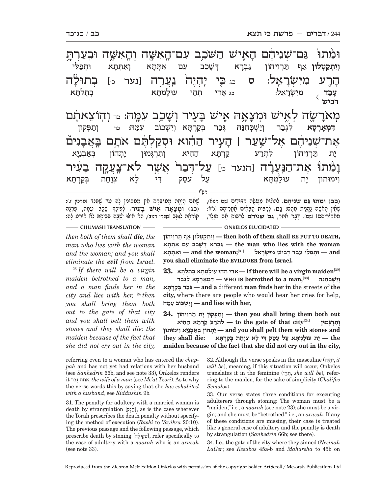רש"י וּמֵٰתוּׂ גַּם־שְׁנֵיהֶם הָ האיש השכב עם־האשה ה-ֿיָרֶע מִיִּשְ<del>ֹ</del>רָ רָאֵל: ס <sub>כג</sub>כֶּי יֶהְיֶה נַעֲרֶה [נער כּ] בְתוּל תוּלה **ׂ**מְאֹרָ ָרְשֶׂה לְאֶישׁ וּמְצָאָהּ אֶישׁ בָּ ַעָיר וְשָׁ $\,$ עמה: 1ה והוצאתם אֶת־שָׁנֵידֶם אֶל־שַ<u>ׁ</u>עַר | הָ זַעֲיר הַהָוא וּסְקַלְמֶם אֹתָם בִּאֲבָ נִים;<br>נ **וְ**בִ ָׂמֵתוּ אֶת־הַנַּעֲרָ<del>ׁ</del> ה [הנער כ<sub>´</sub>] **על־דִבו** ַ־עִיר **וית** קנ <mark>ֿיְטְלוּן אַ</mark>ף תַּרְיֵיהוֹן גַּבְרָא וְ גברא דִּשַׁכֵב וֶכֵב עִם א<sub>ִ</sub>תְּתָא וְ א וְאִתְּתָא וּו ֿוַא וּתְפַלֵּי **עָבֵד** <sub>/</sub> מִיִּשְׂרָ ָרָאֵל: כּג אֲרֵי תְהֵי עוּלֶמְתָּא א בְּתֻלְּתָ א  $\overline{\langle}$  **ְדּ ִבישׁ דִּמְאָרְסָא לְגְבַר וְיַשְׁבְחִנַּהּ גְּבַר בְקַרְתָּא** וְ א וְיִשְׁכּוֹב עִמַּהּ: <sub>כד</sub> וְתַפְּקוּן י-ת תַּרְוֵיהוֹן לִתְרַע קַרְתָּ קרְתַּא הַהִיא וִתְרְגִּמוּן יתהוֹן א וימוּתוּז ית עוּלמתּא א עַל עֵסַק דִּי לָא א צוחת ְחַת בְקַרְתָּא

**ֵ (כב) וּמתוּ גּ ְ ם שֵׁנ ֶיהם.** ְל ִהוֹציא מֲ עֶשׂ ִה ח ִדּוּדים (שם רמא), ֵמא ֵ חוֹר ֶיהם] (שם) ָ . דָּבר אֵ חר, **גּ ְ ם שֵׁנ ֶיהם**ְ לר יוֹת הוּ הַבִּי <sub>קָבּוֹת</sub> יָבִי קְרוֹת הַוָּבָאֶ יִהְיוֹת שֹׁיָתֵיהֶם [נ"א:<br>שָׁאָין הָאָשָׁה נֶהֱנֵית מֵהֶם**: גַּהַ. לְרַבּוֹת הַבָּאִים מַקְרֵיהֶם [נ"א:**<br>מאחוריהם] נשם). דבר אחר, **גם שניהם** לרבות את הולד. ְָשָׁלִָּם הָיָתָה מִטוּבֶּרֶת חֵין מַמִתְּינִין לָהּ עַד שֵׁתֲלֵד (ערכין ז.): **(כג) וּמִצָאָה אִישׁ בָּעִיר. לְפִיכָךְ שָׁכַב עִמָּהּ, פִּרְנָה** ַקוֹרְאָה לַגֲנָב (ספרי רמב), הָא אִילוּ יַשְׁבָה בְּבֵיתָה לֹא אֵירֲע לָהּ:

*then both of them shall die, the man who lies with the woman and the woman; and you shall eliminate the evil from Israel.*

<sup>23</sup> *If there will be a virgin maiden betrothed to a man, and a man finds her in the city and lies with her,* <sup>24</sup> *then you shall bring them both out to the gate of that city and you shall pelt them with stones and they shall die: the maiden because of the fact that she did not cry out in the city,* 

**CHUMASH TRANSLATION** —— **CHUMASH TRANSLATION** 

 **,DEATH TO PUT BE shall them of both then — ְוִי ְתק ְט לוּן א ף תְּרֵויהוֹן woman the with lies who man the — גּ ְבָר ְא דּ ָשֵׁכ ִ ב ע ִ ם א ְתָּתא d an — ְוּתפ ֵלּ ָ י עֵב ְד דּ ִב ִ ישׁ מִיּ ְשָׂרֵאל** [31]**;woman the and — ְו ִא ְתָּתא you shall eliminate the EVILDOER from Israel.**

[32]**maiden virgin a be will there If — ֲאֵר ְ י תֵה ֶ י עוּל ְמָתּ ְא בֻת ְלָתּא 23.**

 וישׁבּחנּה — WHO IS betrothed to a man,  $^{[33]}$   $\blacksquare$  דמארסא לגבר **תּאָרְקבּ רְ בגְּ — and a** different **man finds her in** the streets of **the city,** where there are people who would hear her cries for help, **,her with lies and — ְוִי ְשׁ ִ כּוֹב עמּהּ**

 **24.** יְתַפִּקוֹן יָת תַּרְוֵיהוֹן — then you shall bring them both out **ְ ו ִתְרְגּמוּן** [34]**city that of gate the to — ִל ְתר ע קְרָתּ א ה ִהיא and stones with them pelt shall you and — ָי ְת ְ הוֹן בּא ְבנָיּ ִא וימוּתוּן the — ָי ֶ ת עוּל ְמָתּ א ע ֵ ל עס ִק דּ ָ י ל ְא צָוח ְת בּקְרָתּא :die shall they maiden because of the fact that she did not cry out in the city,** 

referring even to a woman who has entered the *chuppah* and has not yet had relations with her husband (see *Sanhedrin* 66b, and see note 33), Onkelos renders it ברגּ תְ תּאִ , *the wife of a man* (see *Me'at Tzori*). As to why the verse words this by saying that she *has cohabited with a husband*, see *Kiddushin* 9b.

31. The penalty for adultery with a married woman is death by strangulation [נקֶחֶ[, as is the case wherever the Torah prescribes the death penalty without specifying the method of execution (*Rashi* to *Vayikra* 20:10). The previous passage and the following passage, which prescribe death by stoning [סְקִילָה], refer specifically to the case of adultery with a *naarah* who is an *arusah* (see note 33).

32. Although the verse speaks in the masculine (יהֶהְ יִ, *it will be*), meaning, if this situation will occur, Onkelos translates it in the feminine (היֵתְ , *she will be*), referring to the maiden, for the sake of simplicity (*Chalifos Semalos*).

33. Our verse states three conditions for executing adulterers through stoning: The woman must be a "maiden," i.e., a *naarah* (see note 23); she must be a virgin; and she must be "betrothed," i.e., an *arusah*. If any of these conditions are missing, their case is treated like a general case of adultery and the penalty is death by strangulation (*Sanhedrin* 66b; see there).

34. I.e., the gate of the city where they sinned (*Nesinah LaGer*; see *Kesubos* 45a-b and *Maharsha* to 45b on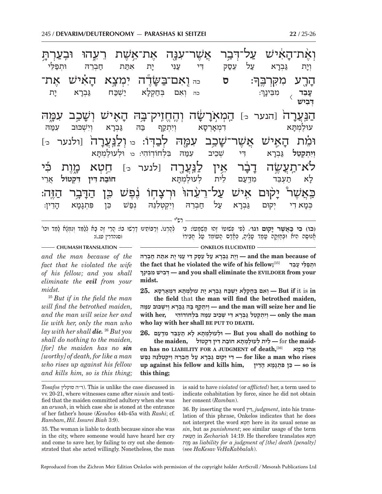,<br>**(כו) כִּי כֵּאשׁר יִקוּם וגו'. לפי פֹּזוּטוֹ זהוּ מֹזמִטוֹ: כּי** (כו) כִּוּ בַּאֲשֶׁר יָקוּם וגוי. לְפִי פְשׁוּטוֹ זֶהוּ מַשְׁמָטוֹ: כִּי ۖ לְהָרְגוֹ. וְרַבּוֹתֵינוּ דָרְשׁוּ בוֹ: הֲרֵי זֶה בָּא לְלַמֵּד וְנִמְגָא לָמֵד וכו'<br>אֲנוּסָה הָיא וּבְחֵזְקָה עֲמַד עֲלֵיהֶ, כְּאֲדָם הֻטוֹמַד עֲ רש"י **וְאֶׁת־הָא**ִ ֿזָאִישׁ עַלְ־דְּבַר אֲשֶׁר־עִנָּה אֶת־אֵשֶׁת רֵעֵהוּ וּבְעַרְתָּ .<br>ล. : **ס** כה ו ִ אם־בּ שֶּׂ֞ -ּעָׂדֶה יִמְצָא הָא<u>ִ</u> ֿזאַישׁ אָת־ ה-ֿיָרֶע מִקְּרְבֶּ<mark>ךְ</mark> ערה הנער כ<sub>'</sub>] **המארשה** [ המאו והחזי ֿאַישׁ וְשָׁ עמה ּוּמֵׁת הָ  $\boldsymbol{W} \boldsymbol{\aleph}$ עמה לבדוֹ: c ולנערה [ולנער <sub>כ׳</sub>] לֹא־תַעֲשֶׂה דָבָ  $\frac{1}{2}$ ָ־בֹֽר אֵין לַנִּעֲרֶה [לנער כּ] חֵטְא כָגֶוֶת כִּי ֿכַּאֲשֶׁר<sup>ַ</sup> יָל ֿקױם אָישׁ עַל־רֵעָהוּ<sub>ּ</sub> ױִרְצָדְ ּיְחָוֹ נֶׁפָּשׁ כֵּן הַדָּ ר הַזֶּה:  $\Xi$ ְוי-ת גַּבְרָ א עַל עֵסַק דִּי עַנִּי יָת א ית אתּת חברה ָ : כה הְוֹאָם בְּחַקְלָ $\,$ ישכּח גַבְרַא יַת **עֵבֵד** *,* מִבֵּינָ ך  $\overline{\langle}$  **ְדּ ִבישׁ** למתא דמאר  $N<sub>D</sub>$ וְיָתְקֵף בַּהּ גַּבְרַא שׁכּוּב עמה **וְיִתְקְטֵל גַּבְרָא** - ו שְׁבֵיב עָמַה בִּלְחוֹדוֹהִי: <sub>כו </sub> למתא ל-א תַעְבֵּד מִדְעַם לֵית לְעוּלֶמְתָּ א **חוֹב ת ִדּין ִדּ ְקטוֹל** ֲאֵרי כִּמַא דִי יִקוּם גַּבִרַא חַבְרֵהּ וְיִקְטְלִנֵּהּ נִפַּשׁ כֵּן :ָמָא הָ ֵ דין:

**CHUMASH TRANSLATION - <b>ONKELOS** ELUCIDATED -

*and the man because of the fact that he violated the wife of his fellow; and you shall eliminate the evil from your midst.*

<sup>25</sup> *But if in the field the man will find the betrothed maiden, and the man will seize her and lie with her, only the man who lay with her shall die.* <sup>26</sup> *But you shall do nothing to the maiden, [for] the maiden has no sin [worthy] of death, for like a man who rises up against his fellow and kills him, so is this thing;*   **of because man the and — ְוָי ת גּ ְבָר א ע ֵל עס ִק דּ י ע ִנּ ָ י י ִת אתּ ת ח ְבֵרהּ the fact that he violated the wife of his fellow;**[35] **בדֵע י ָ לֵּ פוּת ְ ְ ינךָ בֵּמ ישׁ ִ בִ דְּ — and you shall eliminate the EVILDOER from your midst.**

25. אָבּרא יָת עוּלַמְתָּא דְמְאַרְסָא – But if it is in

**the field** that **the man will find the betrothed maiden, lie and her seize will man the and — ְוִי ְתק ף בּ הּ גּ ְבָר ְא וִי ְשׁ ִ כּוּב עמּהּ man the only — ְוִי ְת ְקֵט ל גּ ְבָר ִא דּ ְ י שֵׁכ ִ יב עמּ ִהּ בּ ְל ִ חוֹדוֹהי ,her with who lay with her shall BE PUT TO DEATH.**

 **to nothing do shall you But — ְוּל ֶעוּל ְמָתּ ָא ל א ת ְעֵבּ ִ ד מדּ: עם 26.**

the maiden, לית לְעוּלָמְתָא חוֹבַת דִּין דִּקְטוֹל<br>אַרֵי בְּמָא – for the maiden has no LIABILITY FOR A JUDGMENT of death, אֲרֵי בִּמָּא  **rises who man a like for — ִד ְ י י קוּם גּ ְבָר א ע ל ח ְבֵר ְהּ וִי ְק ְט ִלֵנּ ְהּ נפשׁ up against his fellow and kills him,** בין פּתגמא הדין — so is **this thing;**

*Tosafos* סוקלין ה"ד(. This is unlike the case discussed in vv. 20-21, where witnesses came after *nisuin* and testified that the maiden committed adultery when she was an *arusah*, in which case she is stoned at the entrance of her father's house (*Kesubos* 44b-45a with *Rashi*; cf. *Rambam*, *Hil. Issurei Biah* 3:9).

35. The woman is liable to death because since she was in the city, where someone would have heard her cry and come to save her, by failing to cry out she demonstrated that she acted willingly. Nonetheless, the man

is said to have *violated* (or *afflicted*) her, a term used to indicate cohabitation by force, since he did not obtain her consent (*Ramban*).

36. By inserting the word דּיןִ, *judgment*, into his translation of this phrase, Onkelos indicates that he does not interpret the word טאְ חֵ here in its usual sense as *sin*, but as *punishment*; see similar usage of the term טּאתח in *Zechariah* 14:19. He therefore translates טאְ ח ֵ ותֶמ as *liability for a judgment of [the] death [penalty]* (see *HaKesav VeHaKabbalah*).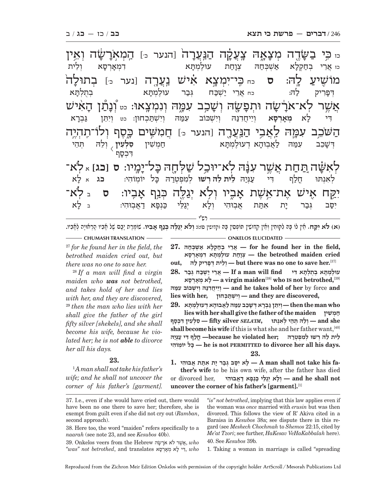| <sub>ײ</sub> ַ בִּשְׂדֶה מְצָאֶהּ צֶעֲקָה הַנַּעֲרָה <sup>ָ</sup> וַהנער <sub>י</sub> ַ הָמְאָרָשָׂה וְאֵין |
|-------------------------------------------------------------------------------------------------------------|
| <sub>כז</sub> אֲרֵי בְחַקְלָא אַשְׁבְּחַהּ צְוָחַת עוּלֶמְתָּא<br>ולית<br>דִמְאַרְסָא                       |
| מוֹשֶׁיעַ לֶהּ: ס בחַבְּי־יִמְצָא אִישׁ נַעֲרֶה [נער בּ] בְתוּלָה                                           |
| דְּפָרִיק לַהּ: دחאֲרֵי יַשְׁכַּח גְּבַר עוֹלֶמְתָא בְּתֻלְתָּא                                             |
| אֲשֶׁר לְא־אֹרָשָׁה וּתְפָשֶׂה וְשָׁבַב עִמֶּה וְנִמְצְאוּ: כּי וְנָתַנ הָאִיש                              |
| דִּי לָא מְאָרְסָא וְיֵיחֲדְנַהּ וְיִשְׁכּוֹב עִמַּה וְיִשְׁתַּכְחוּן: <sub>כֹּט</sub> וְיִתֵּן<br>גַּבְרָא |
| הַשֹּׁבֵב עִמָּה לַאֲבִי הַנַּעֲרֶה וַהנער מּ] חֲמִשִּׁים בֶּסֶף וְלוֹ־תֶהְיֶה                              |
| דִשָּׁבֵב עִמַּה לַאֲבִוּהָא דְעוּלֶמְתָּא — חַמְשִׁין <b>סִלְעִין</b> וְלֵה<br>הֲנדֵי<br>דִּכְסַף          |
| לְאִשָּׁה <u>ַתּחַ</u> ת אֲשֶׁר עִבָּה לְא־יוּבַל שַׁלְחֶה בָּל־יָמֶיוּ: ס [כג] <sub>"</sub> לְא־           |
| לְאוּתוּ חֱלַף דִּי עַנְּיַה <b>ּ לִית<sup>ָ</sup>לֵה רְשוּ</b> לְמִפְטְרַהּ כָּל יוֹמְוֹהִי:<br>בג אַלָא   |
| יִקַח אֶישׁ אֶת־אֵשֶׁת אֲבִיוּ וְלָא יְגַלֶּה בְּנַף אָבְיוּ: ס בּלְא־                                      |
| גְּבַר יָת אִתַּת אֲבְוֹהִי וְלָא יְגַלֵּי כַּנְפָא דַאֲבְוּהִי: בּלָא<br>יִסַב                             |
|                                                                                                             |

(א) **לא יקח.** אין לו בּה לקוּחִין ואין קדוֹשין תּוֹפְסין בּה (קדושין סו:)**: ולא יגלה בנח אביו.** שומרת יבס של אביו הראויה לאביו.

<sup>27</sup> *for he found her in the field, the betrothed maiden cried out, but there was no one to save her.*

<sup>28</sup> *If a man will find a virgin maiden who was not betrothed, and takes hold of her and lies with her, and they are discovered,*  <sup>29</sup> *then the man who lies with her shall give the father of the girl fifty silver [shekels], and she shall become his wife, because he violated her; he is not able to divorce her all his days.*

### **23.**

1  *A man shall not take his father's wife; and he shall not uncover the corner of his father's [garment].* 

**CHUMASH TRANSLATION ONELOS ELUCIDATED** 

 **,field the in her found he for — ֲאֵר ְ י בח ְק ָל א א ְשׁ ְכּח הּ 27. cried maiden betrothed the — ְצָוח ֶ ת עוּל ְמָתּ ִא ד ְמָאְרָסא out, להּ יק רִפָדּ ית ְ לֵוְ — but there was no one to save her.**[37]

**ֶ עוּל ְמָתּ ְא בֻת ְלָתּ ִא דּי find will man a If — ֲאֵר י י ְשׁכּ ְח גּבר 28. סאָרְאָמ אְ לָ — a virgin maiden**[38] **who IS not betrothed,**[39]  **and** force by **her of hold takes he and — ְוֵי ֲיחִדנּ ְהּ וִי ְשׁ ִ כּוֹב עמּהּ lies with her, כחוּןְ תּשְׁ יִוְ — and they are discovered,**

 **who man the then — ְוִיֵתּ ן גּ ְבָר ְא דּ ָשֵׁכ ִב עמּ הּ לֲא ָבוּה ְא ד ֶעוּל ְמָתּא 29. lies with her shall give the father of the maiden שׁיןִ מְ ח she and — ְוֵל ְהּ תֵּה ְ י ל ִאְנתּוּ ,***IM'SELA* **silver fifty — ִס ְל ִע ִ ין דּ ְכָסף** shall become his wife if this is what she and her father want,<sup>[40]</sup> **ֵ ל ֵ ית ל ְהּ ר ְ שׁוּ ל ִמ ְפ ְטרהּ ;her violated he because —ֳחל ִף דּ י עְנּיהּ וֹהיִ יוֹמ ל ֽ כָּ — he is not PERMITTED to divorce her all his days. 23.**

**1. בוּהיִ א תֲ תּא תִ י רָ בגּ בְ סּי אִ לָ — A man shall not take his father's wife** to be his own wife, after the father has died

 **not shall he and — ְו ָל ְא יגֵלּ י כְּנָפ א דֲא ִבוּהי** ,her divorced or **uncover the corner of his father's [garment].**[1]

*"is" not betrothed*, implying that this law applies even if the woman was *once* married with *erusin* but was then divorced. This follows the view of R' Akiva cited in a Baraisa in *Kesubos* 38a; see dispute there in this regard (see *Meshech Chochmah* to *Shemos* 22:15, cited by *Me'at Tzori*; see further, *HaKesav VeHaKabbalah* here). 40. See *Kesubos* 39b.

1. Taking a woman in marriage is called "spreading

<sup>37.</sup> I.e., even if she would have cried out, there would have been no one there to save her; therefore, she is exempt from guilt even if she did not cry out (*Ramban*, second approach).

<sup>38.</sup> Here too, the word "maiden" refers specifically to a *naarah* (see note 23, and see *Kesubos* 40b).

<sup>39.</sup> Onkelos veers from the Hebrew יָאֵשׁר לֹא ארָשָׂה, who  $\degree$ *was" not betrothed*, and translates רִיי לָא מְאָרְסָא, who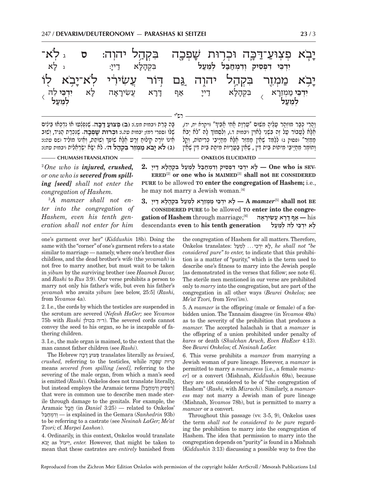| יָבָא פְּצְוּעַ־דַּכְּה וּכְרָוּת שָׁפְכָה בִּקְהַל יהוְה: ס גלְא־<br>ג לַא                                                      | בִּקְהָלָא דַייַ: |  | יִרְכֵּי דִפְסִיק וְדִמְחַבַּל לְמֵעַל                                                   |  |
|----------------------------------------------------------------------------------------------------------------------------------|-------------------|--|------------------------------------------------------------------------------------------|--|
| יָבָא מַמְזֶר בִּקְהַל יהוֶה גַּם דְּוֹר עֲשִׂירִי לְא־יַבְא לוֹ<br>דָרָא עֲשִׂירָאָה לָא יִדְבֵּי לֵה <sub>ּ )</sub><br>לְמֵעַל |                   |  | יִדְבֵּי מַמְזֵרָא ֻבִּקְהָלָא דַייָ אַף וָ<br>יִדְבֵּי מַמְזֵרֵא בִקְהָלָא דַייָ אַף וָ |  |

ְבָּה כָּרֵת (יבמות מט.)**: (ב) פְצוּעַ דַבֶּה.** שֶׁנִּפְלְטוּ אוֹ נִדְכְּאוּ בֵּילִים<br>שֶׁלוּ (ספרי רמז; יבמות טה.)**: וּבְרוּת שַׁפְּבָה.** שֶׁנִּכְרַת הַגִּיד, וְשׁוּב<br>אינו יוֹרה הילוּח זרט אלא שוֹפּדּ ושוֹתת. ואינו מוֹליד **(ג) לֹא יבֹא מ ְ מֵז ִר בּ ְקה** َ שָׁלּוֹ (ספרי רמז; יבמות עה): **וּבְרוּת שֶׁפְבָה**. שֶׁנִּכְרַת הַגִּיד, וְשׁוּב<br>אֵינוֹ יוֹרָה קִילוּח זֵרַע אָלָא שׁוֹפַךְ וְשִׂוֹתֶת, וְאִינוֹ מוֹלִיד (שִׁם עה:):

**CHUMASH TRANSLATION ONKELOS ELUCIDATED** 

2  *One who is injured, crushed, or one who is severed from spilling [seed] shall not enter the congregation of Hashem.*

3  *A mamzer shall not enter into the congregation of Hashem, even his tenth generation shall not enter for him* 

ָוהָרי כבר מוּזהֶר עליה משוּם "עַרוֹת חִסי חבידּ" וויקרא יה. יד). ְָהָלֶא לַעֲבוֹר טַל זֶה בִּשְׁנֵי לַאוֹין ויבמות ד.), וְלִסְמוֹךְ לָה "לֹא יָבֹא<br>מִמוֹר" ופסוה ג) ללמד שאין ממזר אלא מחייבי כריתוֹת. והל מְמִזר" (פסוק ג) לְלַמֵּד שָׁאֵין מִמְזֶר אֲלָא מִחַיִּבֵי כְּרִיתוֹת, וְקַל וַחוֹמֵר מֵחַיֵּבֵי מִיתוֹת בִּית דִּין , שֵׁחֵין בַּעֲרָיוֹת מִיתַת בֵּית דִּין שֶׁאֵין

 $ERED^{[2]}$  or one who is MAIMED<sup>[3]</sup> shall not BE CONSIDERED 2. יִרְבֵּי דִפְסִיק וַדְמְחַבָּל לְמְעָל בִקְהָלָא דַיִי One who is SEV-**PURE** to be allowed **TO enter the congregation of Hashem;** i.e., he may not marry a Jewish woman.[4]

 **BE not shall**] 5[*mamzer* **A — ָל ִא יְדֵכּ י מ ְמֵזָר ְא לֵמע ִ ל בּ ְק ָה ָל א ד ָיי 3. CONSIDERED PURE** to be allowed **TO enter into the congregation of Hashem** through marriage;[6] **אהָירָ שִׂ ע אֲ רָדּ ףָ א —** his **ָ ל ִא יְדֵכּ ֵ י ל ְהּ לֵמעל generation tenth his** to **even** descendants

one's garment over her" (*Kiddushin* 18b). Doing the same with the "corner" of one's garment refers to a state similar to marriage — namely, where one's brother dies childless, and the dead brother's wife (the *yevamah*) is not free to marry another, but must wait to be taken in *yibum* by the surviving brother (see *Haamek Davar,*  and *Rashi* to *Rus* 3:9). Our verse prohibits a person to marry not only his father's wife, but even his father's *yevamah* who awaits *yibum* [see below, 25:5] (*Rashi,*  from *Yevamos* 4a).

2. I.e., the cords by which the testicles are suspended in the scrotum are severed (*Nefesh HaGer;* see *Yevamos*  75b with *Rashi* בכולן ה"ד(. The severed cords cannot convey the seed to his organ, so he is incapable of fathering children.

3. I.e., the male organ is maimed, to the extent that the man cannot father children (see *Rashi*).

The Hebrew כּהדּ צוּע פְּ translates literally as *bruised, crushed,* referring to the testicles, while כהפְשׁ רוּת כְּ means *severed from spilling [seed],* referring to the severing of the male organ, from which a man's seed is emitted (*Rashi*). Onkelos does not translate literally, but instead employs the Aramaic terms [רְפְסִיק וְדְמְחַבֵּל] that were in common use to describe men made sterile through damage to the genitals. For example, the Aramaic בלחֲ) in *Daniel* 3:25) — related to Onkelos' בּלחמְ דִוְ — is explained in the Gemara (*Sanhedrin* 93b) to be referring to a castrate (see *Nesinah LaGer; Me'at Tzori;* cf. *Marpei Lashon*).

4. Ordinarily, in this context, Onkelos would translate אֹיב as ייעוֹלֵ, *enter.* However, that might be taken to mean that these castrates are *entirely* banished from

the congregation of Hashem for all matters. Therefore, **Onkelos** translates: לָא יִדְכֵּי... לְמֵעַל, he shall not "be *considered pure" to enter,* to indicate that this prohibition is a matter of "purity," which is the term used to describe one's fitness to marry into the Jewish people [as demonstrated in the verses that follow; see note 6]. The sterile men mentioned in our verse are prohibited only to *marry* into the congregation, but are part of the congregation in all other ways (*Beurei Onkelos;* see *Me'at Tzori,* from *Yerei'im*).

5. A *mamzer* is the offspring (male or female) of a forbidden union. The Tannaim disagree (in *Yevamos* 49a) as to the severity of the prohibition that produces a *mamzer.* The accepted halachah is that a *mamzer* is the offspring of a union prohibited under penalty of *kares* or death (*Shulchan Aruch, Even HaEzer* 4:13). See *Beurei Onkelos;* cf. *Nesinah LaGer.*

6. This verse prohibits a *mamzer* from marrying a Jewish woman of pure lineage. However, a *mamzer* is permitted to marry a *mamzeress* [i.e., a female *mamzer*] or a convert (Mishnah, *Kiddushin* 69a), because they are not considered to be of "the congregation of Hashem" (*Rashi,* with *Mizrachi*). Similarly, a *mamzeress* may not marry a Jewish man of pure lineage (Mishnah, *Yevamos* 78b), but is permitted to marry a *mamzer* or a convert.

Throughout this passage (vv. 3-5, 9), Onkelos uses the term *shall not be considered to be pure* regarding the prohibition to marry into the congregation of Hashem. The idea that permission to marry into the congregation depends on "purity" is found in a Mishnah (*Kiddushin* 3:13) discussing a possible way to free the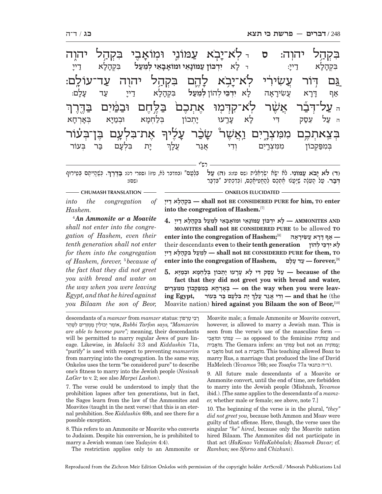רש"י ִבּ ְקה ֽ a ל יהוה: **ס** <sup>ד</sup> ֽ לֹא־י-עמוני יהוה ֶגַּם דְּוֹר עֲשִׂירִי לְא־י<del>ָ</del> ּבְא לָ ְיֶהֶם בִּקְהַל יהוֻה עַד־עוֹלֶם: ׅ֧֧֢ׅ֖֖֖֖֖ׅ֖֧֚֚֚֚֚֚֚֚֚֚֚֚֚֚֓֝<u>֚</u> ה **עַל־דְּבֵּר אֲשֶׁר לְא־קִדְּמָוּ אֶתְבֶם** בַּלֶּחֶם וּבַמַּיִם בַּדֱרֶךְ .<br>-<br>1 ָ אֶת־בִּלְעֲם בֶּן־בְּעֹוֹר בְּצִאתְכֶם מִמִּצְרֶיִם וַאֲשֶׁר<sup>ַ</sup> שָׂכַ טֲבַ**ׁר עָ**ל <u>ָי</u>לִיך ִבּ ְקה-ַיָּל דייַ: : <sup>ד</sup> ל- א **ִיְדכּוֹן ע מּוֹנֵ אי וּמוֹא בֵ אי ְלֵמע ָּנ<sup>ָ</sup>ל בִּקְ**הָ ַיָּל א דַייִ דיי אַף יִרָא *יְ* א *עֲ*שִׂירָ א-ה לָ א **ִיְדֵכּי** ְ להוֹן **ְלֵמע** ב**ק**ד ַיֹּלְ דיי ַעֲר עָ ְנַלְ ם: ה עַל עֵסַק הִי ל א ע-נְרְעוּ יָו יתכון א וּבְמַיָּא ו*ִּ* א בּא-**้**<br>วุ้มา א ְ י ִ -יַת בִּלְעַם בר בעור בִּמִפַּקָכוֹן מִמִּצְרֵיִם וִדִי אֵגַר ך

**(ד) לֹא יבֹא ע ִ מּוֹני.** לֹ ִא יָשּׂ ִא י ְשְׂרֵאִלית (שם עז:): **(ה) ע ל**  י היי די שְׂיֹי אִת שִׁי*ְּע יִהְ יְעֲיָת עִפּ שִׁיְּה יָתָ* שִׁיְּת שִׁיְּת שִׁיְּת עַל שִׁיְתָּל. **ְ**בִּלְ**טָם" (בּמדבר לא, טז)] (ספרי רט: בַּדֶּרֶךְ.** בְּשֶׁהֱיִיתֶם בְּטֵירוּף<br>סט:

**CHUMASH TRANSLATION - CHUMASH TRANSLATION - CHUMASH TRANSLATION** 

*into the congregation of Hashem.*

<sup>4</sup>*An Ammonite or a Moavite shall not enter into the congregation of Hashem, even their tenth generation shall not enter for them into the congregation of Hashem, forever,* <sup>5</sup>  *because of the fact that they did not greet you with bread and water on the way when you were leaving Egypt, and that he hired against you Bilaam the son of Beor,* 

**ייָ ד א לָ הָ קְ בִּ — shall not BE CONSIDERED PURE for him, TO enter**  into the congregation of Hashem.<sup>[7]</sup>

 **AND AMMONITES — ָל ִא יְד כּוֹן ע ָמּוֹנֵא ָ י וּמוֹאָבֵא ְ י לֵמע ִ ל בּ ְק ָה ָל א ד ָיי 4. MOAVITES shall not BE CONSIDERED PURE** to be allowed **TO — א ָף דָּר ֲא ע ִשׂ ָירָאה** [8]**;Hashem of congregation the into enter ָ ל ִא יְדֵכּ ְ י להוֹן generation tenth their** to **even** descendants their **TO ,them for PURE CONSIDERED BE not shall — ְלֵמע ִל בּ ְק ָה ָל א ד ָיי enter into the congregation of Hashem, לםָ ע דָ ע — forever,**[9]

 **the of because — ע ֵ ל עס ִ ק דּ ָ י ל ָא עָר ָ עוּ י ְת ְ כוֹן בּל ְחָמ ְ א וּבמָיּא 5. fact that they did not greet you with bread and water, ְ**— cn the way when you were leav<mark>- בְּאָרְחָא בְּמִפַּקְכוֹן מִמִּצְרָיִם</mark><br>— וִדִי אֵנֵר עֵלְךְ יָת בִּלְעָם בַּר בִּעוֹר — and that he (the the(**he that and — ְוִד ֲ י אג ֲר ע ָלך** Moavite nation) **hired against you Bilaam the son of Beor,**[10]

descendants of a *mamzer* from *mamzer* status: רפוֹןְט י בִּ ר אוֹמֵר יְכוֹלִין מַמְזֵרִים לְטֵהֵר,  $Rabbi$  Tarfon says, "Mamzerim *are able to become pure";* meaning, their descendants will be permitted to marry regular Jews of pure lineage. Likewise, in *Malachi* 3:3 and *Kiddushin* 71a, "purify" is used with respect to preventing *mamzerim*  from marrying into the congregation. In the same way, Onkelos uses the term "be considered pure" to describe one's fitness to marry into the Jewish people (*Nesinah LaGer* to v. 2; see also *Marpei Lashon*).

7. The verse could be understood to imply that the prohibition lapses after ten generations, but in fact, the Sages learn from the law of the Ammonites and Moavites (taught in the next verse) that this is an eternal prohibition. See *Kiddushin* 69b, and see there for a possible exception.

8. This refers to an Ammonite or Moavite who converts to Judaism. Despite his conversion, he is prohibited to marry a Jewish woman (see *Yadayim* 4:4).

The restriction applies only to an Ammonite or

Moavite male; a female Ammonite or Moavite convert, however, is allowed to marry a Jewish man. This is seen from the verse's use of the masculine form and ע ִמּוֹנית feminine the to opposed as *—* ע ִמּוֹנ י וּמוֹא ִבי ביתִ מוֹא *.* The Gemara infers: an מּוֹניִ ע but not an מּוֹניתִ ע *;* a ביִ מוֹא but not a ביתִ מוֹא *.* This teaching allowed Boaz to marry Rus, a marriage that produced the line of David HaMelech (*Yevamos* 76b; see *Tosafos* 77a כתנאי ה"ד(.

9. All future male descendants of a Moavite or Ammonite convert, until the end of time, are forbidden to marry into the Jewish people (Mishnah, *Yevamos*  ibid.). [The same applies to the descendants of a *mamzer,* whether male or female; see above, note 7.]

10. The beginning of the verse is in the plural, *"they" did not greet you,* because both Ammon and Moav were guilty of that offense. Here, though, the verse uses the singular *"he" hired*, because only the Moavite nation hired Bilaam. The Ammonites did not participate in that act (*HaKesav VeHaKabbalah; Haamek Davar;* cf. *Ramban;* see *Sforno* and *Chizkuni*).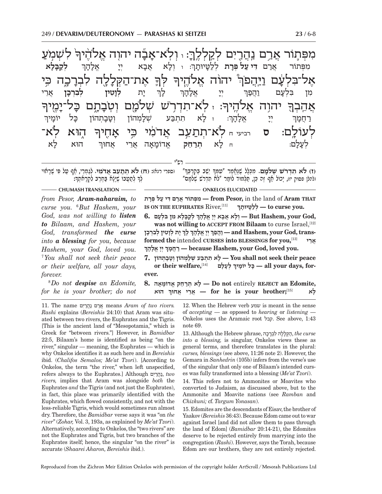לִשְׁמִׂעַ .<br>ค' מפתור ארם נהרים לקללה: ּו ־אל ֿאַבָּה יהוָה אֱלֹהֶיך<sup>ֶּי</sup> את־ה ְלָה לִבְרָ רַכֶה כִּי ์<br>ก - ְ לּך יהוה א ְ אָל<sup>-</sup>בִּלְעָׄ עָם <u>ויּה</u>ִפֹן <u>.</u><br>-1 ולה: : ז ֽ לֹ ִא־תְד֥רֹ ְשׁ שׁלֹמ ְ ם ו ֽטֹב-خَتَرَ ذَ יל־י<br>י <u>ְ</u>ׂמֻיך הוה .<br>-<br>1 **ְא**ֲהָבְךָ .<br>וך ַ הֶוּא לְאֹ־ לְעוֹלָם: ס<sub>ַ רביעי ח</sub>ַ לְא־תְתַעֵּב אֲדֹמִ֫י כִּי אָ <mark>ب</mark>آدك ְ **ְלק בּ ל א** וְרָא אַ אַבָא יִ  $\zeta$   $\zeta$   $\zeta$   $\zeta$ אל: ה- ך מפּתוֹר ארם פּרַת יוּת- ך  $\frac{1}{\tau}$  - ת **ְלו ִ ט ְ ין ל ִבְרכ ן** ֲאֵרי : לַנ  $\sum_{i=1}^{N}$ אָלָהָך מז וַ הַפַּך ׇׅ֧֧֧֦֧֢ׅ֖֖֧֓֝֬֓֓֓֓֓֓<u>֓</u>  $\mathsf{R}$  : ז לָא ר תתבּע מהוֹן ּוָבְתְהוֹן כָּ יִל יוֹמָ יך  $\sum_{\tau}$   $\sum_{\tau}$ אָלָהָר " <u>ׁר</u>ִ חֲמָ  $\mathcal{I}$ הוּא א לְעָ ַנְלַ ם: <sup>ח</sup> ל- א **ְתרֵ** .<br>ר**ִחֵק אֱדוֹמָאָה א**ֲ ארי אחוּר

רש"י

(ספרי רנא): **(ח) לֹ ְא תתֵ ע ֲב אדֹ ִמי.** ְלג ְ מֵרי, א ף ע ִ ל פּ ֶ י שָׁראוּי ) **כא <u>תְּתַ</u>עֵב אֲדמִי.** נְגַמְרֵי, חַןְ<br>לךּ לתִטְבוֹ שִׁיּלַא בּחרב לקראתך**:** ָ

 " ָ ֵ יֵשׁ ְב בִּקְרְבּך **(ז) לֹ ִא תְדרֹ ְשׁ שׁלֹמ ם.** ִ מ ְכָּל ֶ ל שֶׁנֱּאמ ִ ר "ע ְמּך ָ(להלן פסוק יז), יכוֹל אף זה כּן, תִּלְמוּד לוֹמר "לֹא תדרש שלֹמִם"

#### **CHUMASH TRANSLATION ONKELOS ELUCIDATED**

*from Pesor, Aram-naharaim, to curse you.* <sup>6</sup>  *But Hashem, your God, was not willing to listen to Bilaam, and Hashem, your God, transformed the curse into a blessing for you, because Hashem, your God, loved you.*  7  *You shall not seek their peace or their welfare, all your days, forever.*

8  *Do not despise an Edomite, for he is your brother; do not* 

 **THAT Aram** of land the in **,Pesor from — ִמ ְפּ ֲ תוֹר אר ִם דּ י ע ְל פָּרת IS ON THE EUPHRATES** River,  $[11]$ **.you curse to — ְללָטּ ָ יוּתך**

**ְ** $\mathbf{G}$ . וּלָא אָבָא יִיְ אֱלְהָךְ לְקַבָּלָא מִן בִּלְעָם  $\mathbf{B}$ ut Hashem, your God, was not willing to ACCEPT FROM Bilaam to curse Israel,<sup>[12]</sup> **ְ ָ י ְת לָו ִט ְ ין ל ִבְרָכן ָ לך ְ יָי ֱ אָל ָהך פךהֲו —and Hashem, your God, trans-ְְformed the** intended **CURSES into BLESSINGS for you,**[13] **ריֵא ֲ ְ ְְ יָי ֱ אָל ָהך מךָחֲר — because Hashem, your God, loved you.**

 **peace their seek not shall You — ָל ִא ת ְתבּ ְ ע שָׁל ְמ ְ הוֹן וָטָב ְתהוֹן 7. ְ ְ לָע ָלם** [14]**,welfare their or יוֹמיך ל ָ כָּ — all your days, forever.**

**,Edomite an REJECT** entirely **not Do — ָל ְא תר ֵח ֱ ק א ָדוֹמָאה 8.** *יָ הוּאָרוּ אֲחוּךְ* הוּא [15] *A***Y and the set of he is your brother;** 

**11.** The name אֲרָם נַהֲרַיִם means Aram of two rivers. *Rashi* explains (*Bereishis* 24:10) that Aram was situated between two rivers, the Euphrates and the Tigris. [This is the ancient land of "Mesopotamia," which is Greek for "between rivers."] However, in *Bamidbar*  22:5, Bilaam's home is identified as being "on the river," singular — meaning, the Euphrates — which is why Onkelos identifies it as such here and in *Bereishis*  ibid. (*Chalifos Semalos; Me'at Tzori*). [According to Onkelos, the term "the river," when left unspecified, refers always to the Euphrates.] Although יםִרהֲנ, *two rivers,* implies that Aram was alongside *both* the Euphrates *and* the Tigris (and not just the Euphrates), in fact, this place was primarily identified with the Euphrates, which flowed consistently, and not with the less-reliable Tigris, which would sometimes run almost dry. Therefore, the *Bamidbar* verse says it was "on *the river*" (*Zohar,* Vol. 3, 193a, as explained by *Me'at Tzori*). Alternatively, according to Onkelos, the "two rivers" are not the Euphrates and Tigris, but two branches of the Euphrates itself; hence, the singular "on the river" is accurate (*Shaarei Aharon, Bereishis* ibid.).

12. When the Hebrew verb שמע is meant in the sense of *accepting —* as opposed to *hearing* or *listening* — Onkelos uses the Aramaic root קבל. See above, 1:43 note 69.

 *curse* ,הַקּללָה לִבְרַכָה ,the curse ,הַקּללָה ל *into a blessing,* is singular, Onkelos views these as general terms, and therefore translates in the plural: *curses, blessings* (see above, 11:26 note 2). However, the Gemara in *Sanhedrin* (105b) infers from the verse's use of the singular that only one of Bilaam's intended curses was fully transformed into a blessing (*Me'at Tzori*).

14. This refers not to Ammonites or Moavites who converted to Judaism, as discussed above, but to the Ammonite and Moavite nations (see *Ramban* and *Chizkuni;* cf. *Targum Yonasan*).

15. Edomites are the descendants of Eisav, the brother of Yaakov (*Bereishis* 36:43). Because Edom came out to war against Israel [and did not allow them to pass through the land of Edom] (*Bamidbar* 20:14-21), the Edomites deserve to be rejected entirely from marrying into the congregation (*Rashi*). However, says the Torah, because Edom are our brothers, they are not entirely rejected.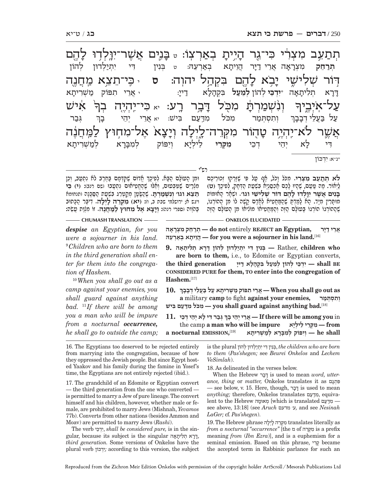תְתַעֵּב מִצְרִ֫י כִּי־גֶר הָ היית בְאַרְצְוֹ: <sub>ט</sub> בָּ יֶנֵים אֲשֶׁר־יִוֳּלְדָוּ לָ باتاط ּדְּוֹר *שְׁלִיש*ֶי י ֥בֹא ל-הָם בִּקְהַל יהוְה: סּ <sub>י</sub> כִּי־תֵצֵא מַחֲנֶה<del>'</del>  $\dot{\mathbf{v}}$ אִיש .<br>ค. <u>-</u><br>-โ ڹ*ٚ*ڹٚڣؚڝؚڗڿ תּ ִ מ֖ ֹכּל דּ-רָבְר רָע: <sub>יא</sub> כִּי־יְהְיֶה בְךָ <del>-</del> <u>עַל־אָיְב</u>ֶיך ֿאֲשֶׁר לֹא־יִהְיֶיָה טָ**ז** ּוָהָוֹר מִקְּרֵה־לֵיְלָה וְ ה וְי<mark>ּ</mark> יצ.<br>-יָא אָל־מִחְוּץ לַמְּחֲנֶה **ְתרֵ חק** ִמ ְצר-ָ־אָה א ה אֲרֵי דַיָּר ד<mark>ָ</mark> הויתא א באְ רֵעהּ: <sup>ט</sup> ְבִּנ ִ ין דּ ִ י י ְתי ְ ל ְ דוּן להוֹן דּ-ְיִרְא וְ א ת ִלית- א- ה \***ִיְדֵכּי** ְ להוֹן **ְלֵמע ֿגל** בִּקְהָלָ :<u>דיי</u> : י אֲרֵי תִפּוֹק מַשְׁרִיתָ א ְ ְגּב ר ְ וְתִסְתְּמַר מִכֹּל מִדְעַם בִּישׁ: יֹא אֲרֵי יְהֵי בָ בָך ַעַל בַּעֲלֵי דְבָ בְבָ ך דִי לַא יִהֵי א יֵה ְ י דֵכי **ִמ ְקֵּרי** ֵל ְילי ְ -ויפוֹק מברא א לְמַ*שְׁרִיתָ*  א \*נ"א: ִ יְדכּוֹן

רש"י

ְוּמִן הָטוֹלָם הַבָּא. לְפִיכֶךְ אֱדוֹם שֶׁקִּדְמָם בַּחֶרֶב לֹא נִתְטַב, וְכֵן<br>מִלְרַיִם שֶׁמַּבְּטוּם, וְאֲלוּ שֶׁהֶחֱטִיאוֹם נִתְטָבוּ ושם רנבז: (י) בִּוּ<br>תצא וגו׳ וגשמרת. שהשטו מקטרג בשטח הסכנה ותנחומא ָמִלְרַיִם שֶׁמִּבְּעוּם, וְחֵלוּ שֶׁהֶחֱמִיאוּם נִתְטָבוּ ושם רנב): (י) בִּוּ<br>ה**ֵצֵא וּגו**׳ וְנִשְׁמַּרְתָּ. שֵׁהֲשָׂטֶן מִקַטְרֵג בִּשְׁעַת הַסֵּכְּנֵה ותנחומא ויגש א; ירושלמי שבת ב, ו): **ִ (יא) מ ְקֵּרה לְ יל ה.** ִד ֶיבּר הָ כּתוּב בּ הֶֹווה (ספרי רנה): **ְוי צ ֶ א א ִל מחוּץ ל מֲּ חֶנה.** ִ זוֹ מְצו ֲ ת עֵשׂה:

**לֹ ְא תתֵ ע ִ ב מ ְצִרי.** ִמ ֹכּ ָ ל ו ֹכל, אף ע ִ ל פּ ֶ י שָׁזְּר ְ קוּ ז ֵכוּר ֶיכם ְי יויד. ש<sup>י</sup> יוֹר. מִה שִׁעָּה אִ יוֹר. מְלֹי הָ יוֹר. שִׁה יִן יִן לְפִיכֶךְ (ט)<br>לִיאוֹר. מה טּעם. שהיו לכם אִכְסְנִיא בּשׁעת הדְּחַק, לִפִיכֶךְ (ט) **בִּ נ ֲ ים א ֶשׁ ִר יוּ ְ לדוּ לֶ ה ְ ם דּוֹר שׁ ִל ִישׁי וגו'.** ְוּשָׁא ָר האוּמּוֹת ָמוּסֶּרִין מִיָּד. הָא לָמַדְםְ שֶׁהַמַּחֲטִיא לְאָדָם קָשֶׁה לוֹ מִן הַהוֹרְגוֹ,<br>שֵׁהֲהוֹרְגוֹ הוֹרְגוֹ בָּטוֹלֶם הַזֶּה וְהַמַּחֲטִיאוֹ מוֹלִיאוֹ מִן הָטוֹלָם הַזֶּה

**CHUMASH TRANSLATION ONKELOS ELUCIDATED** 

*despise an Egyptian, for you were a sojourner in his land.*  9  *Children who are born to them in the third generation shall enter for them into the congregation of Hashem.*

<sup>10</sup> *When you shall go out as a camp against your enemies, you shall guard against anything bad.* <sup>11</sup> *If there will be among you a man who will be impure from a nocturnal occurrence, he shall go to outside the camp;* 

**ֲ אֵר י דָיּר ,Egyptian an REJECT** entirely **not do — ְתר ֵח ִק מ ְצָרָאה** [16]**.land his in sojourner a were you for — ֲהֵו ָית ְא באְרֵעהּ**

 **who children** ,Rather **— ְבִּנ ִ ין דּ ִ י י ְתי ְל ְ דוּן ל ָ הוֹן דָּר ְא ת ִל ָיתָאה 9. are born to them,** i.e., to Edomite or Egyptian converts,  **BE shall — ִיְדֵכּ ְ י ל ְ הוֹן לֵמע ִ ל בּ ְק ָה ָל א ד ָיי generation third the CONSIDERED PURE for them, TO enter into the congregation of Hashem.**[17]

**10. ְ as out go shall you When — ֲאֵר ִ י ת פּוֹק מ ְשִׁר ָית א ע ל בֲּעֵל ְי דָבָבך a** military **camp** to fight **against your enemies, מרתְּ סְ תִ ו ְ** [18]**.bad anything against guard shall you — ִמ ֹכּ ִל מדּע ִם בּישׁ**

**ְ(** $\mathbf{r}$  בְּבֵר דִּי לְא יְהֵי דְבֵי  $\mathbf{r}$  If there will be among you in the camp **a man who will be impure יאָילְ ל י ֵ רֵקְּ מִ — from a nocturnal EMISSION, shall he — ְוִי ְ פּוֹק ל ִמָבָּר ְא למ ְשִׁר ָיתא** [19]

16. The Egyptians too deserved to be rejected entirely from marrying into the congregation, because of how they oppressed the Jewish people. But since Egypt hosted Yaakov and his family during the famine in Yosef's time, the Egyptians are not entirely rejected (ibid.).

17. The grandchild of an Edomite or Egyptian convert — the third generation from the one who converted is permitted to marry a Jew of pure lineage. The convert himself and his children, however, whether male or female, are prohibited to marry Jews (Mishnah, *Yevamos*  77b). Converts from other nations (besides Ammon and Moav) are permitted to marry Jews (*Rashi*).

The verb כּיֵדְיִ, *shall be considered pure,* is in the singular, because its subject is the singular אהית לִ ת אְ רדּ, *third generation.* Some versions of Onkelos have the plural verb דכּוֹןְיִ *;*according to this version, the subject  $i$  is the plural בִּנְין דִּי יִתְיַלְדוּן לְהוֹן, the children who are born *to them* (*Pas'shegen;* see *Beurei Onkelos* and *Lechem VeSimlah*).

18. As delineated in the verses below.

When the Hebrew ברדּ is used to mean *word, utterance, thing* or *matter,* Onkelos translates it as גםתְ פִּ — see below, v. 15. Here, though, ברדּ is used to mean *anything;* therefore, Onkelos translates עם? מדִּ , equivalent to the Hebrew מְאוּמָה [which is translated  $$ see above, 13:18] (see *Aruch* מדעם' ע*,* and see *Nesinah LaGer;* cf. *Pas'shegen*).

 $19$  The Hebrew phrase נִקְרֵה לְיִלָּה translates literally as *from a nocturnal "occurrence"* [the מ of רהֵקְּמִ is a prefix meaning *from* (*Ibn Ezra*)], and is a euphemism for a seminal emission. Based on this phrase, ריִקֶ became the accepted term in Rabbinic parlance for such an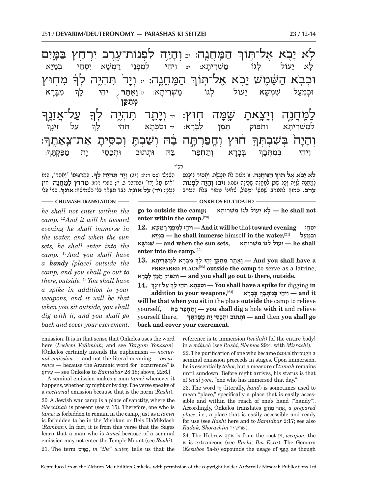**ְ ה מֲּ חֶנה.** ִ זוֹ מְצות לֹא תֲ עֶשׂ ְה. וָא ִ סוּר ל ָיכֵּנס **לֹא יבֹ ֶא אל תּוֹך** רש"י חנה: ַזְיָה לִפְנְוֹת־עֶרֶב יִרְחַץ בַּמֶּיִם ֥לֹא י-בִא אֶל־תִּוֹךְ ֔ ִ מ ֖חוּץ .<br>ค המחנה: ד תִּהְיֶה לְךָ, וּכְבְא הַשֶּׁמָ*יֹ*שׁ יָ א אל־תּוֹר .<br>-<br>| ִֿ עַל־אֲזֵנֶך <u>ุ</u><br>ค לַמֵּׁ חֲגֶה וְיָ צׁאתֿ. שמּה ה חְוּץ: <sub>יד</sub> וְי<mark>י</mark> תֵד תִּהְיֶה לְךָ $\frac{1}{2}$  $: \exists$ ً דווע וְחָפַרְתָּה ב<del>ָ</del> ה בָה וְשַׁבְהָ וְכִסִּיתָ א<sub>ָ</sub> אַת־צֵאַ זה<br>ז <u>ุ</u><br>-โ ְוה-י<br>י-ָה<sup>ָ</sup> בְּשִׁבְתְּךָ לְא יִ לגוֹ מֹשׂריתא: א: יב וִיהֵי לְמִפְנֵי רַמְשָׁא יִ א יִסְחֵי בְּמַי*ַּ*  א ְ ִמבּ- ר- $\aleph$ **וֲ את זר ְ יְהֵי לַ**  ך שמשׁא יעוֹל א יֵעוֹל לְגוֹ מַשְׁרִיתָא: <sub>יג</sub>  $\overline{\langle}$  **ְמת קּ ן** ֦֧֧֖֖֖֖֖֧֧ׅ֧֧֧֧֧֧֧֧֚֚֚֚֚֚֚֚֚֚֚֚֚֚֚֚֚֚֚֬֝֓֝֬֓֓֝֬֝֓֝֬֝֬֝֓֝֬֝֬֝ ֿ עַל זֵינ<mark>ָ</mark> ך לְמַשְׁרִיתָא <sub>וִ</sub> ותפּוֹק תִּמּוֹ ן לְבָ ר-וסכּתא תֵּהי ך ת מַפַּקְתָּך<del>ּ</del>: ָ<br>דְּבָרָא וְ א וְתַחְפַּר בַּה וּתְתוּב וּתְכַסֵּי יָ וִיהֵי בְּמִתְּבָךְ

**ָ .** ְכּתְ רגּוּמוֹ "וֲאת ְ ר", כּמוֹ הֶ שֶּׁמשׁ (שם רנו): **ְ (יג) וי ִ ד תּ ְהֶי ְה לך ָ .** ְכּ ְ מוֹ כֵּלי ִ"אישׁ ע ָ ל ידוֹ" (במדבר ב, יז; ספרי רנז): **ִמחוּץ ל מֲּ חֶנה.** חוּץ ָיִ יִי יִדְ עִל אִזֶנֶךָ, לְבַדְ תִּשְׁמֹר כְּלִי תְּשִׁתְּישֵׁךְ: אִזְנַךְ **ָ**

ְ ְ להֲ עֵר ִ ב שְׁמ ִ שׁוֹ י ְט ֶ בּוֹל, שֵׁא ָ ינוֹ ט ְ הוֹר בּלֹא הֲ עֵרב ְלמֲ חֵנ ְה לִוָיּ ְה וָכ ֶ ל שֵׁכּ ְ ן למֲ חֵנ ְה שִׁכ ָינה (שם): **ְ (יב) וה י ִ ה ל ְפנוֹת ִעֲרֵב. סְמוּךְ לְהֻטֵרֶב שָׁמְשׁוֹ יְטְבּוֹל, שֶׁחֲינוֹ טָהוֹר בָּלֹח הֻטַרֶב** 

**CHUMASH TRANSLATION** — **CHUMASH TRANSLATION** *he shall not enter within the* 

*camp.* <sup>12</sup> *And it will be toward evening he shall immerse in the water, and when the sun sets, he shall enter into the camp.* <sup>13</sup> *And you shall have a handy [place] outside the camp, and you shall go out to there, outside.* <sup>14</sup> *You shall have a spike in addition to your weapons, and it will be that when you sit outside, you shall dig with it, and you shall go back and cover your excrement.* 

 **not shall he — ָל ֵא י ְ עוֹל ל גוֹ מ ְשִׁר ָיתא ;camp the outside to go enter within the camp.**[20]

**ִ י ְסֵחי evening toward** that **be will it And — ִו ֵיה ְ י ל ִמ ְפֵנ י ר ְמ ָשׁא 12.**

**יִּהְמֵעֵל — he shall immerse** himself in the water,<sup>[21]</sup> + בְּמֵיִא  **shall he — ֵי ְ עוֹל ל גוֹ מ ְשִׁר ָיתא ,sets sun the when and — ִשׁ ְמ ָשׁא enter into the camp.**[22] **ְ**

 **ִ מָבָּר ְא למ ְשִׁר ָיתא 13. a have shall you And — וֲאת ְר מתקּ ְ ן יֵה ָ י לך PREPARED PLACE**[23] **outside the camp** to serve as a latrine,

**.outside ,there** to **out go shall you and — ְו ִת פּוֹק תָּמּ ְ ן לָבָרא**

**14. ְ ע ֵל ז ָינך in** digging for **spike a have shall You — ְו ִס ְכָּת ְא תֵּה ָ י לך ְ**addition to your weapons,<sup>[24]</sup>  **it and — ִו ֵיה ְ י בּ ִמ ְתָּבך**

**will be that when you sit** in the place **outside** the camp to relieve yourself, **בּהּ ר פּחְ תוְ — you shall dig** a hole **with it** and relieve yourself there, **ְ go shall you** then **and — ְוּת ְ תוּב וּתכֵסּ ָי י ת מפּ ְקָתּך back and cover your excrement.**

emission. It is in that sense that Onkelos uses the word here (*Lechem VeSimlah;* and see *Targum Yonasan*). [Onkelos certainly intends the euphemism — *nocturnal emission* — and not the literal meaning — *occurrence —* because the Aramaic word for "occurrence" is ירוּע עֵ — see Onkelos to *Bamidbar* 28:18; above, 22:6*.*]

A seminal emission makes a man *tamei* whenever it happens, whether by night or by day. The verse speaks of a *nocturnal* emission because that is the norm (*Rashi*).

20. A Jewish war camp is a place of sanctity, where the *Shechinah* is present (see v. 15). Therefore, one who is *tamei* is forbidden to remain in the camp, just as a *tamei*  is forbidden to be in the Mishkan or Beis HaMikdash (*Ramban*). In fact, it is from this verse that the Sages learn that a man who is *tamei* because of a seminal emission may not enter the Temple Mount (see *Rashi*). 21. The term יםִמּבּ, *in "the" water,* tells us that the reference is to immersion (*tevilah*) [of the entire body] in a *mikveh* (see *Rashi, Shemos* 29:4, with *Mizrachi*).

22. The purification of one who became *tamei* through a seminal emission proceeds in stages. Upon immersion, he is essentially *tahor,* but a measure of *tumah* remains until sundown. Before night arrives, his status is that of *tevul yom,* "one who has immersed that day."

23. The word יד) literally, *hand*) is sometimes used to mean "place," specifically a place that is easily accessible and within the reach of one's hand ("handy"). Accordingly, Onkelos translates <sub>And</sub> , *a prepared place*, i.e., a place that is easily accessible and ready for use (see *Rashi* here and to *Bamidbar* 2:17; see also .(שרש יד *Shorashim ,Radak*

24. The Hebrew נךֶזֵאֲ is from the root זיןֵ, *weapon;* the א is extraneous (see *Rashi; Ibn Ezra*). The Gemara  $(Kesubos$  5a-b) expounds the usage of  $\frac{1}{2}$  as though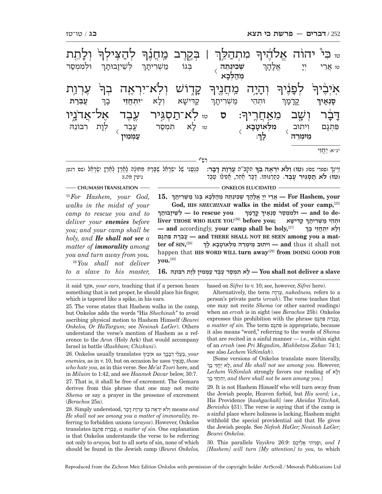| ּבְקֶרֶב מִּחֲנָ <sup>ּ</sup> ךָּ לְהַצִּילְךָּ<br>מַשְׁרִיתָךְ לְשֵׁי <b>זָבוּתָךְ</b><br>וּלִמְמִסַר                                                                                                                                                                                                                                                                                                                                                                                                                                                                                                                                                                                                                                                                                                                                                                                                                                                                                                 | <sub>ײ</sub> כִּי יהוֹה אֱלֹדֶיךִ<br>ּמִתְהַלֵּךְ  <br>אֱלָהָך<br>בִּגוֹ<br>לל<br>ד<br>טו אַרֵי<br>שְׁכִינְתֵה<br>מהלכא                                                                                                                    |  |  |  |  |  |
|--------------------------------------------------------------------------------------------------------------------------------------------------------------------------------------------------------------------------------------------------------------------------------------------------------------------------------------------------------------------------------------------------------------------------------------------------------------------------------------------------------------------------------------------------------------------------------------------------------------------------------------------------------------------------------------------------------------------------------------------------------------------------------------------------------------------------------------------------------------------------------------------------------------------------------------------------------------------------------------------------------|--------------------------------------------------------------------------------------------------------------------------------------------------------------------------------------------------------------------------------------------|--|--|--|--|--|
| <b>יְלְא</b> ־יִרְאֶה<br>בִּך<br>יּיִתְחֲזֵי<br>עֲבֵרַת<br>בְך<br><sub>טז</sub> <b>לְא־תַסְגִּיר עֶבֶד אֶל־אֲדֹנָיִו</b><br>י לָא תִּמְסַר עֶבֶד לְוָת רִבּוֹנֵהּ<br>עַמְמִין                                                                                                                                                                                                                                                                                                                                                                                                                                                                                                                                                                                                                                                                                                                                                                                                                          | קְרָוֹשׁ<br>לִפְנֵיךּ<br><b>יִהְיָה</b><br>מֵׁחֲנֵיךָ<br>וִלַא<br>קַדִּישָׁא<br><b>מַשָׁרִיתָך</b><br>וּתְהֵי<br>ִקֳדָכְּיִך<br>סָנְאָיך<br><b>דָבֶּׁר</b><br>מֵאַחֲרֶיךָ: ס<br>וְשָׁב<br>וִיתוּב מִלְאוֹטָבָא )<br>מֵימִרֵה (כָן:<br>هزنخ |  |  |  |  |  |
|                                                                                                                                                                                                                                                                                                                                                                                                                                                                                                                                                                                                                                                                                                                                                                                                                                                                                                                                                                                                        | נ״א: יָהֱזֵי                                                                                                                                                                                                                               |  |  |  |  |  |
| ְכְּנַעֲנִי שֶׁל יִשְׂרָחֵۢל שֶׁבָּרַח מֵחוּנָۢה לָמָרֶץ לְאֶרֶץ יִשְׂרָחֵۢל ושם רנט;<br>גיטין מה.):                                                                                                                                                                                                                                                                                                                                                                                                                                                                                                                                                                                                                                                                                                                                                                                                                                                                                                   | וַיִּינְךְ (ספרי שס): (טו) וְלֹא יִרְאָה בְךָ הַקְב"ה עֶרְוַת דָּבָר:<br>(טו) לא תַסְגִּיר עֲבֵד. כְּסַרְגּוּמוֹ. דָבָר מַקֵר, מַפְילוּ טֵבֵד                                                                                              |  |  |  |  |  |
| - CHUMASH TRANSLATION<br><b>ONKELOS ELUCIDATED</b><br>15. אַרִי יִיִ אֱלְהָךְ שְׁבִינְתֵּהּ מְהַלְכָא בְּגוֹ מַשְׁרִיתָךְ — For Hashem, your<br><sup>15</sup> For Hashem, your God,<br>God, HIS SHECHINAH walks in the midst of your camp, [25]<br>walks in the midst of your<br>לשֵׁיזָבוּתְךְ — to rescue you – וּלְמִמְסַר סָנְאָיךָ קֵדָמָךְ — and to de-<br>camp to rescue you and to<br>liver THOSE WHO HATE YOU <sup>[26]</sup> before you; וּתְהֵי מַשְׁרִיתָךְ קַדִּישָׁא<br>deliver your enemies before<br>— and accordingly, your camp shall be holy, <sup>[27]</sup> יִתְחֵזֵי בְךָ<br>you; and your camp shall be<br>שברת פּתוּם – and THERE SHALL NOT BE SEEN among you a mat-<br>holy, and He shall not see a<br>- ויתוב מימרה מלאוטבא לך and thus it shall not<br>ter of $\text{SIN},^{[28]}$<br>matter of <b>immorality</b> among<br>happen that HIS WORD WILL turn away <sup>[29]</sup> from DOING GOOD FOR<br>you and turn away from you.<br>you.[30]<br>$16$ You shall not deliver |                                                                                                                                                                                                                                            |  |  |  |  |  |
| to a slave to his master,                                                                                                                                                                                                                                                                                                                                                                                                                                                                                                                                                                                                                                                                                                                                                                                                                                                                                                                                                                              | 16. לא תִמְסַר עֻבֶּד עַמְמִין לְוָת רִבּוֹנֵה - You shall not deliver a slave                                                                                                                                                             |  |  |  |  |  |

it said נךֶזְאֹ , *your ears*, teaching that if a person hears something that is not proper, he should place his finger, which is tapered like a spike, in his ears.

25. The verse states that Hashem walks in the camp, but Onkelos adds the words "His *Shechinah"* to avoid ascribing physical motion to Hashem Himself (*Beurei Onkelos, Or HaTargum;* see *Nesinah LaGer*). Others understand the verse's mention of Hashem as a reference to the *Aron* (Holy Ark) that would accompany Israel in battle (*Rashbam; Chizkuni*).

26. Onkelos usually translates ְ as ֹאְיֶביך  *your* ,בֲּעֵל ְ י דבבך *enemies,* as in v. 10, but on occasion he uses ְ  *those* ,סְנאיך *who hate you,* as in this verse. See *Me'at Tzori* here, and in *Miluim* to 1:42, and see *Haamek Davar* below, 30:7. 27. That is, it shall be free of excrement. The Gemara derives from this phrase that one may not recite *Shema* or say a prayer in the presence of excrement (*Berachos* 25a).

֦  $28.$  Simply understood, יִרְאֵה בְּךָּ עֵרְוַת יָרָאֵה  ${\it mass}$  and *He shall not see among you a matter of immorality,* referring to forbidden unions (*arayos*). However, Onkelos explanation One *.sin of matter a* ֲ,עֵבר ִת פּ ְתגם translates is that Onkelos understands the verse to be referring not only to *arayos,* but to all sorts of sin, none of which should be found in the Jewish camp (*Beurei Onkelos,* 

based on *Sifrei* to v. 10; see, however, *Sifrei* here).

Alternatively, the term והרְעֶ, *nakedness,* refers to a person's private parts (*ervah*). The verse teaches that one may not recite *Shema* (or other sacred readings) when an *ervah* is in sight (see *Berachos* 25b). Onkelos expresses this prohibition with the phrase עֲבֵרַת פִּתְגָם, *a matter of sin.* The term גםתְ פִּ is appropriate, because it also means "word," referring to the words of *Shema*  that are recited in a sinful manner  $-$  i.e., within sight of an *ervah* (see *Pri Megadim, Mishbetzos Zahav* 74:1; see also *Lechem VeSimlah*).

[Some versions of Onkelos translate more literally, ְ בך י זֵחֱי אֶ ל, *and He shall not see among you.* However, *Lechem VeSimlah* strongly favors our reading of לאו ְ ְ בך י זֵחֲתְ יִ*, and there shall not be seen among you.*]

29. It is not Hashem Himself who will turn away from the Jewish people, Heaven forbid, but *His word;* i.e., His Providence [*hashgachah*] (see *Akeidas Yitzchak, Bereishis* §31). The verse is saying that if the camp is a sinful place where holiness is lacking, Hashem might withhold the special providential aid that He gives the Jewish people. See *Nefesh HaGer; Nesinah LaGer; Beurei Onkelos*.

30. This parallels *Vayikra* 26:9: וּפָנִיתִי אֲלֵיכֶם, and I *[Hashem] will turn [My attention] to you,* to which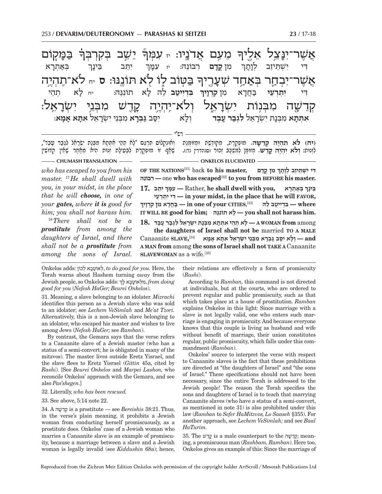. בַּכָּ*ו* יקוֹם $\eta$ .<br>ค. ֿ יֵ*יֹשֵׁ*ב בְּקִרְבְּךָ .<br>คิ .<br>-<br>1 ָמְעָם אַדֹנַיו: **ָאֲשֶׁר־יִנָּ** צֵל אַלֶּיך .<br>-<br>1 ב**ּטוֹב לוֹ לֹא תּוֹננּוּ: ס** יח **ְאֲשֶׁר־יִבְהַר בְּאַ**חַד שְׁעָ <mark>ְ</mark>נָרֶיךָ קְדֵשָׁה מִבְּנִוֹת יִשְׂרָ ־אֵל וְלֹא־יֶהְיֶה קָ דָשׁ מִבְּנֵי*ָ יִ*שְׂרָ $\nu$ ־אֵל: ָ<br>יִ בְּאַתְרָ  $\aleph$ יִתֵּב בִּינַר **מו קדם רבונה:** יז עִמַּךְ ּדִּי יִשְׁתֵ**ּיזֵב לְ**נָ ת- ך **ְ ִבְּדִייט** לה*ּ* לא תוֹנוּהּ: א תֵהי ִדּי **ִי ְתְרֵעי** בֲּ חד ִ -א מן **ִקְרו יך** אתְתָא מִבְּנָת יִשְׂרָאֵל **לִגְבַ - יִ** יְלָא - יִ א יסּב **גּ ְ בר א** ִ מ ְבֵּנ ִי י ְשׂרֵ - אל **ִאתּ א א מ א**:

רש"י

(יח) <mark>לא תִהְיֶה קְדֵשָׁה. מוּ</mark>פְקֵרֶת, מְקוּדֶשֶׁת וּמְזוּמֶנֶת וְאוּנְקְלוֹס תִּרְגֵּם "לָא תְהֵי אִתְּתָא מִבְּנַת יִשְׂרָאֵל לִגְבַר טָבֵד",<br>לזנות: **ולא יהיה קדש.** מזוּמו למשכב זכור וסנהדריו נד:). שאף זו מופקרת לבעילת

**CHUMASH TRANSLATION** *CHUMASH TRANSLATION* **CONFIDENTIAL ONKELOS ELUCIDATED** 

*who has escaped to you from his master.* <sup>17</sup> *He shall dwell with you, in your midst, in the place that he will choose, in one of your gates, where it is good for him; you shall not harass him.*

<sup>18</sup> *There shall not be a prostitute from among the daughters of Israel, and there shall not be a prostitute from among the sons of Israel.*  **OF THE NATIONS**<sup>[31]</sup> back **to his master, ִ דּ ִ י י ְשֵׁתּ ֵיז ְב לָוָתך בּוֹנהֵּ רִ —** one **who has escaped**[32] **to you from BEFORE his master. ְ 17. בְּאַתְרָא** Rather, he shall dwell with you, בְּאַתְרָא **ְֵ בּ ָינך עיֵרְתְ י יִ דִּ — in your midst, in the place that he will FAVOR, ְ where — ִבְּדִי יט ֵב להּ** [33]**,CITIES your of one in — בֲּחָד ִא מ ִ ן קְרָויך IT WILL BE good for him; נּהֵּתוֹנ א ִ לָ — you shall not harass him.**

among **from WOMAN A — ָל ְא תֵה ִ י א ְתָּת ִא מ ְבָּנ ִת י ְשָׂרֵא ִל ל ְגב ָר עֶבד 18.**

**the daughters of Israel shall not be** married **TO A MALE**  Canaanite **SLAVE, and — ְו ָל ִא יסּ ב גּ ְבָר ִא מ ְבֵּנ ִי י ְשָׂרֵא ִל אָתּ ָא אָמא** [34] **A MAN from** among **the sons of Israel shall not TAKE A** Canaanite **SLAVEWOMAN** as a wife.<sup>[35]</sup>

Onkelos adds: לכוֹן אְ באוֹט לְ , *to do good for you.* Here, the Torah warns about Hashem turning *away* from the Jewish people, so Onkelos adds: ְ  *doing from* , ִמ ְלּ אוֹטב א לך *good for you* (*Nefesh HaGer; Beurei Onkelos*).

31. Meaning, a slave belonging to an idolater. *Mizrachi*  identifies this person as a Jewish slave who was sold to an idolater; see *Lechem VeSimlah* and *Me'at Tzori.* Alternatively, this is a non-Jewish slave belonging to an idolater, who escaped his master and wishes to live among Jews (*Nefesh HaGer;* see *Ramban*).

By contrast, the Gemara says that the verse refers to a Canaanite slave of a Jewish master (who has a status of a semi-convert; he is obligated in many of the mitzvos). The master lives outside Eretz Yisrael, and the slave flees to Eretz Yisrael (*Gittin* 45a, cited by *Rashi*). [See *Beurei Onkelos* and *Marpei Lashon,* who reconcile Onkelos' approach with the Gemara, and see also *Pas'shegen*.]

32. Literally, *who has been rescued.*

33. See above, 5:14 note 22.

34. A שׁה דֵקְ is a prostitute — see *Bereishis* 38:21. Thus, in the verse's plain meaning, it prohibits a Jewish woman from conducting herself promiscuously, as a prostitute does. Onkelos' case of a Jewish woman who marries a Canaanite slave is an example of promiscuity, because a marriage between a slave and a Jewish woman is legally invalid (see *Kiddushin* 68a); hence, their relations are effectively a form of promiscuity (*Rashi*).

According to *Ramban,* this command is not directed at individuals, but at the courts, who are ordered to prevent regular and public promiscuity, such as that which takes place at a house of prostitution. *Ramban*  explains Onkelos in this light: Since marriage with a slave is not legally valid, one who enters such marriage is engaging in promiscuity. And because everyone knows that this couple is living as husband and wife without benefit of marriage, their union constitutes regular, public promiscuity, which falls under this commandment (*Ramban*).

Onkelos' source to interpret the verse with respect to Canaanite slaves is the fact that these prohibitions are directed at "the daughters of Israel" and "the sons of Israel." These specifications should not have been necessary, since the entire Torah is addressed to the Jewish people! The reason the Torah specifies the sons and daughters of Israel is to teach that marrying Canaanite slaves (who have a status of a semi-convert, as mentioned in note 31) is also prohibited under this law (*Ramban* to *Sefer HaMitzvos, Lo Saaseh* §355). For another approach, see *Lechem VeSimlah;* and see *Baal HaTurim.*

35. The דשֵׁק is a male counterpart to the שׁה דֵקְ ;meaning, a promiscuous man (*Rashbam, Ramban*). Here too, Onkelos gives an example of this: Since the marriage of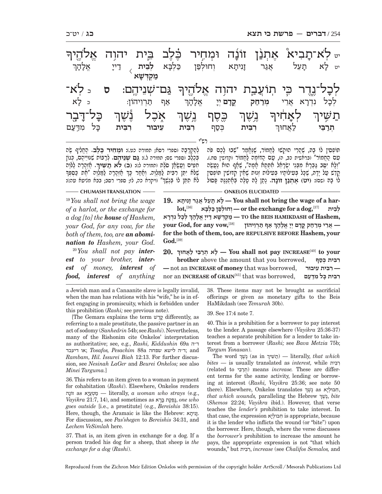| <sub>ײַ</sub> לְא־תָבִיא វរុתְנַן זוֹנָה<br>ּבֶּלֶב בֵּית יהוָה<br>אֵלהֱיךּ<br>וּמחיר<br>וְחוּלְפַן כַּלְבָא <b>לְבֵית</b> דַייָ<br>יט לַא תָעֵל אֲגַר<br>אֱלָהָך<br><b>זְנִיתְא</b><br>מַקְרִשָׁא                                                                                                                                                                                                                                                                                                                                                                                                                                                                                                                                                                                                                                                        |  |  |  |  |  |  |  |  |
|-----------------------------------------------------------------------------------------------------------------------------------------------------------------------------------------------------------------------------------------------------------------------------------------------------------------------------------------------------------------------------------------------------------------------------------------------------------------------------------------------------------------------------------------------------------------------------------------------------------------------------------------------------------------------------------------------------------------------------------------------------------------------------------------------------------------------------------------------------------|--|--|--|--|--|--|--|--|
| לְכָל־נֶדֶר כִּי תְוֹעֲבֶת יהוָה אֱלֹהֶיךִּ<br>- לֹא<br><u>גַּם־שָׁנֵיהֶם:</u><br>$\overline{\mathsf{U}}$<br>ּ לַא<br>ּנִדְרָא אֲרֵי מְרַחַק קֵדָם יְיָ אֱלָהָךְ<br>לִבְל<br>אַף תַּרְיֵיהוֹן:                                                                                                                                                                                                                                                                                                                                                                                                                                                                                                                                                                                                                                                            |  |  |  |  |  |  |  |  |
| <del>ַ</del> תַשִּׁיןּ לְאָחִוּךְ גָשֶׁךְ כֶּסֶף<br>כָּל־דָבֶר<br>אָבֶל נֶשֶׁךָ<br>ٟؾۭڛٚ٦                                                                                                                                                                                                                                                                                                                                                                                                                                                                                                                                                                                                                                                                                                                                                                 |  |  |  |  |  |  |  |  |
| לַאֲחוּךְ רִבִּית כִּסַף<br>כֵּל מִדְעַם<br>רבית<br>עיבור<br>תִּרַבֵּי<br>רִבְּית                                                                                                                                                                                                                                                                                                                                                                                                                                                                                                                                                                                                                                                                                                                                                                         |  |  |  |  |  |  |  |  |
|                                                                                                                                                                                                                                                                                                                                                                                                                                                                                                                                                                                                                                                                                                                                                                                                                                                           |  |  |  |  |  |  |  |  |
| לְהַקְרָבָה (ספרי רסא; תמורה כט.): <b>וּמְחִיר בֵּלֶב.</b> הֻחֱלִיף שֶׂה<br>תּוֹפְסִין לוֹ בָהָ, שֶׁהֲרֵי הוּקְשׁוּ לַחֲמוֹר, שֶׁנֶּחֲמַר "שִׁבוּ לָכֵם פֹּה<br>בְּלֶב (ספרי שם; תמורה ל.): גַ <b>ּם שְׁנֵיהֶם.</b> לְרַבּוֹת שְׁנִּייֵהֶם, כְּגוֹן<br>טָם הַחֲמוֹר" ובראשית כב, ה), טַם הַדּוֹמֵה לַחֲמוֹר וקדושין סת.).<br>"וְלָא יִפַּב גַּבְרָא מִבְּנֵי יְשִׂרָאֵל אִתְּחָא אָמָה", שָׁאֲף הוּא נַטֲשֶׂה<br>חִמְיִם וַטֲשָׂמָן סֹלֵת ותמורה ל:): (ב) <b>לֹא תַשִּׁיוּ</b> ךָ. מַזְהָרָה לַלּוֵֹה<br>ֹשֶׁלֹּח יְתֵּן רִבִּיִת לַמַּלְוֶה. וְחַׂחַר כָּךְ חַוְהָרָה לַמַּלְוֶה "חֶת כַּסְפְּךָ<br>קֵדֶשׁ טַל יָדָהּ, שֵׁכָּל בִּטִילוֹתָיו בִּטִילוֹת זְנוּת שָׁחֵין קְדּוּשִׁין תּוֹפִסִין<br>לוֹ בָּהּ וִשְׁם): (יְטֵ) אֶתְנַץ זוֹנַה. נָתֵן לָהּ טָלֶה בְּחֶתְנַנֶּהּ פִּסוּל<br>לא תִתֵּן לוֹ בְּנֵשֶׁךְ" וויקרא כה, לז; ספרי רסב; בבא מליעא עה:): |  |  |  |  |  |  |  |  |
| <b>CHUMASH TRANSLATION</b><br><b>KELOS ELUCIDATED</b>                                                                                                                                                                                                                                                                                                                                                                                                                                                                                                                                                                                                                                                                                                                                                                                                     |  |  |  |  |  |  |  |  |
| 19. לא תִעֲל אֱגַר זְנִיתָא — You shall not bring the wage of a har-<br>$19$ You shall not bring the wage<br>יחולפו בּלִבְּא or the exchange for a dog, $^{[37]}$<br>lot, <sup>[36]</sup><br>לבית<br>of a harlot, or the exchange for                                                                                                                                                                                                                                                                                                                                                                                                                                                                                                                                                                                                                     |  |  |  |  |  |  |  |  |

*of a harlot, or the exchange for a dog [to] the house of Hashem, your God, for any vow, for the both of them, too, are an abomination to Hashem, your God.*

20 *You shall not pay interest to your brother, interest of money, interest of food, interest of anything* 

**ְ ְ לָכ ִל נְדָרא ,Hashem of HAMIKDASH BEIS the TO — מ ְקְדּ ָשׁ א ד ָיי ֱ אָל ָהך ְ** $\boldsymbol{\mathrm{your}}$  God, for any vow, [38] **— ֲאֵר ְ י מרח ֳק קָד ְם יָי ֱ אָל ָהך for the both of them, too, are REPULSIVE BEFORE Hashem, your God.**[39]

**20. ְ your to**]40[**INCREASE pay not shall You — ָל ְא תרֵבּ י לֲאחוּך brother** above the amount that you borrowed, **סףכּ ית ְ בִּ רִ —** not an **INCREASE of money** that was borrowed, **עיבוּר ית ִ בִּ רִ— ִ ר ִבּ ָ ית כּ ִל מדּעם** ,borrowed was that] 41[**GRAIN of INCREASE** an nor

a Jewish man and a Canaanite slave is legally invalid, when the man has relations with his "wife," he is in effect engaging in promiscuity, which is forbidden under this prohibition (*Rashi;* see previous note).

[The Gemara explains the term דשֵׁק differently, as referring to a male prostitute, the passive partner in an act of sodomy (*Sanhedrin* 54b; see *Rashi*). Nevertheless, many of the Rishonim cite Onkelos' interpretation as authoritative; see, e.g., *Rashi, Kiddushin* 69a ה"ד and; ד"ה לישא שפחה a88 *Pesachim ,Tosafos*; או דיעבד *Rambam, Hil. Issurei Biah* 12:13. For further discussion, see *Nesinah LaGer* and *Beurei Onkelos;* see also *Minei Targuma.*]

36. This refers to an item given to a woman in payment for cohabitation (*Rashi*). Elsewhere, Onkelos renders זוֹנה as יאעֲטְ מ — literally, *a woman who strays* (e.g.,  $Vayikra$  11:7, 14), and sometimes as נַפְקַת בַּרַא.*one who goes outside* [i.e., a prostitute] (e.g., *Bereishis* 38:15). Here, though, the Aramaic is like the Hebrew: יתא נִז. For discussion, see *Pas'shegen* to *Bereishis* 34:31, and *Lechem VeSimlah* here.

37. That is, an item given in exchange for a dog. If a person traded his dog for a sheep, that sheep is *the exchange for a dog* (*Rashi*).

38. These items may not be brought as sacrificial offerings or given as monetary gifts to the Beis HaMikdash (see *Temurah* 30b).

40. This is a prohibition for a borrower to pay interest to the lender. A passage elsewhere (*Vayikra* 25:36-37) teaches a separate prohibition for a lender to take interest from a borrower (*Rashi;* see *Bava Metzia* 75b; *Targum Yonasan*).

The word ְ ְ in as (ֶנֶשׁך שּׁיךִ ת — (literally, *that which bites —* is usually translated as *interest,* while בּיתִ רִ (related to בּיֵרתְ ( means *increase.* These are different terms for the same activity, lending or borrowing at interest (*Rashi, Vayikra* 25:36; see note 50 there). Elsewhere, Onkelos translates ְ , ִח ְבּוּליא as ֶנֶשׁך *that which wounds,* paralleling the Hebrew ְ  *bite* ֶ,נֶשׁך (*Shemos* 22:24; *Vayikra* ibid.). However, that verse teaches the *lender's* prohibition to take interest. In that case, the expression יאבּולְ חִ is appropriate, because it is the lender who inflicts the wound (or "bite") upon the borrower. Here, though, where the verse discusses the *borrower's* prohibition to increase the amount he pays, the appropriate expression is not "that which wounds," but בּיתִ רִ, *increase* (see *Chalifos Semalos,* and

Reproduced from the Zichron Meir Edition Onkelos with permission of the copyright holder ArtScroll / Mesorah Publications Ltd

<sup>39.</sup> See 17:4 note 7.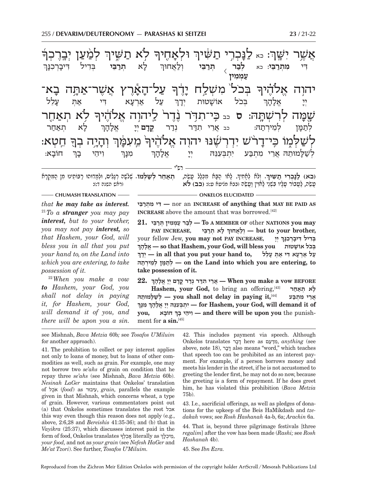ֺ .<br>ค. י לְמַ<mark>ׁעַן יְב</mark>ֶרֶכְךָ .<br>ค' לֹא תַשִּׁיך<sub>ֹ</sub> ּוָבְרִי תַשַּׁיךְ וּלְאָ <mark>ُ</mark><br>تاسد  $\vdots$   $\vdots$ נֻ אֲשֶׁר יִשֶּׁךְ .<br>ค' ַעַל־הָאָ -ֿיָאָרֶץ אֲשֶׁר־אַתָּה בָ א־ יהו<mark>ָה אֱלֹ</mark>הֶיך  $\Box$ משלח <u>ؖ</u><br>בְּ .<br>-<br>|-לִא תְאַחֶר שמה **ְיֹה לְרִשְׁתָּהּ: ס** כב כִּי־תִדְּיֹר נֶֽדֶר לֵיהוְה אֱלֹהֶיךִ ֖ ח ְ K טא: .<br>-<br>1 .<br>י יִה<del>ָ</del> י**ְי**ָה בְךָ **ٞ**מֵעָּמֶּךְ .<br>ค' לְשַׁלְמֶוֹ כִּי־דָר ְשׁנּוּ יהוה אלהי ֧֧֢ׅ֧֢ׅ֧֚֝<u>֓</u> י לַא תְרַ ...<br>ר**ִבֵּי** בְּדִיל דִּיבָ **ָיִרְבְנָּ**  ך **ְלב** .<br>נר תרב **ַרִבֵּי וְלַאֲחוּך** ִדּי **ִמ ְתרֵ בּי**: כא $\overline{\langle}$  **ע ְ מ ִמין** ֿ עַל אַרְעָא <sub>ו</sub> א ד<sup>ִי</sup>י אַתְּ עָ יָלַל ֿיְ בְּבל אוֹשָׁטוּת יְדָ יִדו י<br>די אל: ה- ך ֹי לַא ו א הָאַחַר לְתַמָּן ק ן לֵמ ְירת הּ: כב ֲאֵר ִ י תדּ ְ ר נד ר **ֳקד ם** ְ יי ֱ -: אֵל ה- ך ְ חוֹב- א: וִיהֵי בַך י**ָ** מִנְּךְ ַלְשַׁכָּמוּתֵהּ אֲרֵי מִתְבַּע יִתְבְּעִנֵּה יְיָ אָלָהָר "

ָ(<mark>בא) לַגַּבְרִי תַשִּׁיךְ.</mark> וְלֹא לְמָקִיךְ. לָאוֹ הַבָּא מִכְּלֵל טֲשֵׂה, הִצַּחֵר <mark>לְשַׁלְמוֹ.</mark> שְׁלֹשֶׁה רְגָלִים, וּלְמָדוּהוּ רַבּוֹתֵינוּ מִן הַמִּקְרָא<br>טשה. לעבור טליו בשני לאויו וטשה ובבא מניטא ט: ובב) **לא ְְתאֵ ח ְר לשׁ ְ** (ראש השנה ד:):

רש"י

**CHUMASH TRANSLATION** —— ————————————— ONKELOS ELUCIDATED -

*that he may take as interest.* <sup>21</sup> *To a stranger you may pay interest, but to your brother, you may not pay interest, so that Hashem, your God, will bless you in all that you put your hand to, on the Land into which you are entering, to take possession of it.*

<sup>22</sup> *When you make a vow to Hashem, your God, you shall not delay in paying it, for Hashem, your God, will demand it of you, and there will be upon you a sin.* 

**בּיֵרתְ מ י ִ דִּ —** nor an **INCREASE of anything that MAY BE PAID AS INCREASE** above the amount that was borrowed.<sup>[42]</sup>

 **may you NATIONS** other **OF MEMBER A To — ְלב ר ע ְמ ִמ ְ ין תּרֵבּי 21. ְPAY INCREASE, אחוּךֲלוְ — but to your brother,**  your fellow Jew, **you may not PAY INCREASE, יָי ְ ְ ְ ְ בִּד ִ יל דּ ָיבְר ִכָנּך הךָ לָאֱ — so that Hashem, your God, will bless you אוֹשׁטוּת ל ָ כֹ בּ ְ ְ על ארעא די את עלל , in all that you put your hand to.** על ארעא די א **תהּירְ מֵל ן ְ מָּתלְ — on the Land into which you are entering, to take possession of it.**

**22. ְ BEFORE vow a make you When — ֲאֵר ִ י תדּ ְר נד ֳר קָד ְם יָי ֱ אָל ָהך Hashem, your God,** to bring an offering,[43] **חראת א ְ ל ָ ְ ֲ אֵר ִ י מ ְתבּע** [44]**,it paying in delay not shall you — ְל שָׁלּ ֵמוּתהּ ְ or Hashem, your God, will demand it of** – יִתְבְּעָנֵּהּ יִיָ אֵלְהָךְ מִנָּךְ **ְ ָ חוֹבא ,you בך י ָ יהֵ וִ — and there will be upon you** the punishment for **a sin.**[45]

see Mishnah, *Bava Metzia* 60b*;* see *Tosafos U'Miluim*  for another approach).

41. The prohibition to collect or pay interest applies not only to loans of money, but to loans of other commodities as well, such as grain. For example, one may not borrow two *se'ahs* of grain on condition that he repay three *se'ahs* (see Mishnah, *Bava Metzia* 60b). *Nesinah LaGer* maintains that Onkelos' translation of כלֶאֹ) *food*) as עיבוּרִ , *grain,* parallels the example given in that Mishnah, which concerns wheat, a type of grain. However, various commentators point out (a) that Onkelos sometimes translates the root אכל this way even though this reason does not apply (e.g., above, 2:6,28 and *Bereishis* 41:35-36); and (b) that in *Vayikra* (25:37), which discusses interest paid in the , אול אוואלט (בסוס), אוואר מואלט איזורא (בסוס) או גער form of food, Onkelos translates פְרַכְלֶךְ, *your food,* and not as *your grain* (see *Nefesh HaGer* and *Me'at Tzori*). See further, *Tosafos U'Miluim.*

42. This includes payment via speech. Although Onkelos translates ברדּ here as עםדּמִ , *anything* (see above, note 18), ברדּ also means "word," which teaches that speech too can be prohibited as an interest payment. For example, if a person borrows money and meets his lender in the street, if he is not accustomed to greeting the lender first, he may not do so now, because the greeting is a form of repayment. If he does greet him, he has violated this prohibition (*Bava Metzia*  75b).

43. I.e., sacrificial offerings, as well as pledges of donations for the upkeep of the Beis HaMikdash and *tzedakah* vows; see *Rosh Hashanah* 4a-b, 6a; *Arachin* 6a.

44. That is, beyond three pilgrimage festivals [three *regalim*] after the vow has been made (*Rashi;* see *Rosh Hashanah* 4b).

45. See *Ibn Ezra.*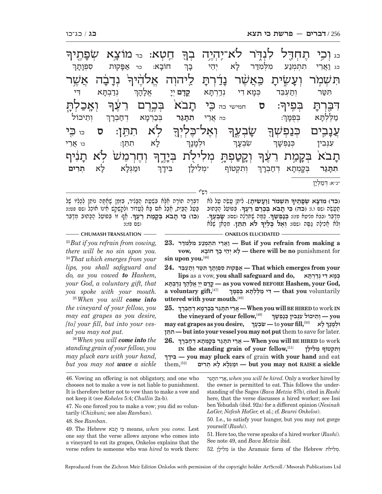<u>.</u><br>-1 חטא: בר מוֹצא <mark>י</mark>ֿייַן<del>,</del> .<br>ค. د וֹכִי תֶחְדָל לִנְדֶר לֹא־יִהְיֶה בְךָ **ֲ נָדָבָ** .<br>-<br>-רָבָה אֲשֶר <del>ָ</del> .<br>ค' ֿתִּ יִשְׁמָ*ּׂר* וְעָ ַבְשֱׂיתָ כַּאֲשֶׁר נ<u>ָ</u> <u>ٙؖٙٙڋڶڗۺٙ</u> הוה .<br>ล. <u>ڶ؆ؘڐڂڷ</u>ٚ .<br>-ן : **ס** חמישי כה כּzי ת-**ָזבֹא** בְּבֶרֶם רֵעֶךְ نةَلْشَ ب בִּפְיך ֖ ֥ לֹ ִ א תתּK ן: **ס** כו כּzי .<br>-<br>1 .<br>ค. **וֹאָל־כָּלְיְךָ** ֖ שׂ-**ٞ**ؘ۪ڹڐۭڗ؊ۭ -<br>-<br>1 ֲענ-ָבִ**ים כְּנַפְשְׁךָ** न וְחֶרְמֵשׁ לִא תָ*ּ*נִ נִירִי .<br>-<br>1 וְקֵטַפְתָּ מְלִיל<sub>ָ</sub>ת בְּיָ ביד ת-ָזבֹא בְּקָ <sub>ו</sub>ַמַּת רֵעָ<del>ּךְ</del> ֧֧֢ׅ֧֢ׅ֧֚֝<u>֓</u> :תוֹבַא א: כד אַפָּקוּת סִפְןָ ת- ך כג **וַארי תתמנע** א יֵהי ב- ך י נְדַבְתָּא דִי תִּטַּר וְתַעְבֵּד בְּמָאדִי נְדֵרְתָּ ֿיִתַא **קַדַם** יִיַ : אֵלָ ה- ך ְ ְוֵתיכוֹל ְ : כה ֲאֵרי **ִתתּ ג ָר בְּכַרְמָא** ו א דְחַבְרָך מַלֶּלְתָּא וּ א בֻּפמּ- $\mathcal{I}$ ְ לָא ו א תֵתּן: כו ֲאֵרי ְ ְוּלמ-יִנ<sub>ָ</sub> ך ְ ִשְׂבע- ך  $\varphi$ עִנְבִין  $\qquad \qquad$  ך ן וּמַגְּלָא ל**ָ**  א **ְתִרים** ֿתקטוף ֿ ן בִּידָך **ִתתּ ג ּ**<br>**יִר** בְּקָמְתָא וְ א דְחַבְרָךְ \*נ"א: ְ דּמ ְ לי- ן

רש"י

דִּבְּרָה תוֹרָה חֶלָּא בִּשְׁעַת הַבָּגִיר, בִּזְמַן שָׁמַתָּה נוֹתֵן לְכָלְיוֹ שֶׁל<br>בַּעֲל הַבַּיִת, חֵבָל חִם בָּא לַטֵּדוֹר וּלְחֲשָׁחֲשׁ חֵינוֹ אוֹכֵל וִשִׁם פּינוּ: **ָ .** א ְ ף זוֹ בּ ֵפוֹעל הָ כּ ְ תוּב מדֵ בּר **ִ (כו) כּי ת בֹ ְא בּק מ ֵ ת רֶעך** (שם פז:):

 **ִ תּ ְשׁמֹ ְ ר [וע ִ שׂ ָית].** ִל ֵיתּ ֲ ן עֵשׂה ע ל לֹא **(כד) מוֹצ ְ א שׂפֶ תיך ָ .** ְ בּ ֵפוֹעל הָ כּתוּב **.** תֲ עֶשׂה (שם ו.): **ִ (כה) כּי ת בֹ ְא בֶּכֶר ֵם רֶעך ָָ**ּפְרָצה (שִׁי יִשְׁרָעֶךָ, עֲדָי שְׁחַלְלָה (שִׁסְּ): שָׁבְעֶךָ,<br>מְדַבֵּר (נכּא מגיעא פז:): **בְּנַבְשְׁךָ. כַּמָּה שֶׁמְרְ**לֶה (שִׁס): שָׁבְעֶךָ,<br>ולא אכילה גסה (שס: **ואל בליה לא תתז.** מכּאו שׁלֹּא ְולֹ ֲ א אִכ ָילה גָ סּה (שם): **ְוֶא ֶ ל כּ ְלְיך**

#### **CHUMASH TRANSLATION ONKELOS ELUCIDATED**

<sup>23</sup> *But if you refrain from vowing, there will be no sin upon you.*  <sup>24</sup> *That which emerges from your lips, you shall safeguard and do, as you vowed to Hashem, your God, a voluntary gift, that you spoke with your mouth.*

<sup>25</sup> *When you will come into the vineyard of your fellow, you may eat grapes as you desire, [to] your fill, but into your vessel you may not put.*

<sup>26</sup> *When you will come into the standing grain of your fellow, you may pluck ears with your hand, but you may not wave a sickle*  **a making from refrain you if But — וֲאֵר ִ י ת ְת ְמנ ִ ע מ ְלּ ִמדּר 23. ְ ָ חוֹבא ,vow** for punishment **no be will there — ָל ְא יֵה ָ י בך sin upon you.**[46]

**ְ** $24$ . מִּפָּקוּת סְפִוְתָךְ הִטֵּר וְתֵעָבֵד $\geq 24$ . **That** which emerges from your **Lips** as a vow, **you shall safeguard and do, במא די נדרתּא ְ ְ נד ְבָתּא ,God your ,Hashem BEFORE vowed you as — ֳקָד ְם יָי ֱ אָל ָהך a voluntary gift,**[47] **ְ** voluntarily **you that — ִדּ י מֶלּ ְלָתּ ְא בֻּפָמּך uttered with your mouth.**[48]

**25. ְ IN** work to **HIRED BE will you When— ֲאֵר ִ י תָתּג ְר בּכְרָמ ְא דח ְבָרך the vineyard of your fellow,**[49] **ְ you — ְוֵת ִ יכוֹל עְנּ ִב ְ ין כּנ ְפ ָשׁך may eat grapes as you desire, ְ ָ לא** [50]**,fill your** to **— ִשׂ ְבָעך ְ וּלָמָנך ְתּןֵתִ — but into your vessel you may not put** them to save for later. **26. ְ** work to **HIRED BE will you When — ֲאֵר ִ י תָתּג ְר בָּק ְמָת ְא דח ְבָרך** *IN the standing grain of your fellow***<sup>[51]</sup> ותקטוף מלילן ידךָ בִּ — you may pluck ears** of grain **with your hand** and eat **sickle a RAISE not may you but — וּמְגָּל ָא ל ְא תִרים** [52],them

here, that the verse discusses a hired worker; see Issi ben Yehudah (ibid. 92a) for a different opinion (*Nesinah*  50. I.e., to satisfy your hunger, but you may not gorge

yourself (*Rashi*).

51. Here too, the verse speaks of a hired worker (*Rashi*). See note 49, and *Bava Metzia* ibid.

52. יקלילת is the Aramaic form of the Hebrew

<sup>46.</sup> Vowing an offering is not obligatory, and one who chooses not to make a vow is not liable to punishment. It is therefore better not to vow than to make a vow and not keep it (see *Koheles* 5:4; *Chullin* 2a-b). 47. No one forced you to make a vow; you did so voluntarily (*Chizkuni;* see also *Ramban*). 48. See *Ramban*. גרתּת י ִ רֵאֲ, *when you will be hired.* Only a worker hired by the owner is permitted to eat. This follows the understanding of the Sages (*Bava Metzia* 87b), cited in *Rashi LaGer, Nefesh HaGer,* et al.; cf. *Beurei Onkelos*).

<sup>49.</sup> The Hebrew אֹתב י כִּ means, *when you come.* Lest one say that the verse allows anyone who comes into a vineyard to eat its grapes, Onkelos explains that the verse refers to someone who was *hired* to work there: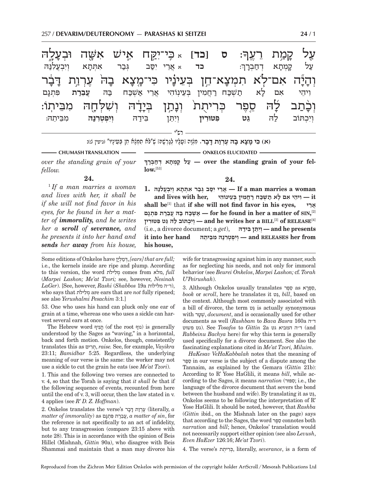| קָמַ <i>ֶּ</i> ת רֵעֱךָּ: ס [כֹּד] ×כְּי־יָקֵח אֶישׁ אִשָּׁה וּבְעָלֶה<br>וִיִּבְעֲלִנַּה     | אִתְּתָא                                                                      | גִּבַר |         | א אֲרֵי יִסֲב                          | כד                 | ּדְחַבְרָךָ | קֲמָתָא | עַל<br>על                       |
|-----------------------------------------------------------------------------------------------|-------------------------------------------------------------------------------|--------|---------|----------------------------------------|--------------------|-------------|---------|---------------------------------|
| וְהָיָָّה אִם־לָׂא תִמְצָא־חֵן בְּעֵינָיוּ כִּי־מֶצָא בָה <sup>ֹ</sup> עֶרְוַת דָּבָר<br>هٰرو | 同型<br>עֵבֵרַת                                                                 |        |         | ּבְעֵינְוֹהִי אֲרֵי אַ <i>שְׁבַּ</i> ח | תַשְׁבַּח רַחֲמִין |             | אם לא   | ויהי                            |
| מביתו:<br>מִבֵּיתֵהּ:                                                                         | לָה סֵפֶר כְּרִיתֻת <sup>ֹ</sup> וְנָתַן בְּיָדָה וְשִׁלְחֶה<br>וִיִפְטְרְנַה |        | בִּידַה | וִיְחֵן                                | פטורין             | ֶנט         | לה      | <u>וְכָ</u> ׂתַב<br>וִיִכְתּוֹב |
|                                                                                               |                                                                               |        |         |                                        |                    |             |         |                                 |

(א) **בּי מצא בה ערות דִבר.** מִנוְה [עַלִין לְגְרָשׁה] שׁ"לֹּא תְמְנֹא חֵן בַּעִינִין" (גִיטִין נ):

**ְ**

**CHUMASH TRANSLATION - THE RESOLUTION ONKELOS ELUCIDATED** 

*over the standing grain of your fellow.* **24.**

1  *If a man marries a woman and lives with her, it shall be if she will not find favor in his eyes, for he found in her a matter of immorality, and he writes her a scroll of severance, and he presents it into her hand and sends her away from his house,* 

[53]**.low-fel your of grain standing the over — ע ָ ל ק ְמָת ְא דח ְבָרך 24.**

 $\mathbf{f}$  **a man marries a woman**  $\mathbf{f}$  **/**  $\mathbf{f}$  *i i*  $\mathbf{f}$  *i n*  $\mathbf{f}$  *i*  $\mathbf{f}$  *i*  $\mathbf{f}$  *i*  $\mathbf{f}$  *i*  $\mathbf{f}$  *i*  $\mathbf{f}$  *i*  $\mathbf{f}$  *i*  $\mathbf{f}$  *i*  $\mathbf{f}$  *i*  $\mathbf{f}$  **it — ִו ֵיה ִ י א ָם ל א ת ְשׁכּ ח רֲח ִמ ְ ין בֵּע ִ ינוֹהי ,her with lives and shall be**[1] that **if she will not find favor in his eyes, ריֵא ֲ ,SIN of matter a her in found he for — א ְשׁכּ ח בּ ֲהּ עֵבר ִת פּ ְתָגם** [2] [4]**RELEASE of**]3[**BILL a her writes he and — ְוִי ְכ תּוֹב ל ֵהּ גּ ִט פּ ִטּוּרין** (i.e., a divorce document; a *get*), **ידהּ בּ ן ִ תֵּיִוְ — and he presents from it into her hand angly into property**  $\sim$   **<b>***and* RELEASES her from **his house,**

Some editions of Onkelos have יןלְ מדְּ,*] ears] that are full;* i.e., the kernels inside are ripe and plump. According to this version, the word תֹלילִ מְ comes from מלא, *full*  (*Marpei Lashon; Me'at Tzori;* see, however, *Nesinah LaGer*). [See, however, *Rashi* (*Shabbos* 19a מלילות ה"ד(, who says that תֹלילִ מְ are ears that are *not* fully ripened; see also *Yerushalmi Pesachim* 3:1.]

53. One who uses his hand can pluck only one ear of grain at a time, whereas one who uses a sickle can harvest several ears at once.

The Hebrew word ניףִת) of the root נוף (is generally understood by the Sages as "waving," in a horizontal, back and forth motion. Onkelos, though, consistently translates this as ריםִתְ , *raise.* See, for example, *Vayikra*  23:11; *Bamidbar* 5:25. Regardless, the underlying meaning of our verse is the same: the worker may not use a sickle to cut the grain he eats (see *Me'at Tzori*).

1. This and the following two verses are connected to v. 4, so that the Torah is saying that *it shall be* that if the following sequence of events, recounted from here until the end of v. 3, will occur, then the law stated in v. 4 applies (see *R' D. Z. Hoffman*).

2. Onkelos translates the verse's ברדּ ת ורְעֶ) literally, *a*   $matter$   $of\,immorality)$  as עברת פּתְגָם, *a matter of sin*, for the reference is not specifically to an act of infidelity, but to any transgression (compare 23:15 above with note 28). This is in accordance with the opinion of Beis Hillel (Mishnah, *Gittin* 90a), who disagree with Beis Shammai and maintain that a man may divorce his wife for transgressing against him in any manner, such as for neglecting his needs, and not only for immoral behavior (see *Beurei Onkelos*, *Marpei Lashon;* cf. *Torah U'Peirushah*).

3. Although Onkelos usually translates סְפָרָא, *book* or *scroll*, here he translates it גּטֵ, *bill*, based on the context. Although most commonly associated with a bill of divorce, the term גּטֵ is actually synonymous with טרשְׁ , *document*, and is occasionally used for other documents as well (*Rashbam* to *Bava Basra* 160a ה"ד ר"ה המביא גט  $\it Ga$  to *Gittin*  $2a$  ר"ה המביא גט פשוט *Rabbeinu Bachya* here) for why this term is generally used specifically for a divorce document. See also the fascinating explanations cited in *Me'at Tzori, Miluim*.

*HaKesav VeHaKabbalah* notes that the meaning of פרֶסֵ in our verse is the subject of a dispute among the Tannaim, as explained by the Gemara (*Gittin* 21b): According to R' Yose HaGlili, it means *bill*, while according to the Sages, it means *narration* (ספּוּרִ ; i.e., the language of the divorce document that severs the bond between the husband and wife). By translating it as גּטֵ, Onkelos seems to be following the interpretation of R' Yose HaGlili. It should be noted, however, that *Rashba* (*Gittin* ibid., on the Mishnah later on the page) says that according to the Sages, the word פרֶסֵ connotes both *narration* and *bill*; hence, Onkelos' translation would not necessarily support either opinion (see also *Levush*, *Even HaEzer* 126:16; *Me'at Tzori*).

4. The verse's יתתֻ רִכְּ , literally, *severance*, is a form of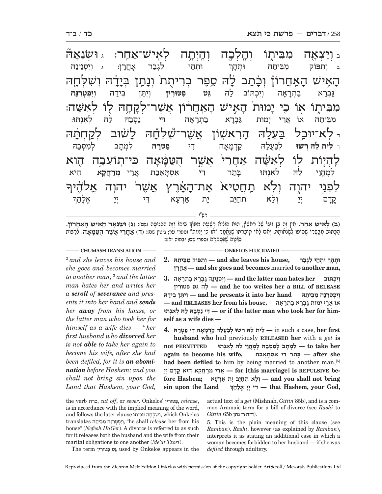| ג <b>וֹשָׂנֵאַה</b>             | לְאֶישׁ־אַחֱר:                        |                                                                                                              | ڹؾڶڂۭڐؾ           | מִבֵּיתֶוֹ             | ֿ <i>ַ</i> יְרְצְאָה                                                 |
|---------------------------------|---------------------------------------|--------------------------------------------------------------------------------------------------------------|-------------------|------------------------|----------------------------------------------------------------------|
| <b>וְיִסְנֵינַה</b><br>ı        | לִגְבַר<br>ֹאָחֱרָן                   | וּתְהֵי                                                                                                      | <b>וּתְהָן</b>    | מִבֵיתֵה               | וְתִפּוֹק<br>$\Box$                                                  |
| וִיִפְטְרְנַה                   | בִּידַה<br>וְיָהֵן                    | הָאִיּשׁ הָאַחֲרוֹןْ וְכָּתַב לָה סֵפֶר כְּרִיתֻת <sup>ֹ</sup> וְנָתַן בְּיָדָה וְשִׁלְחֶה<br>גֵּט פִטוּרִין | וְיִכְתּוֹב לַה   | בַּתְרָאָה             | גַּבְרָא                                                             |
| לאנתו:                          | נַסְבַה לֵה                           | מִבֵּיתֶוֹ אָוֹ כֵי יָמוּת הָאֵישׁ הָאַחֲרֹוֹן אֲשֶׁר־לְקָחָהּ לִוֹ לְאִשֶּׁה:<br>בַתְרָאָה דִי              | גַּבְרָא          | אֲרִי<br>יְמוּת        | İΚ<br>מִבֵּיתֵה                                                      |
| ַלָשׁוּב לְקַחְתָּה<br>למִסְבַה | לִמְתָב                               | - לֹא־יוּכַל בַּעְלֶה הֶרִאשְׁוֹן אֲשֶׁר־שָּׁלְחָה<br>דִי פַטְרַה                                            |                   |                        | ר ל <b>ית לה רשו</b> לְבַעֲלַה קַדְמָאָה                             |
| הוא<br>הִיא<br>מְרַחֲקָא        | ּכִּי־תְוֹעֵב <del>ְ</del> ה<br>אַרִי | אַחֲרֵי <sup>ּ</sup> אֲשֶר הֻטַּמָּ֫אָה<br><b>דִי אִסְהָאֲבַת</b>                                            | בָּתַר            | לְאִשַּׁה<br>לְאִנְתוּ | לַהִיּֽוֹת לִוֹ<br>לה<br>לְמֶהֱוֵי                                   |
| אַלהֶׁיךִּ                      | יהוְה                                 | אָת־הָאָ2ֶרֶץ אֲשֶׁר <sup>ֶ</sup>                                                                            | ֿתַ <b>הֲטִיא</b> | ולא                    | לִתְּנֵי<br>יהוה                                                     |
| אֵלְהָךָ                        | דְי<br>לל<br>ד                        | אַרְעָא<br>יָת                                                                                               | תְחַיֵּב          | וְלָא                  | לל<br>ד<br>קְרָם<br>Adim Alm distri bs ident me and communicate your |

(ב) לאיש אחר. אין זה בּו זוּגוֹ שׁל ראשׁוֹן, הוּא הוֹנִיא רשׁעה מִפּוֹךְ בּיתוֹ וזה הכניסה (שׁט: (ג) וְשׂנאה האיש האחרוֹז. הָ כּ ְ תוּב מבְ שּׂ ֶ רוֹ שׁ ִ סּוֹפוֹ לְשֹׂנ ָאות ְהּ, ו ִא ָם לאו קוֹבְ ר ֶ תּוֹ שֶׁנֱּאמ ִ ר "אוֹ כ ָ י ימוּת" (ספרי ער; גיטין שם): **(ד) אֲ חֵר ֲ י א ֶשׁ ֻר הטּ מּ א ה.** ְלר בּוֹת ָסוֹטָה שֵׁנִּסְתָּרָה (ספרי שם; יבמות יא:):

2  *and she leaves his house and she goes and becomes married to another man,* <sup>3</sup>  *and the latter man hates her and writes her a scroll of severance and presents it into her hand and sends her away from his house, or the latter man who took her for himself as a wife dies —* <sup>4</sup>  *her first husband who divorced her is not able to take her again to become his wife, after she had been defiled, for it is an abomination before Hashem; and you shall not bring sin upon the Land that Hashem, your God,* 

#### **CHUMASH TRANSLATION ONKELOS ELUCIDATED**

**ְ ְ וּתֵה ִ י ל ְגבר ,house his leaves she and — ְו ִת ִ פּוֹק מֵבּ ֵיתהּ 2. וּתִהַרְ וּתְהֵי לְגִבְר רןָחֳאָ — and she goes and becomes** married **to another man,**

**ְ וִי ְכתּוֹב her hates man latter the and — ְוִי ְסֵנ ינ הּ גּ ְבָר א ב ְתָרָאה 3. טּוּריןִ פּ ט ִ גּ הֵּ ל — and he** too **writes her a BILL of RELEASE ְוִי ְפ ְטִרנּ ִהּ מֵבּ ֵיתהּ hand her into it presents he and — ְוִיֵתּ ִ ן בּ ידהּ ֲ אוֹ אֵר ְי י מוּת גּ ְבָר א ב ְתָרָאה ,house his from her RELEASES and— נתּוְּאִ ל הְּ ל הֵּ בסְ נ י דִּ — or if the latter man who took her for himself as a wife dies —**

 **first her** ,case a such in **— ֵל ֵ ית ל ְהּ ר ְ שׁוּ לבֲעל הּ קְדָמָא ִה ד י פ ְטרהּ 4.**

**husband who** had previously **RELEASED her** with a *get* **is her take to — ִל ְמָת ְ ב ל ִמ ְסּב ְהּ לֶמֱהֵו ֵ י ל ְהּ ל ִאְנתּוּ PERMITTED not after** she = בְּתֵר דִי אִסְתָּאֵבָה = after she had been defiled to him by being married to another man,<sup>[5]</sup> יִי מְרַחֲקָא הִיא קֵדָם יְיָ: — for [this marriage] is REPULSIVE be<mark>-</mark><br>רוֹלָא תְחַיֵּב יָת אַרְעָא — and you shall not bring fore Hashem; יְלָא תְחַיֵּב יָת אַרְעָא — and you shall not bring<br>**sin upon the Land** — דִּי יִי אֵלְהַךְּ — that Hashem, your God,  **,God your ,Hashem that — ִדּ ְ י יָי ֱ אָל ָהך**

the verb כרת, *cut off*, or *sever*. Onkelos' טּוּריןִ פִּ , *release*, is in accordance with the implied meaning of the word, and follows the later clause וְשָׁלְחַהּ מִבֵּיתוֹ, which Onkelos translates יְיִפְטִרְנַּהּ מִבֵּיתֶה, "he shall release her from his house" (*Nefesh HaGer*). A divorce is referred to as such for it releases both the husband and the wife from their marital obligations to one another (*Me'at Tzori*).

actual text of a *get* (Mishnah, *Gittin* 85b), and is a common Aramaic term for a bill of divorce (see *Rashi* to .(ד"ה ר' נתן b65 *Gittin*

5. This is the plain meaning of this clause (see *Ramban*). *Rashi*, however (as explained by *Ramban*), interprets it as stating an additional case in which a woman becomes forbidden to her husband — if she was *defiled* through adultery.

The term טּוּריןִ פּ טִ גֵּ used by Onkelos appears in the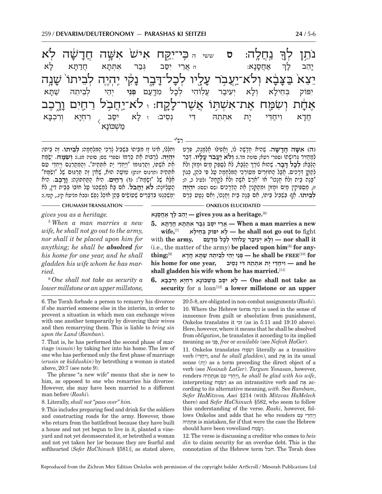֖ נ6ֲ חל7 ה: **ס** ששי ה כּ ִ " י־יקּ ִ yח אישׁ֙ ִ אשּׁ ֲ >ה חד֔-֧֝֓֕֓֕֓֕֓֕׆֧ׅ֧֓֬֓֬֓֜<mark>׀</mark><br>֧֘֩ ־שָׁה לְא .<br>-<br>1 נת ז יֵצֵא בַצָּבָ  $\sum_{i=1}^n$ יֲבָא וְלֹא־יַ<u>עֲ</u>בָר עָ **ַ**נְלֻיו לְכָ ל־דּ-יִבְר נ<sub>ָ</sub> ְקִי יְהְיֶה לְבֵיתוֹ שָׁ $\ddot{v}$ יָנָה ֿאָדָ חָת וְשִׂמַּח אֶת־אִשְׁתָּוֹ אֲשֶׁר־ל<del>ָ</del> ֹקֳחָ: ּ לֹא־יַחֲבָל רֵחֲיִם וָ רֶ Z כב ָ<br>אֲ חָטָ נ-א: ה אֲרֵי יִסַּב גְּבַר אִתְּתָא זְ א חֲדַתָּ א ל- א יָהֵב לָ ך יִפּוֹק בְּחֵילָא וְ א וְלָא יִ א יְעִיבַר עֲלְוֹהִי לְכָל נ ל מִדְּעַם **פְּנֵי** יְהֵי לְבֵיתֵהּ שַׁתָּ א יִסֵּב ְ רִחְיָא וְרִכְבָּ א ֲחד ִ -א וִיח<del>ַ</del>דִּי יָת א ית אתתה די נסיב: א $\overline{\langle}$ ֿמַשְׁכּוֹנָא

רש"י

**יִהְיֶה. לְרַבּוֹת אֶת כַּרְמוֹ (ספרי שם; סוטה מג.): <b>וְשִׂמֵּח.** יְשַׂמֵּת  **ח.** ְישׂ מּח ְו ִחְלּ ֵ לוֹ, א ָ ינוֹ ז ִ ז מֵבּ ִ יתוֹ בְּשִׁב ָ יל צְרֵכי הִ מְּלָחָמה: **ְלֵביתוֹ.** ֶז ֵה ביתוֹ: הָעֶלְיוֹנְה: לֹא יַחֲבֹל. מִם בָּא לְמַשְׁכְּנוֹ עַל חוֹבוֹ בְּבֵית דְין, לֹא<br>ימשכננו בדברים שטושים בהו אוֹכל נפש ובבא מגיעא היג.. הטו.): הָלֶא הָעֲ הַיִּאֲל הַמְהַיִּאָ (וּ , דְחַיִּם, הָיֹא הַמַּקְמוֹנָה: וָדָבֶב, הְיֹא<br>חָטְלִיא שָׁל "וְשָׂמַח": (וּ) <u>ר</u>ְחַיִּם, הִיא הַמַּקְמוֹנָה: וָדָבֶב, הִיא<br>הטליוֹנה: לֹא **יִחבֹל,** אִם בּא למשכנו טל חוֹבוֹ בּבִית דִּי אֶת אִשְׁתּוֹ, וְסַרְגּוּמוֹ "וְיַחְדֵי יָת אִתְּחֵיה". וְהַמְסַרְגֵם וְיֵחְדֵי עִם<br>אִתְּחֵיהּ ותרגום יונתן) טוֹטֶב הוּא, שֶׁאֵין זֶה תַּרְגּוּם שֶׁל "וְשִׂמַּח"<br>אלא של "ושמת": (ו) רחים. היא התּחִתּוֹנה: ורכב. היא

**ִ (ה) אשּׁ ֲ ה חד שׁ ה.** ֶשִׁה ֲ יא חָדָשׁה לוֹ, וֲאִפילּוּ אְ לָמָנ ְ ה, פָּרט ְאִי הָבָּאָיִ, הְּנָשָׁיִ, הְּנָשָׁיִ, הְּנָשָׁיִ, הְּנָבֹל עֲלָ**יוּ, דְּבַר**<br>לְמַחֲזִיר גְּרוּשְׁתוֹ (ספרי רעא; סוטה מד.): **וְלֹא יַעֲבֹר עָלְיוּ,** דְּבַר<br>הַצְּבֹא: **לבל דִּבר.** שהוּא נִוֹרֶדְּ הַצִּבֹּא. לֹא לִספּק מִ הַגָּבָא**: לִבְל דַבָר.** שָׁהוּא נוֹרֵךְ הַגָּבָא, לֹא לִסַפֵּק מֵיִם וּמָזוֹן וְלֹא לְתַקֵּן דְּרָכִיִם. אֲבָל הַחוֹזְרִים מֵטוֹרְכֵי הַמִּלְחָמָה עֲל פִּי כֹּהֵן, כְּגוֹן<br>"בָּנָה בַּיִּת וְלֹא חֲנָכוֹ" אוֹ "אֲרַשׂ אִשָּׁה וְלֹא לְקָחָהּ" ולעיל כ, ה;<br>ז), מַחִפִּיקִין מֵיִם וּמָזוֹן וּמִתַּקְנִין אֶת הַדְ **לְבֵיתוֹ.** אַף בְּשָׁבִיל בֵּיתוֹ, אִם בָּנָה בַּיִת וַחֲנָכוֹ, וְאִם נַטַט כֶּרֶם

*gives you as a heritage.*

5  *When a man marries a new wife, he shall not go out to the army, nor shall it be placed upon him for anything; he shall be absolved for his home for one year, and he shall gladden his wife whom he has married.*

6  *One shall not take as security a lower millstone or an upper millstone,* 

6. The Torah forbade a person to remarry his divorcee if she married someone else in the interim, in order to prevent a situation in which men can exchange wives with one another temporarily by divorcing their wives and then remarrying them. This is liable to *bring sin upon the Land* (*Ramban*).

7. That is, he has performed the second phase of marriage (*nisuin*) by taking her into his home. The law of one who has performed only the first phase of marriage (*erusin* or *kiddushin*) by betrothing a woman is stated above, 20:7 (see note 9).

The phrase "a new wife" means that she is new to him, as opposed to one who remarries his divorcee. However, she may have been married to a different man before (*Rashi*).

8. Literally, *shall not "pass over" him.*

9. This includes preparing food and drink for the soldiers and constructing roads for the army. However, those who return from the battlefront because they have built a house and not yet begun to live in it, planted a vineyard and not yet deconsecrated it, or betrothed a woman and not yet taken her [or because they are fearful and softhearted (*Sefer HaChinuch* §581)], as stated above,

**ְCHUMASH TRANSLATION CONFIDERED ONKELOS ELUCIDATED** 

 **אֲחָסָנא לך בָ הֵיָ — gives you as a heritage.**[6]

 **new a marries man a When — ֲאֵר ִ י יסּ ְב גּב ִר א ְתָּת ֲא חדָתּא 5. wife,**[7] **ילאָ חֵ בּ פּוֹק ְ י אִ לָ — he shall not go out to** fight  **it shall nor — ְו ָל ְא י ִע יב ֲר ע ִלוֹה ְ י לָכ ִל מָדּעם ,army the** with (i.e., the matter of the army) **be placed upon him**[8] **for anything;**[9] **דאָח אֲ תָּשׁ הּ יתֵ בֵל י ְ הֵי י ְ נֵפְּ — he shall be FREE**[10] **for his home for one year,** *י***תּתהּ דִּי נֵסיב i (and he shall gladden his wife whom he has married.**[11]

 **as take not shall One — ָל ִא יסּ ב מ ְשׁ ָכּוֹנ ִא ר ְחָי ְא וִר ְכ ָבּא 6.** security for a loan<sup>[12]</sup> a lower millstone or an upper

> 20:5-8, are obligated in non-combat assignments (*Rashi*). 10. Where the Hebrew term נקה is used in the sense of innocence from guilt or absolution from punishment, Onkelos translates it זכי) as in 5:11 and 19:10 above). Here, however, where it means that he shall be absolved from *obligation*, he translates it according to its implied meaning as ניֵפְּ , *free* or *available* (see *Nefesh HaGer*).

> 11. Onkelos translates מּחשִׂ וְ literally as a transitive verb (דּיֵיח וִ, *and he shall gladden*), and אתֶ in its usual sense (ית) as a term preceding the direct object of a verb (see *Nesinah LaGer*). *Targum Yonasan*, however, renders ייחדי עם אנתתיה, he shall be glad with his wife, interpreting מּחשִׂ וְ as an intransitive verb and אתֶ according to its alternative meaning, *with*. See *Rambam*, *Sefer HaMitzvos, Asei* §214 (with *Mitzvas HaMelech* there) and *Sefer HaChinuch* §582, who seem to follow this understanding of the verse. *Rashi*, however, follows Onkelos and adds that he who renders ויחדי עם תיהֵּתְּ אִ is mistaken, for if that were the case the Hebrew should have been vowelized וְשָׂמַח.

> 12. The verse is discussing a creditor who comes to *beis din* to claim security for an overdue debt. This is the connotation of the Hebrew term חבל. The Torah does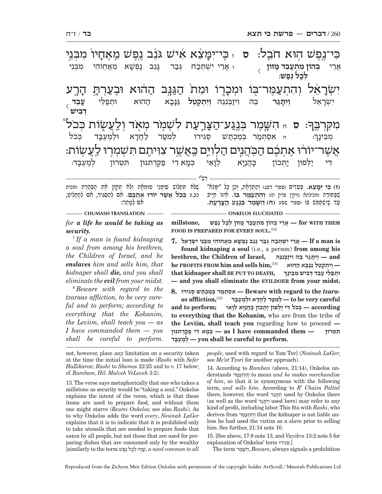**ִ (ז) כּ ִ י ימֵּ צא.** ְ בֵּעִדים (ספרי רעג) ְ והְ תָרָא ְ ה, וֵכ ָ ן כּ ִ ל "יָמֵּצא" י הַיִּבְּרֵה יִפְרֵי יִפְרֵי יִפְרָי יִתְּעֲמֶר בּוֹ. חֵינוֹ חַיֶּיב<br>שֶׁבַּפוֹרָה (מכילתא נזיקין פרק ה): **וְהִתְעַמֶּר בּוֹ.** חֵינוֹ חַיָּיב<br>עד שישׁפּוּש בּוֹ (ספרי שס): (ח) **השמר בּוּגע הצרעת.** ָשׁלֹא תִּתְלוֹשׁ סִימָנֵי טוּמְתָה וְלֹא תָקוֹן חֶת הַבַּהֶרֶת ומכות<br>כב.)**: בְּבֹל ְאֵשֶׁר יוֹרוּ אֶתְבֶּבּוּ.** תִּס לְהֻסְגִּיר, חָם לְהֻחֵלִיט, רש"י ִכּי־נ1ֶ פ ֥שׁ ה ֹ וּא חבK ל: **ס** ז כּ ִ " י־ימֵּ֨ -ימצא איש גּנב נפש מאחי ָזיוֹ מִבְּנֵי  $\ddot{\textbf{x}}$ יִשְׂרָ עמֵר־בִּו וּמִכַוִ ֹיְרֶוֹ וּמֵת הַגַּנְּב הַהוּא וּבְעַרְתָּ הָ הר .<br>-<br>1 : **ס** <sup>ח</sup> ִ השֶּׁ מ ְר בּנF ג ע־ה צּ-יָּרֵעַת לִשְׁמָ*֫*ר מְאָד וְלַעֲשֶׂוֹת בְּכֹל ָמִקְרָ<u>ב</u>ֶּך אֲשֶׁר־יוֹרוּ אֶתְכֶם הַכְּהֲנִים הַלְוִיֵּם כַּאֲשֶׁר צִוִּיתֶם תִּשְׁמְרִוּ לַעֲשְׂוֹת: **ִבְהוֹן מִתְעֵבֵד מַזוֹן**  $\alpha$  ז אֲרֵי יִשְׁתִּכַח  $\alpha$ גָּבר גַּגֵב <u>נפשא</u> מאחוהי מבני  $\overline{\langle}$  **ְלכ ל ְנפ שׁ**: ֲאֵרי **עֵ בד**  $\overline{\langle}$  **ְדּ ִבישׁ**  $\ddot{\psi}$ יִשְׂרָ ו<u>ִית</u>ּגַר  **ר** ֵבּ ִ הּ ויז ְ בִּנֵנּהּ **ְוִי ְת ְקֵטל** גּ נּ-גּנַבא הַהוּא וּתִפַלִּי וּ **אִסְתְּמַר בְּמַכְתּ**שׁ סְגִירוּ לְמִטַּר לַחֲדָא וּק יא וּלְמֶעְבָּד <sub>ִ</sub> ד כְּכֹל מִבֵּינָךְ דִי יַלְפוּן יָו תכוז' יֶהֲנַיָּא לֵנָ לֵוַאֵי כִּמַא דִי פַקֵּד תִּנּוּן מעבד:

 $-$  CHUMASH TRANSLATION ————————————————————— ONKELOS ELUCIDATED *for a life he would be taking as*  ע ֶ ד שִׁיּ ְשׁתֵּ מּשׁ בּוֹ (ספרי שם): **ִ (ח) השֶּׁ מ ְ ר בֶּנג ע ה צּ ר ע** ִא ְם לטֵ הר:

*security.* 7  *If a man is found kidnaping a soul from among his brethren, the Children of Israel, and he enslaves him and sells him, that kidnaper shall die, and you shall eliminate the evil from your midst.*

8  *Beware with regard to the tzaraas affliction, to be very careful and to perform; according to everything that the Kohanim, the Leviim, shall teach you — as I have commanded them — you shall be careful to perform.* 

 **THEM WITH for — ֲאֵר ְ י ב ִ הוֹן מ ְתֲעֵב ָד מ ְ זוֹן לָכ ְל נפשׁ ,millstone FOOD IS PREPARED FOR EVERY SOUL.** [13]

7. אֵרֵי יִשְׁתִּכָח גִּבַר גַּנֵב נַפְשָׁא מֵאֵחוֹהִי מִבְּנֵי יִשְׂרָאֵל — If a man is

**found kidnaping a soul** (i.e., a person) **from among his brethren, the Children of Israel, princes** - **princes** - **princes — ְוִי ְת ְקֵט ל גָּנָּב א ההוּא** [14]**,him sells and him FROM PROFITS he that kidnaper shall BE PUT TO DEATH, ְ ְוּתפ ֵלּ ָ י עֵב ְד דּ ִב ִ ישׁ מֵבּ ָינך — and you shall eliminate the EVILDOER from your midst.**

8. אַסְתְּמַר בְּמַרְתַּשׁ סְגִירוּ, Beware with regard to the *tzara-*<br>לַמְטֵר לַחֲדָא וּלְמֵעָבָּד it o be very careful – לִמְטַר לַחֲדָא וּלְמֵעָבָּד  $\alpha$ s affliction,<sup>[15]</sup> – לְמִטֵּר לַחֲדָא וּלְמֶעְבָּד – to be very careful and to perform; – בְּכֹל דִּי יַלִּפוּז יַתְבוֹן בִּהֲנֵיִא לָוָאִי **to everything that the Kohanim,** who are from the tribe of **the Leviim, shall teach you** regarding how to proceed **— ִ תּ ְטּרוּן — them commanded have I as — ְכָּמ ִא ד י פֶקְּד ִתּנּוּן בּדָ עְ מֶל ְ — you shall be careful to perform.**

not, however, place any limitation on a security taken at the time the initial loan is made (*Rashi* with *Sefer HaZikaron*; *Rashi* to *Shemos* 22:25 and to v. 17 below; cf. *Rambam*, *Hil. Malveh VeLoveh* 3:2).

13. The verse says metaphorically that one who takes a millstone as security would be "taking a soul." Onkelos explains the intent of the verse, which is that these items are used to prepare food, and without them one might starve (*Beurei Onkelos;* see also *Rashi*). As to why Onkelos adds the word *every*, *Nesinah LaGer*  explains that it is to indicate that it is prohibited only to take utensils that are needed to prepare foods that eaten by all people, but not those that are used for preparing dishes that are consumed only by the wealthy [similarly to the term פשֶׁנ לֶ כל הְ וֶשׁ , *a need common to all* 

*people*, used with regard to Yom Tov] (*Nesinah LaGer*; see *Me'at Tzori* for another approach).

14. According to *Ramban* (above, 21:14), Onkelos understands מּרֶעתְ הִ וְ to mean *and he makes merchandise of him*, so that it is synonymous with the following term, *and sells him*. According to *R' Chaim Paltiel* there, however, the word תְתֵּגֵר used by Onkelos there (as well as the word גרתּיִוְ used here) may refer to any kind of profit, including labor. This fits with *Rashi*, who derives from מּרֶעתְ הִ וְ that the kidnaper is not liable unless he had used the victim as a slave prior to selling him. See further, 21:14 note 10.

15. [See above, 17:8 note 13, and *Vayikra* 13:2 note 5 for explanation of Onkelos' term גירוִּסְ .[

The term מרֶשּׁ הִ , *Beware*, always signals a prohibition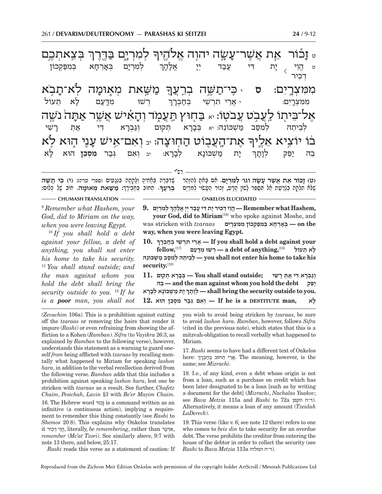<mark>ֶ</mark> בְּצְאתְכֶם היה <u> לְמִרְיֶם בַּ</u>דֶּרֶךְ ט **וָב**ّ את שַׂה יהוה אל ַ מַשַּׁאת מְאֶוּמָה לְא־תָנ*ִ*  בֹא .<br>ค. מִמִ<mark>ּ צְרָיִם: ס</mark> קִי־תַשָּׁה בְרֵצ<del>ְ</del>ךָ ֿטוֹ: <sub>יא</sub> בּחוּץ תּעמֹד איש א זָה *ׁ נֹשֶׁ*ה .<br>ค' ּ אֶת־הָעֲבֻוֹּט הַחְוּצָה: ּבּ וְאִם־אִישׁ עָ עני הוּא בוֹ יוֹצִיא אֵלֶיךִ ֿ לְמִרְיָם בְּאָ **ָ** זְרְהָא בּמפּקָבוֹן הֱוֵי <sub>/</sub> יָת **ּו** ָת דִי *עֲבַ*ד יִי א אל: ה- ך ט $\overline{\langle}$  ְד ִכיר ן ישוּ מד<mark>ִעם לָא</mark> רִ א תעוֹל ּמִמִצְרֶיִם: י אֲרֵי תִרְשֵׁי – בְחַבְרָ בחברר  $\alpha$ משכונה: יא **בִּבָרָא** תּקוּם וגברא א דִּי אַתְּ רָ שׁי  $\frac{1}{\tau}$   $\frac{1}{\tau}$ ית משׁכּוֹנא א לְבָרָ א: יב ְו ִא ְ ם גּב ר **ִמ ְסֵכּן** הוּא ל- א בה יפק ת-ך

(ט) <mark>זָבוֹר אֵת אֲשֶׁר עָשָׂה וגו׳ לְמִרְיָם.</mark> אִם בָּאמָ לְהָזֶהֵר | שֶׁדִּבְּרָה בְאֶחִיהָ וְלָקְתָה בִּנְגָעִים (ספרי ערה): (**ו**) <mark>בִּי תַשֶּׁה</mark><br>שלא תלקה בנרעת אל תּספּר לשוו הרע. זכור העשוי למרים | ברעב. תחוב בחבירה: ְ : **מ שּׁ ְ .** ֵ ת ְ חוּב בּחְ ב ָירך **ְבֵרֲעך את מאוּמ ה.** ֶ חוֹב שׁ ְ ל כּלוּם: ֶשִׁדְּבָּר ְ ה בָאִח ָיה ְ וָלְקָת ִ ה בְנָג ִעים (ספרי ערה): **ִ (י) כּי ת ֶ ָ**

רש"י

**CHUMASH TRANSLATION - THE RESERVITY ON KELOS ELUCIDATED** -9  *Remember what Hashem, your God, did to Miriam on the way, when you were leaving Egypt.*

<sup>10</sup> *If you shall hold a debt against your fellow, a debt of anything, you shall not enter his home to take his security.*  <sup>11</sup> *You shall stand outside; and the man against whom you hold the debt shall bring the security outside to you.* <sup>12</sup> *If he is a poor man, you shall not* 

**ְ ְ ל ִמְרָים 9. ,Hashem what Remember— ֱהֵו ְי ד ִכ ָ יר י ִת דּ ֲ י עב ְד יָיֱ אָל ָהך your God, did to Miriam**[16] who spoke against Moshe, and *עמצרים — היוחא במפקבון ממצרים — נדרחא במפקבון ממ***צרים — <b>***p a* the **way, when you were leaving Egypt.**

**10. ְ your against debt a hold shall you If — ֲאֵר ִ י תְר ֵשׁ ְ י בח ְבָרך ָ ל ֵא תעוֹל** [18]**,anything of debt a — ְר ִשׁוּ מָדּעם** [17]**,fellow his take to home his enter not shall you — ְלֵב ֵית ְהּ ל ִמסּ ב מ ְשׁ ֵכּוֹנהּ** security.<sup>[19]</sup>

**ְ וג ְבָר ִא דּ י א ְתּ ָ ר ֵשׁי ;outside stand shall You — ְבָּבָר ְא תּקוּם 11. בהֵּ — and the man against whom you hold the debt פּקֵי ְ ָ י ת מ ְשׁ ָכּוֹנ ְא לָבָרא תךָוָלְ — shall bring the security outside to you.**  $\mathbf{r}$  **לְא**  $\mathbf{r}$  לִא  $\mathbf{r}$   $\mathbf{r}$  **|**  $\mathbf{r}$  **|**  $\mathbf{r}$  **|**  $\mathbf{r}$  **|**  $\mathbf{r}$  **|**  $\mathbf{r}$  **|**  $\mathbf{r}$  **|**  $\mathbf{r}$   $\mathbf{r}$  **|**  $\mathbf{r}$   $\mathbf{r}$  **|**  $\mathbf{r}$   $\mathbf{r}$   $\mathbf{r}$   $\mathbf{r}$   $\mathbf{r}$   $\math$ 

(*Zevachim* 106a). This is a prohibition against cutting off the *tzaraas* or removing the hairs that render it impure (*Rashi*) or even refraining from showing the affliction to a Kohen (*Ramban*). *Sifra* (to *Vayikra* 26:3, as explained by *Ramban* to the following verse), however, understands this statement as a warning to guard oneself *from* being afflicted with *tzaraas* by recalling mentally what happened to Miriam for speaking *lashon hara*, in addition to the verbal recollection derived from the following verse. *Ramban* adds that this includes a prohibition against speaking *lashon hara*, lest one be stricken with *tzaraas* as a result. See further, *Chafetz Chaim*, *Pesichah*, *Lavin* §3 with *Be'er Mayim Chaim*.

16. The Hebrew word זכוֹר is a command written as an infinitive (a continuous action), implying a requirement to remember this thing constantly (see *Rashi* to *Shemos* 20:8). This explains why Onkelos translates it הֵי דִּכִּר, literally, be remembering, rather than ,*אֲ*דִּכַר, *remember* (*Me'at Tzori*). See similarly above, 9:7 with note 13 there, and below, 25:17.

*Rashi* reads this verse as a statement of caution: If

you wish to avoid being stricken by *tzaraas*, be sure to avoid *lashon hara*. *Ramban*, however, follows *Sifra*  (cited in the previous note), which states that this is a mitzvah-obligation to recall verbally what happened to Miriam.

17. *Rashi* seems to have had a different text of Onkelos here: אֵרֵי תֵּחוּב בִּחֲבָרָ, The meaning, however, is the same; see *Mizrachi*.

18. I.e., of any kind, even a debt whose origin is not from a loan, such as a purchase on credit which has been later designated to be a loan [such as by writing a document for the debt] (*Mizrachi*, *Nachalas Yaakov*; see *Bava Metzia* 115a and *Rashi* to 72a וזקפן ה"ד(. Alternatively, it means a loan of any amount (*Tzeidah LaDerech*).

19. This verse (like v. 6; see note 12 there) refers to one who comes to *beis din* to take security for an overdue debt. The verse prohibits the creditor from entering the house of the debtor in order to collect the security (see  $Rashi$  to *Bava Metzia* 113a ה"ה המלוה.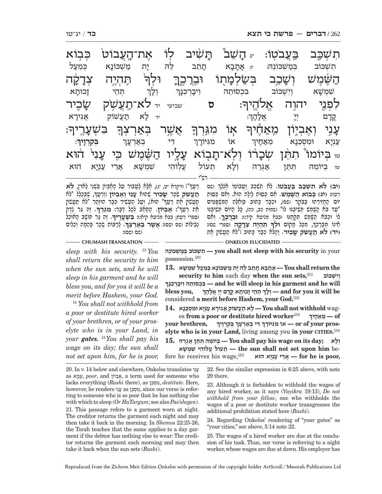| פִבוֹא                    |         |              | ֿאָת־הָעֲבוֹט              | לוֹ      | תֲשִׁיב                 | ֿיג <b>דָז<sup>י</sup>ָשׁב</b> |                     | בַעֲבֹטְוֹ:        | תִשְׁכָּב                    |
|---------------------------|---------|--------------|----------------------------|----------|-------------------------|--------------------------------|---------------------|--------------------|------------------------------|
| בִּמְעַל                  |         | מַשִׁכּוֹנַא | יָת                        | לֲה      | תָּתֵֽב                 | אתבא                           | יג                  | בִּמַשְׁכוֹנֵהּ:   | תשכוב                        |
| ¥ַדָקֶ <sup>ׂ</sup> ה     |         | תְּהְיֶה     | וּלִךְ                     |          | <u>וּבְרָכֶךְ</u>       | <i>ַּבְּשַׂלְּמָתָוֹ</i>       |                     | וְשָׁבְב           | השׁמש                        |
| <b>ַ</b> זְכוּתָא         |         | תְּהֵי       | וִלְךָ                     |          | וִיּבְרְכִנְּךָ         | בִּכְסוּתֵה                    |                     | וִיִשְׁכוֹב        | שׁמְשָׁא                     |
| שָׂבֻיר                   |         |              | לא־מַעֲשָ <i>ׁ</i> ק<br>יד | שביעי    | ס                       |                                | <b>ֹאֲלֹהֶיךְ</b> ׃ | יהוה               | לִתְּנֵי                     |
| אֲגִירָא                  |         | תַעֲשׁוֹק    | לַא<br>$\mathbf{r}$        |          |                         |                                | אֲלָהָן׃            | לל<br>ד            | ֶקְרָם                       |
| בִּשְׁעָרֶיך <del>ּ</del> |         |              | <u>בָּאַרְצְךָ</u>         | אֲשֶׁר   | ּמִג <del>ּ</del> ְרְךָ | אָרֹ                           | <b>ٞ</b> ڟؚڬڷؽڶڂ    | <b>יְאֶבְיֶוֹן</b> | עָנִי                        |
| ּבְקִרְוָיךָ:             |         |              | <b>בְאַרְעָ</b> ךָ         | דִי      | מִגִּיּוֹרָךְ           | İΝ                             | מֵאַחָיךָ           | וּמִסְבֵנָא        | עַנְיָא                      |
| הוא                       | עַני    | כל           | השֹׁמִשׁ                   | עַלְיו   | תִּבְוֹא                |                                | ֿשָׂבָרו            | <u>תְהֵ</u> ׂן     | ֿבִ <sup>יוֹ</sup> מוֹ<br>טו |
| הוא                       | עַנִיִא | אֲרִי        | שׁמְשָׁא                   | עַלֽוֹהי | תֵעוֹל                  | וְלָא                          | אַגְרֵה             | תְּחֵן             | בִיוֹמֵה<br>טו               |
|                           |         |              |                            |          |                         |                                |                     |                    |                              |

ָרֵעֲךָ"] (ויקרא יט, יג), אֶלָּא לַעֲבוֹר עַל הָאֶבְיוֹן בִּשְׁנֵי לַאוִין**, לֹא**<br>תעשׂק שכר שב**יר** שהוא עני ואביוֹז [ורטה, שבכלל "לֹא ָ**תֲ עשֹׁק** ְשׂכר **שׂ ִ כיר** ֶשׁהוּא **עִ נ ְ י וֶא ְביוֹן** ְ[וֵרֲעך ָי הוּ הוּ הוּז הוּזה הוּזה לְּבִּי הוּזה הוּזה לֹא תַעֲשֶׂה יוֹזה.<br>תַּעֲשָׂק את רָעַדְּ" הוּא), ועל הַעשׁוּר כִּבֶּר הוּזהר "לֹא תַעֲשָׂק **ָ**ַז גִּ דְּבָל הַיְהִית הָ דָּבִי הַעֲלָךְ הַעֲלָךָ אֲ עֲר לָדֶק<br>חֶת רֵעֲדְ": אֶבְיוֹן. הַתָּחֵב לְכָל דֶּבָר: מִגַּרְךָ, זֶה גֵּר לֶדֶק<br>וספרי רעת: בבא מגיעא קיא:**: בשעריר.** זה גּר תּוֹשׁב האוֹכל ׅ֧ׅ֧ׅׅׅ֧ׅ֧ׅ֧ׅ֧ׅ֧ׅ֧֧֚֚֚֚֚֚֚֚֚֚֚֚֚֚֚֚֚֚֚֚֚֚֡֡֝֝֡֝֡֓֡֡֓֡֜֜֜֜֜֝֬ **ָ**(ספרי רעח; בבא מציעא קיא:): **ִבּ ְשׁעֶ ריך ָ**יְצִי הַיֹּשֶׁ עֵד הַאֶלָּ הַעֲלוֹת (שם ושם): **ְאֲשֶׁר בְּאַרְצְךָ. לְ**רַבּוֹת שְׂכַּר בְּהֲמֶה וְכֵלִים,<br>יְבֵילוֹת (שם ושם): **יְאֲשֶׁר בְּאַרְצְךָ. לְ**רַבּוֹת שְׂכַּר בְּהֲמֶה וְכֵלִים,

ָ (שם **(יב) לֹ ִא ת ְשׁכּ ב בֲּ עבֹטוֹ.** לֹ ִ א ת ְשׁכּב וֲע ֶ בוֹטוֹ אְצְלך רעז): **ְ (יג) כּבוֹא ה ֶ שֶּׁמשׁ.** ִא ְם כּסוּת לְ יָל ְ ה הוּא. ו ִא ְם כּסוּת יוֹם הֲחֵזִירֶהוּ בַבֹּקֵר (שם), וּכְבָר כָּתוּב בְּוָאֱלֶה הֲמִשְׁפָּטִים יִם הַ הְ שִׁי הַשְׁיִבְּוּ (לוֹ" (שמות כב, כה), כּל הִיּוֹם תִּשִׁיבֹּנּוּ ) מִי דְּכְנוֹ הַשֶּׁמֶשׁ עִּיְמְוֶעָדּ וֹכֹבוֹ וּוֹנִישׁוֹ קִיזְיֹג. דְּבֵרְבֶּךָ, וְיִוֹט<br>אֵינוֹ מְבָּכֶכְךָ, מִכָּל מָקוֹם **וּלְךָּ תִּהְיֶה צְדָקָה** וִפִּכּי שִׁם):<br>(**יִד) לֹא תִעְשֹׁה שִׂבִּיר**. וְהִלֹּא כִבּר כִּתְּוּ **ִ תּ ְהֶי ְ ה צד ק ה** (ספרי שם): ְ לוֹ וּכבֹא הֶ שֶּׁמ ִ שׁ תָּקֶּחנּוּ (בבא מציעא קיד:): **ֵוּבֲרֶכָךּ.** ְו ִאם ָ(**יד) לֹא תַעֲשֹׁק שַׂבְיר. וַהֲלֹח כְבָר** כָּחוּב ["לֹח חֲטָשֹׂק חֶת

*sleep with his security.* <sup>13</sup> *You shall return the security to him when the sun sets, and he will sleep in his garment and he will bless you, and for you it will be a merit before Hashem, your God.*

<sup>14</sup> *You shall not withhold from a poor or destitute hired worker of your brethren, or of your proselyte who is in your Land, in your gates.* <sup>15</sup> *You shall pay his wage on its day; the sun shall not set upon him, for he is poor,* 

**CHUMASH TRANSLATION ONKELOS ELUCIDATED** 

**כּוֹנהֵּ שְׁ מבּ כּוֹב ְ שְׁ תִ — you shall not sleep with his security** in your possession.<sup>[20]</sup>

 **the return shall You — ָאָתָב ָא תֵת ֵב ל ָהּ י ת מ ְשׁ ָכּוֹנ ְא כֵּמע ִל שׁ ְמ ָשׁא 13. security to him** each day **when the sun sets,**[21] **שׁכּוֹבְ יִו ְ ְ נּךָכִ רְיבָ ו הִּ סוּתֵ כְ בִּ — and he will sleep in his garment and he will bless you, ְ ְ ְ תֵּה ָ י ז ָכוּת ֳא קָד ְם יָי ֱ אָל ָהך לךָ וְ — and for you it will be** considered **a merit before Hashem, your God.**[22]

14. אַגִירָא עַנְיָא וּמִסְבֵּנָא (עֵקְיָא בּתָאֵל — You shall not withhold wag-<br>פּאַחִיךְ — מַאֲחִיךְ — of – מִאֲחִיךָ  **of — ֵמאָחיך your brethren, ְ ְ ְ בּ ִקְרָויך ִ דּ ְ י באְרָעך יּוֹרךָ גִּ מ אוֹ ִ — or of your pros-ְelyte who is in your Land,** living among you **in your CITIES.** [24] **ְ ו ָלא ;day its on wage his pay shall You — ְבּ ֵ יוֹמ ִהּ תֵּתּ ן אְגֵרהּ 15. שׁאָ מְ שׁ י ִ לוֹהִ ע עוֹל ֲ תֵ — the sun shall not set upon him** be-

fore he receives his wage,[25] **הוּא יאָנְע י רֵאֲ — for he is poor,**

20. In v. 14 below and elsewhere, Onkelos translates ניִע as יאנְע, *poor*, and ביוֹןְ אֶ, a term used for someone who lacks everything (*Rashi* there), as כּןֵסְ מִ , *destitute*. Here, however, he renders ניִע as כּןֵסְ מִ , since our verse is referring to someone who is so poor that he has nothing else with which to sleep (*Or HaTargum*; see also *Pas'shegen*). 21. This passage refers to a garment worn at night. The creditor returns the garment each night and may then take it back in the morning. In *Shemos* 22:25-26, the Torah teaches that the same applies to a day garment if the debtor has nothing else to wear: The creditor returns the garment each morning and may then take it back when the sun sets (*Rashi*).

22. See the similar expression in 6:25 above, with note 29 there.

23. Although it is forbidden to withhold the wages of any hired worker, as it says (*Vayikra* 19:13), *Do not withhold from your fellow*, one who withholds the wages of a poor or destitute worker transgresses the additional prohibition stated here (*Rashi*).

24. Regarding Onkelos' rendering of "your gates" as "your cities," see above, 5:14 note 22.

25. The wages of a hired worker are due at the conclusion of his task. Thus, our verse is referring to a night worker, whose wages are due at dawn. His employer has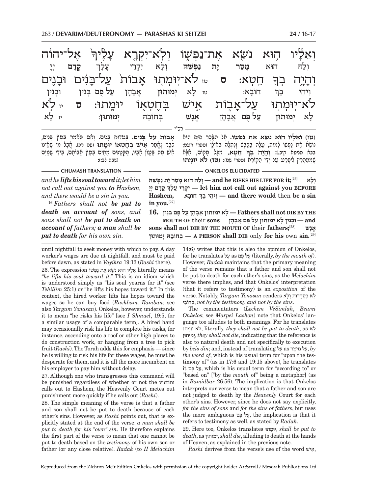|                  |                         |            |              |       | וְאֵלָיוּ הָוּא נֹשֵׂא אֶת־נַפְשָׁוֹ וְלְא־יִקְרֶא עָלֶיךְּ אֶל־יהוֹה                |     |                  |                            |               |
|------------------|-------------------------|------------|--------------|-------|--------------------------------------------------------------------------------------|-----|------------------|----------------------------|---------------|
| לל<br>ד          | קדם                     | עַלַר      | יקרי<br>יקרי | וִלַא | <u>נפשה</u>                                                                          | יָת | מַסַר            | $N\overline{1}$            | וְלֵה         |
|                  |                         |            |              |       | בְךָ חֵטָא: ס <sub>יי </sub> לֹא־יִוּמְתְוּ אָבוֹת <sup>ֹ</sup> עַל־בָּנִים וּבָנִים |     |                  |                            | וְהָיָה       |
| וּבְנִין         |                         |            |              |       | טו לָא יְמוּתוּן אֲבָהָן עַל-פָּם בְּנִין                                            |     | חוֹבַא:          | בֶּךְ                      | וְיֹהֵי       |
| <sub>יי</sub> לא | $\overline{\mathbf{U}}$ | יומתו:     |              |       | אָישׁ בְּחֶטְאָוֹ                                                                    |     |                  | לֹא־יִוּמְתְוּ עַל־אֲבְוֹת |               |
| $\kappa$ לָא     |                         | יִמוּתוּן: |              | בחובה | אֵנָשׁ                                                                               |     | עַל פֶּם אֲבָהָן |                            | לַא יִמוּתוּן |
|                  |                         |            |              |       |                                                                                      |     |                  |                            |               |

**in you.**[27]

**א בוֹת ע ל בִּ נים.** ְבֵּע ָ דוּת בִּנ ְ ים. ו ִא ֹ ם תּאמר בֲּ עוֹ ָ ן בִּנים, כְבָר לָאֱמַר **אִישׁ בְּחֶטְאוֹ יוּמָתוּ** (שם רפ). אֲבָל מִי שֶׁאֵינוֹ<br>אִישׁ מֵת בַּעֲוֹן אָבִיו, הַקְטַמִּים מֵתִּים בַּעֲוֹן אֲבוֹתֶם, בִּידֵי שָׁמָיִם<br>(שבת לב:):

**ְ (טו) וֵאל ֹ יו הוּא נֵשׂ ֶא את נ ְ פשׁוֹ.** ֶאל הָ שָּׂכר הֶ זּה הוּא **ֵ ח ְטא,**בבא מציעא קיב.): **ְוה י ְ ה בך** ִ מִׂשֹׁא אִת נַפְשׁוּ לַמוּת, עַלָה בַּכֵּבֵשׁ וְנִתְלָה בְאִילָן וספרי רעט; ֶשְׁמּמֲ הִר ִ ין ל ָיפּר ע ע ְ ל יֵדי ה ֵ קּוֹרא (ספרי שם): **(טז) לֹ ְ א יוּמתוּ** 

**CHUMASH TRANSLATION ONE CHUMASH TRANSLATION** 

*and he lifts his soul toward it; let him not call out against you to Hashem, and there would be a sin in you.*

<sup>16</sup> *Fathers shall not be put to death on account of sons, and sons shall not be put to death on account of fathers; a man shall be put to death for his own sin.*

**ְ ו ָלא** [26]**;it FOR LIFE HIS RISKS he and — ְוֵל ָ הּ הוּא מס ָר י ת נ ְפ ֵשׁהּ ְ ֳ קָד ְם יָי לךָ ע י ֲ רֵקְ יִ — let him not call out against you BEFORE ְ ָ חוֹבא ,Hashem בך י ָ יהֵ וִ — and there would** then **be a sin** 

**THE BY DIE not shall Fathers — ָל ְא י ֲ מוּתוּן אָב ָה ן ע ֻל פּ ְם בִּנין 16. and — ְוּבִנ ָ ין ל ְא י מוּתוּן ע ֻל פּ ֲם אָב ָהן sons** their **OF MOUTH sons shall not DIE BY THE MOUTH OF** their **fathers;**[28] **נשָׁא ֱ ימוּתוּן הְּ חוֹבֵ בְּ — A PERSON shall DIE** only **for his** own **sin.**[29]

until nightfall to seek money with which to pay. A day worker's wages are due at nightfall, and must be paid before dawn, as stated in *Vayikra* 19:13 (*Rashi* there).

 $26.$  The expression אֵלֵיו הוּא נַשָׂא אַת נַפְשׁוֹ literally means "*he lifts his soul toward it*." This is an idiom which is understood simply as "his soul yearns for it" (see *Tehillim* 25:1) or "he lifts his hopes toward it." In this context, the hired worker lifts his hopes toward the wages so he can buy food (*Rashbam, Ramban;* see also *Targum Yonasan*). Onkelos, however, understands it to mean "he risks his life" [see *I Shmuel*, 19:5, for a similar usage of a comparable term]. A hired hand may occasionally risk his life to complete his tasks, for instance, ascending onto a roof or other high places to do construction work, or hanging from a tree to pick fruit (*Rashi*). The Torah adds this for emphasis — since he is willing to risk his life for these wages, he must be desperate for them, and it is all the more incumbent on his employer to pay him without delay.

27. Although one who transgresses this command will be punished regardless of whether or not the victim calls out to Hashem, the Heavenly Court metes out punishment more quickly if he calls out (*Rashi*).

28. The simple meaning of the verse is that a father and son shall not be put to death because of each other's sins. However, as *Rashi* points out, that is explicitly stated at the end of the verse: *a man shall be put to death for his "own" sin*. He therefore explains the first part of the verse to mean that one cannot be put to death based on the *testimony* of his own son or father (or any close relative). *Radak* (to *II Melachim* 

14:6) writes that this is also the opinion of Onkelos, for he translates על as פּם לֻ ע) literally, *by the mouth of*). However, *Radak* maintains that the primary meaning of the verse remains that a father and son shall not be put to death for each other's sins, as the *Melachim* verse there implies, and that Onkelos' interpretation (that it refers to testimony) is an *exposition* of the ל ְא בסֲה ְ דוּת ולא renders *Yonasan Targum* ,Notably .verse חוֹביֵ בְ , *not by the testimony and not by the sins*.

The commentators (*Lechem VeSimlah*, *Beurei Onkelos*; see *Marpei Lashon*) note that Onkelos' language too alludes to both meanings. For he translates יוּמתוּ א ְ ֹל, literally, *they shall not be put to death*, as לא ימוּתוּןְ, *they shall not die*, indicating that the reference is also to natural death and not specifically to execution by *beis din*; and, instead of translating על as ימר מ לֵ ע, *by the word of*, which is his usual term for "upon the testimony of" (as in 17:6 and 19:15 above), he translates it פּם לֻ ע, which is his usual term for "according to" or "based on" ["by the *mouth* of" being a metaphor] (as in *Bamidbar* 26:56). The implication is that Onkelos interprets our verse to mean that a father and son are not judged to death by the *Heavenly* Court for each other's sins. However, since he does not say explicitly, *for the sins of sons* and *for the sins of fathers*, but uses the more ambiguous פּם לֻ ע, the implication is that it refers to testimony as well, as stated by *Radak*.

29. Here too, Onkelos translates יוּמתוּ , *shall be put to death*, as ימוּתוּןְ, *shall die*, alluding to death at the hands of Heaven, as explained in the previous note.

*Rashi* derives from the verse's use of the word אישִׁ ,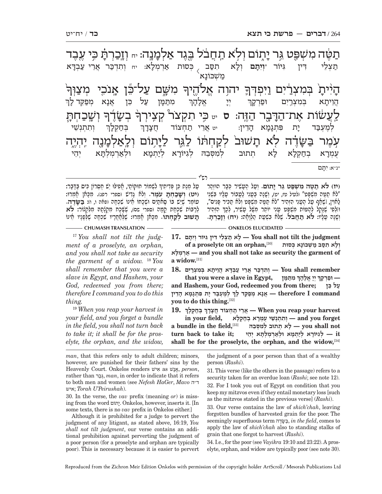ְּתַשֶּׁם גִּר יִ ֿוֹתֶוֹם וְלִא תַחֲבֹל בֶּגֶד אַלְמָּנָה: <sub>יי</sub> וְזֶכַּרְרָ ּתָׁ כִּי עֶבֶד .<br>-<br>1 ַּיְ יהוָה אֱלֹהֱי<sub>ּ</sub>ךָּ מִשֶּׁם עַלְ־כֵּ֫ן אֲנֹכֵי מְצַוְּךְ ית<sup>ָי</sup> בְּמִצְ<u>ר</u>ֹיִם וַיִּפְדְךְּ ה-י<sup>ַן יִ</sup>יך .<br>-<br>|-<u>וֹשֶׁב</u>ַחְתָּ ۬ בְשָׂדֶ<del>ׁ</del> ؆ؘ۪ڗؘٳ<sub>ٙ</sub>ڐ .<br>-<br>|ר לַעֲשׂוֹת אֶת־הַדָּ יֵה הַזֶּה: ס<sub>ֹיט</sub> כִּי תִקְצֹר ۚ קְצְירְךְ =ָי עָׂמֶר בַּשֶּׂ<del>ו</del>ָ וֹדֶׁה לְא תָ תשׁוּב לקחתו ּיְתִוֹם וְלֵ<u>א</u>לְמָ יִנְה יְהְיָ<u>ה</u> תִסַּב<sub>ּ ></sub> בְּסוּת אַרְמְלָ א: יח וְתִדְכַּר אֲרֵי עַבְדָ<del>ּ'</del>  $\aleph$ תַצְלֵי דִין גִיּוֹר <sub>\*</sub>וְיִתָּם וְלַ וְרָא מַשְׁכּוֹנָא ֧֧֧֢ׅ֧֢ׅ֖֖֖֖֖֖֖֖֧֚֚֚֚֚֚֚֚֚֝<u>֚</u> **מִתַּמַן** ֿן עַל כֵּן אֲנָא מְפַקֵּד *ל*ָ ך  $\sum_{i=1}^{N}$ אָלָהָר ָ הויתא במצרים וּפו ך ְ ְו ִת ְתְנֵשׁי ְ ְבּחְ קל-ן<del>,</del> לְמֶעְבַּד יָת כּ ת פִּתְגָמָ הדין: יט אֵרֵי תַחֲצוֹד ד- ך ֿעָמְרָא נ א בְחַקְלָ לא תתוּב למסבה לגיּוֹרא א לְיַתְמָא וּק ְזֵא וּלְאַרְמְלְתָּא יְ יתו \*נ"א: ִ יתּ- ם

ְָ על מנת כּו פּדיתידּ לשמוֹר חוּקּוֹתי. אִפילּוּ יש חִסְרוֹז כִּיס בִּדְּבר: **ְ (יט) ושׁ כ ְ חתּ ֹ עֶמר.** ְולֹ ָא גִדישׁ (ספרי רפג) ִ . מָכּ ָ אן אְמרוּ: לְרַבּוֹת שִׁכְחַת קָמָה וספרי שם), שֶׁשָּׁכַח מִקְנָۢתָהּ מִלַּקְנוֹר**: לֹא**<br>**תִשׁוּב לְקֵחִתוּ.** מִכְּאן אֲמִרוּ: שֶׁלַּאֲחֲרֵיו שֶׁכְחֶה שֶׁלְפְּנֵיו אֵינוֹ טוֹמֶר שֶׁיַּשׁ בּוֹ סְאתַיִּם וּשְׁרָחוֹ אֵינוֹ שִׁכְתָה ופאה ו, וּז: בַּשָּׂדֶה.<br>טוֹמֶר שֶׁיַּשׁ בּוֹ סְאתַיִּם וּשְׁרָחוֹ אֵינוֹ שִׁכְתָה וּמִלְיָתָהּ מִנִּקְלוֹר: לֹא<br>תִשׁוּב להחתו. מכּאו אמרו: שלאחריו שכחה שלפניו אינ

**(יז) לֹא תֶ טּ ִה מ ְשׁפּ ֵ ט גּר י תוֹם.** ְוע ֶ ל הָע ִשׁ ְ יר כָּב ְ ר הוּזהר לֹא תַמֵּה מִשְׁפִּט" (לֹטיל טז, יט), וְשָׁנָה בָּעַנִי לַטֲבוֹר עֲלֵיוּ בִּשְׁנֵי" ַ לַאוִין, [שֶׁאֲף עַל הֻטָנִי הְזְהִיר "לֹא תַפֶּוּה מִשְׁפֵּט וְלֹא תַכִּיר פַּנִים", ְיְהָיְהָיִה הְזָהָיָה הָיִהָיָה הָיִהָּל הָיִהָיִה לְכָךְ הָזְהִיר<br>וּזְלִפִי שֶׁנָּקַל לְהַפּוֹת מִשְׁפַּט טָנִי יוֹתֵר מִשֶּׁל טָשִׁיר, לְכָךְ הָזְהִיר<br>ושנה טליו: **לֹא תחבל.** שלא בשעת הלואה: (יח) **וזכר**ת. יִשְׁנ הָ עֲלִין: לֹא תִחְבֹל. אֲלֹא בִשְׁעַת הְלוֹאה: (**יְח) וזכ**ו רש"י

**CHUMASH TRANSLATION ONKELOS ELUCIDATED** 

17 *You shall not tilt the judgment of a proselyte, an orphan, and you shall not take as security the garment of a widow.* <sup>18</sup> *You shall remember that you were a slave in Egypt, and Hashem, your God, redeemed you from there; therefore I command you to do this thing.*

<sup>19</sup> *When you reap your harvest in your field, and you forget a bundle in the field, you shall not turn back to take it; it shall be for the proselyte, the orphan, and the widow,* 

 **judgment the tilt not shall You — ָל א ת ְצֵל ִ י דּ ִ ין גּ ְ יּוֹר וִיָתּם 17. וֹלַא תִסֵּב מַשִׁבּוֹנָא כִּסוּת [30]**<br>ו **לאָ מְ רְא — and you shall not take as security the garment of a widow.**[31]

 **remember shall You — ְו ִתְדכּ ֲ ר אֵר י ע ְבָדּ ֲא הֵו ָית ְא בּ ִמ ְצרִים 18. that you were a slave in Egypt, מּןָתּמ ִ ְ ְ ְ יָי ֱ אָל ָהך — וּפְרָקך and Hashem, your God, redeemed you from there; כּן לֵ ע ְ ְ לֶמ ְעבּ ָד י ִת פּ ְתָגָמ ָא הֵדין command I therefore — ֲאָנ ְא מפֵקּ ָ ד לך you to do this thing.**[32]

**19. ְ ְ בּח ְק ָלך harvest your reap you When — ֲאֵר י ת ְח ֲ צוֹד חָצָדך ְ** $\mathbf{f}$  **in your field,**  $\mathbf{f}$  בחַקִלְא בחַקּלָא h wou forget  **not shall you — ָל ְא ת ְ תוּב ל ִמ ְסֵּבהּ** [33]**,field the in bundle a it — ְל ִג ָיּוֹר ְ א לי ְתָמ ְ א וּלאְר ְמ ְלָתּ ְא יֵהי ;it take to back turn shall be for the proselyte, the orphan, and the widow,**[34]

*man*, that this refers only to adult children; minors, however, are punished for their fathers' sins by the Heavenly Court. Onkelos renders אישִׁ as נשׁאֱ, *person*, rather than ברגְּ, *man*, in order to indicate that it refers to both men and women (see *Nefesh HaGer*, *Mavo* ה"ד איש ;*Torah U'Peirushah*).

30. In the verse, the *vav* prefix (meaning *or*) is missing from the word יתוֹם. Onkelos, however, inserts it. [In some texts, there is no *vav* prefix in Onkelos either.]

Although it is prohibited for a judge to pervert the judgment of any litigant, as stated above, 16:19, *You shall not tilt judgment*, our verse contains an additional prohibition against perverting the judgment of a poor person (for a proselyte and orphan are typically poor). This is necessary because it is easier to pervert

the judgment of a poor person than that of a wealthy person (*Rashi*).

31. This verse (like the others in the passage) refers to a security taken for an overdue loan (*Rashi*; see note 12). 32. For I took you out of Egypt on condition that you keep my mitzvos even if they entail monetary loss [such as the mitzvos stated in the previous verse] (*Rashi*).

33. Our verse contains the law of *shich'chah*, leaving forgotten bundles of harvested grain for the poor. The seemingly superfluous term דהֶשּׂ בּ, *in the field*, comes to apply the law of *shich'chah* also to standing stalks of grain that one forgot to harvest (*Rashi*).

34. I.e., for the poor (see *Vayikra* 19:10 and 23:22). A proselyte, orphan, and widow are typically poor (see note 30).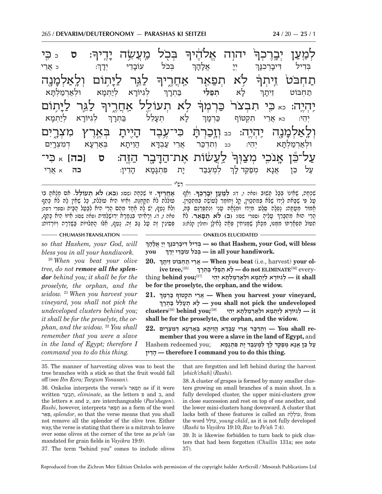-<br>-<br>1 : **ס** כ כּzי .<br>-<br>1 ַ בְּכָל מֵעֲשָׂה י יֲדֵיך<del>ּ</del> ּיהוֹה אֱלֹהֶיך .<br>ค. לְמָ**עַן יְבְרֶכְ**ּך<del>ּ</del>ׂ .<br>-<br>1 ל<sub>ָ</sub>ּגֶּר לַיָּ ּיְתוֹם וְלֵאַלְמָ*י* יִנְדָה<br>יְ ֿ לִא תְפַאֵר אַדְוָרֶיך<del>ּ</del> .<br>ค. ְ תַחְבֹּטֹ זֵיתְךָ <u>-</u><br>-โ <u>ְלַג</u>ְּר לַי<del>ָּ</del> ֥ תוֹם ַ לֹא תְעוֹלֶל אַחֲרֶיך .<br>ר יִהְיֶה: <sub>כֹּא</sub> כִּי תִבְצֹר כַּרְמְךָ <sup>-</sup> <u>ּ</u>וֹלָאַלְמָ יֶנֶה יֶהְיֶה: <sub>כב </sub>וְזֶכַרְלָ ּתָ֫ כִּי־עֶבֶד הָ יה וְ $\mathbf{v}$  - י  $\dot{\mathbf{r}}$ בְּאֶרֶץ מִצְרֶיִם ַ לַעֲשׂוֹת אֶת־הַדָּ .<br>דֶבֶר הַ<mark>זֶּ</mark>ה: ס <mark>[כה</mark>] <sub>א</sub> כִּי־ .<br>-<br>1 ַ ֿעַל־בֶּן אָנֹכֶי מְצַוְּךָ ְ : <sup>כ</sup> ֲאֵרי ְ ְבּ ֹכל עוֹב-ֵ ד ְ י יד- ך  $\sum_{i=1}^{n}$  אל- ה- ך בְּדִיל דִּיבָ יָרְבְנ<sub>ָ</sub> ך **ניוֹרא** א לְיַתְמָא וּלְאַרְמַלְתָּ א ְ ל- א **ְתפֵ ֿיַלי ב**ַתְרָך תַחְבּוֹט זֵיתָ ך ְ ְלִגיּוֹר ְ -א לְיַתְמָ א ן ל<sub>ָ</sub>א ו א תע-**ְ**נְלֵל בַּתְרָךְ יְהֵי: כֹּא אֲרֵי תִקְטוֹף כַּרְמָ  $\mathcal{I}$ וּלְאַרְמַלְתָּא יִ א יְהֵי: כב וְתִדְכַּר אֲרֵי עַבְדָא ו*ָ* הויתא א בְּאַרְעָא ז א דְמִצְרֶיִם י לְמֶעְבַד יָת נ ת פּתְנָמָא הָ ֵ דין: **כה** <sup>א</sup> ֲאֵרי ַעֲל כֵּן אֲנָא נ מפּקּד ך

רש"י

**ָ .** ִ זוֹ שְׁכָחה (שם): **(כא) לֹ ְא ת ֵעוֹלל.** ִא ָ ם מָצ ָאת בוֹ **אֲ חֶריך** וְלֹא נָטֵף, יֵשׁ לָהּ חֶׁחָד מֵהֶם הֲרֵי הִיא לְבַטַל הַבָּיִת וספרי רפה;<br>פאה ז, ד). וְרָאִיתֵי בַּגְמִרָא יְרוּשָׁלָמִית ופאה שם): אַיזוֹ הִיא כַּתֵּף, ִ עוֹלֵלֹת לֹח תִקְהֶנָּה. וְחֵיזוֹ הִיח עוֹלֵלֹת, כַּל שָׁחֵין לַהּ לֹח כַּתֵף ִפְּסִיגִין זָה עַל גַּב זֶה. נַטֵף, אֲלוּ הֻתִּלוּיוֹת בַּשֶּׁדְרָה וְיוֹרְדוֹת:

**ְ**

**ָ**שַׁכְחָה, שֶׁאֵינוֹ בְּבַל תָּשׁוּב ופאה ו, ד)**: לְמַעַץ יְבָרֶבְךָ.** וְאַף<br>טל פי שבאת לידו שלא במתכּוּיו. הל וחומר לטושה במתכוּיו. ֧֖֖֖֖֖֧֧֧֧֧֪֪֪ׅ֧֪֪ׅ֪֪֪֪֪֪֪֪֪֪֪֪ׅ֛֪֪֪֪ׅ֧֚֚֚֚֚֚֚֚֚֚֚֚֚֚֚֚֚֚֚֚֚֚֚֝֝֟֓֡֬֓֞֟֓֡֬֓֬֓֝֬֓֝֓֬֝֓֝֬֓֝֬֓֬֬ ְאֶיִת הִבְּדֶּה (ספרי שם): **(כ) עֵלְיהָ (ספרי שם):**<br>הֲרֵי הוּח תִּתְבָּרֶךְ טָלֶיהָ וספרי שׁם): (ב) לֹא תְפַּאֵר. לֹח<br>תִּמוֹל תִּפְאֹרִתּוֹ מִמְּנּוּ. מִכְּחוֹ שַׁמִּנִּיתִין פִּאָה לְאִילוָ וְחוֹלֵין הָלֹחָ): ָטַל פִּי שֶׁבָּאת לְיָדוֹ שֶׁלֹּא בְּמִתְפַּוּין, קַל וָחוֹמֶר לָטוֹשֶׂה בְּמִתְפַוּין.<br>אֵמוֹר מֵטַּסְה: נַפְלַה סֵלֵט מִיַדּוֹ וּמִצְאָה טַנִי וְנִתְפַּרְיֵם בָּה,

**CHUMASH TRANSLATION ONKELOS ELUCIDATED** 

*so that Hashem, your God, will bless you in all your handiwork.*

<sup>20</sup> *When you beat your olive tree, do not remove all the splendor behind you; it shall be for the proselyte, the orphan, and the widow.* <sup>21</sup> *When you harvest your vineyard, you shall not pick the undeveloped clusters behind you; it shall be for the proselyte, the orphan, and the widow.* <sup>22</sup> *You shall remember that you were a slave in the land of Egypt; therefore I command you to do this thing.*

**ְ בִּדִיל דִּיבָרְבְּנֶךְ יִיְ** אֵלְהָךְ so that Hashem, your God, will bless **you ְ .handiwork your all in — ְבּ ֹכ ָ ל עוֹבֵד ְי יָדך**

**20. ְ יתךָ ז בּוֹט ֵ חְ ת י רֵאֲ — When you beat** (i.e., harvest) **your ol-**יש נער איבויש איז א א העלי בתרך האי של של של של של של של של ive tree,<br>העלי בתרך לא העלי של ab not ELIMINATE לגיורא ליתמא ולאַרמלתּא יהי **be for the proselyte, the orphan, and the widow.**

**21. ְ ְ ,vineyard your harvest you When — ֲאֵר ִ י ת ְק טוֹף כְּרָמך undeveloped the pick not shall you — ָל ְא תָעֵל ל בּ ְתָרך it — ְל ִג ָיּוֹר ְא לי ְתָמ ְ א וּלאְרמ ְלָתּ ְא יֵהי** [39]**;you behind**]38[**clusters shall be for the proselyte, the orphan, and the widow.**

**re shall You — ְו ִתְדכּ ֲ ר אֵר י ע ְבָדּ ֲא הֵו ָית ְ א בּאְרָע ְא ד ִמ ְצָרִים 22.**

member that you were a slave in the land of Egypt, and **ְHashem redeemed you; עַל כֵּן אֵנָא מִפַּקֵּד לַךְ לְמֵעָבַּד יַת פִּתְגָמָא דיןֵהָ — therefore I command you to do this thing.**

35. The manner of harvesting olives was to beat the tree branches with a stick so that the fruit would fall off (see *Ibn Ezra; Targum Yonasan*).

36. Onkelos interprets the verse's ארֵפתְ as if it were written ערֵבתְ , *eliminate*, as the letters פ and ב, and the letters א and ע, are interchangeable (*Pas'shegen*). *Rashi*, however, interprets ארֵפתְ as a form of the word ארֵפְּ , *splendor*, so that the verse means that you shall not remove all the splendor of the olive tree. Either way, the verse is stating that there is a mitzvah to leave over some olives at the corner of the tree as *pe'ah* (as mandated for grain fields in *Vayikra* 19:9).

that are forgotten and left behind during the harvest [*shich'chah*] (*Rashi*).

38. A cluster of grapes is formed by many smaller clusters growing on small branches of a main shoot. In a fully developed cluster, the upper mini-clusters grow in close succession and rest on top of one another, and the lower mini-clusters hang downward. A cluster that lacks both of these features is called an לתֶעוֹלֶ , from the word עוֹללֵ , *young child*, as it is not fully developed (*Rashi* to *Vayikra* 19:10; *Rav* to *Pe'ah* 7:4).

39. It is likewise forbidden to turn back to pick clusters that had been forgotten (*Chullin* 131a; see note 37).

37. The term "behind you" comes to include olives

Reproduced from the Zichron Meir Edition Onkelos with permission of the copyright holder ArtScroll / Mesorah Publications Ltd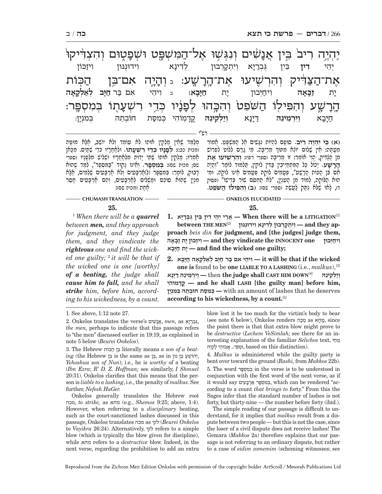יִהְיֶה רִיב<sup>ֹ</sup> בֵּין אֲנָ*שׂ* שִׁים וְנְגָּשָׁוּ אַל־הַמִ*י*שִׁפּט טוּם אָת־הַצַּדִּיק וְהִרְשָׁיעוּ אֶת־הָרָ  $\ddot{\psi}$ ע: د יִבְ יְיָה אִם־בִּן הַכ<u>ִּ</u>וֹת<del>,</del>  $\prod_{i=1}^n$ ְרָשֶׁע וְהִפִּילְוֹ הַשֹּׁפֵט<sub>ּ</sub> וְהִכְּהוּ לְפָ ֧֕׆**֓**ׇ֬׆ׇׇ֦֬֬֬֬֬ יו כְּדֵי רִשְׁעָ ְנָתָו בְּמִסְפֵּר: ְיֵהי **ִדין** ֵבּ ֻ ין גּ ְבר יּ ְ -א וְיִתְקָרְבוּן לְדִינָא ו ינַא וידוּנִנּוּן ויזכּון י<u>ָ</u><br>יְת **ז יחַיִּבוּן** יַת חַיַּבַא: **יִיבְא:** בּ וְיהֵי אִם בַּר חַ **חיב לק א ה** חַיָּבָ א **ְוִיְרֵמ ֵינהּ** דּ יּ-יִנַא וְיַק **וַיַלְקֵינֶה קַדֲמְוֹהִי** כּמסּת חובתה בִּמְנְיַן:

רש"י

מְלַמֵּד שֶׁאֲין מַלְקִין אוֹתוֹ לֹא טוֹמֵד וְלֹא יוֹשֵׁב, אֶלָּא מוּטֵּה<br>ומכות כב:**): לִפְגַיו בִּדֵי רִשְׁעֲתוֹ. וּלְאַתְרֵיו כִּדֵי שֵׁתֵּיִם. מִכָּאן** תָ*ֿמְרוּ: מַלְקִין אוֹתוֹ שָׁתֵּי יָדוֹת מִלְחֲחָרָיו וּשִׁלִּישׁ מִלֹּפָנִיו וספרי<br>שס; מכות שם: בִּמִחָפֵר. וְחֵינוֹ נַקוּד "בַּמִּסְפַר", לְמֵד שֵׁהוּא* דָבוּק, לוֹמַר: בְּמִסְפַּר וּלַזַאֲרְבָּעִים וְלֹא אַרְבָּעִים שְׁלֵמִים, אֶלָּא<br>מִנְיָן שֶׁהוּא סוֹכֵם וּמַשְׁלִים לְאַרְבָּעִים, וְהֵם אַרְבָּעִים חָסֵר<br>אִת וומכות שִם:

**ִ (א) כּ ִ י י ְהֶי ִה ריב.** ָ סוֹפ ִם לְה ִ יוֹת נָגִּשׁ ֶ ים אל הִ מּ ְשָׁפּ ֱ ט. אמוֹר ְמֵטַתַּה: חֵין שָׁלוֹם יוֹלֶא מִתּוֹךְ מִרִיבָּה. מִי גֵרֵם לְלוֹט לִפְרוֹשׁ מִן <u>הַלְ</u>דִּיק, הֱוֵי אוֹמֵר: זוֹ מְרִיבָּה וספרי רפו)**: וְהִרְשִׁיעוּ אֶת**<br><u>הרש</u>ע. יַכוֹל כַּל הַמִּתְחַיִּבִּין בַּדִּין לוֹקִין, תַּלְמוּד לוֹמֵר "וְהֵיָה אָם בִּן הַכּוֹת הָרָשָׁע", פְּטָמִים לוֹקֵה פְּטָמִים אֵינוֹ לוֹקֶה. וּמִי<br>הוּא הַלּוֹקֵה, לְמוֹד מִן הָעִנְיָן, "לֹא תַחְסֹם שׁוֹר בְּדִישׁוֹ" (פסוק ד) ָ , ל ֶ או שׁלֹּ ִא נתּק לֲ עֵשׂה (ספרי שם): **ְ (ב) ו ִה ִפּילוֹ ה שֵֹּׁפט.** 

## **CHUMASH TRANSLATION - THE RESOLUTION ONKELOS ELUCIDATED**

**25.**

1  *When there will be a quarrel between men, and they approach for judgment, and they judge them, and they vindicate the righteous one and find the wicked one guilty;* <sup>2</sup>  *it will be that if the wicked one is one [worthy] of a beating, the judge shall cause him to fall, and he shall strike him, before him, according to his wickedness, by a count.* 

[1]**LITIGATION a be will there When — ֲאֵר ְ י יֵה ִ י ד ֵ ין בּ ֻ ין גּ ְברָיּא 1.**  $\textbf{between}\ \textbf{THE}\ \textbf{MEN}^{[2]}$  **יִדְתְּקִרְבוּן**  $\textbf{=}$  and they ap**proach** *beis din* **for judgment, and [the judges] judge them, ִ ו יחְיּבוּן one INNOCENT the vindicate they and — ִו יז ָ כּוֹן י ת זָכָּאה באָיָּח ת יָ — and find the wicked one guilty;**

 **wicked the if that be will it — ִו ֵיה ִ י א ם בּ ר חָיּ ְב לא ְלָקָא ה חָיָּבא 2. one is** found to be **one LIABLE TO A LASHING** (i.e., *malkus*),[3]  **ויילקינה [4] — then the judge shall CAST HIM DOWN** ו**ילקינה מוֹהיִ דָקֳ — and he shall LASH [the guilty man] before him,**  deserves he that lashes of amount an with **— ְכּ ִמסּ ְ ת חוֹבֵת ְהּ בּ ִמְנָין according to his wickedness, by a count.**[5]

Onkelos generally translates the Hebrew root מכה, *to strike,* as מחא) e.g., *Shemos* 9:25; above, 1:4). However, when referring to a *disciplinary* beating, such as the court-sanctioned lashes discussed in this passage, Onkelos translates מכה as לקי) *Beurei Onkelos*  to *Vayikra* 26:24). Alternatively, לקי refers to a simple blow (which is typically the blow given for discipline), while מחא refers to a *destructive* blow. Indeed, in the next verse, regarding the prohibition to add an extra

blow lest it be too much for the victim's body to bear (see note 6 below), Onkelos renders הּכמ as חאמ, since the point there is that that extra blow might prove to be *destructive* (*Lechem VeSimlah;* see there for an interesting explanation of the familiar *Selichos* text, חיֵמ .(distinction this on based , וּמֵסּ ֲ י... א ִבוּה י לְקֵיהּ

4. *Malkus* is administered while the guilty party is bent over toward the ground (*Rashi,* from *Makkos* 22b). 5. The word פּרסְ מִ בְּ in the verse is to be understood in conjunction with the first word of the next verse, as if it would say בְּמִסְפָּר אַרְבָּעִים, which can be rendered "according to a count *that brings to* forty." From this the Sages infer that the standard number of lashes is not forty, but thirty-nine — the number before forty (ibid.).

The simple reading of our passage is difficult to understand, for it implies that *malkus* result from a dispute between two people — but this is not the case, since the loser of a civil dispute does not receive lashes! The Gemara (*Makkos* 2a) therefore explains that our passage is not referring to an ordinary dispute, but rather to a case of *eidim zomemim* (scheming witnesses; see

**<sup>25.</sup>**

<sup>1.</sup> See above, 1:12 note 27.

ֻ,גּ ְבריּא as *,men* ֲ,אנ ִשׁים s'verse the translates Onkelos 2. *the men,* perhaps to indicate that this passage refers to "the men" discussed earlier in 19:19, as explained in note 5 below (*Beurei Onkelos*).

<sup>3.</sup> The Hebrew הכּוֹת ן בִּ literally means *a son of a beat* $ing$  (the Hebrew בִּן is the same as בֵּן, as in נִ *Yehoshua son of Nun*); i.e., he is *worthy* of a beating (*Ibn Ezra*; *R' D. Z. Hoffman;* see similarly, *I Shmuel* 20:31). Onkelos clarifies that this means that the person is *liable to a lashing*, i.e., the penalty of *malkus*. See further, *Nefesh HaGer.*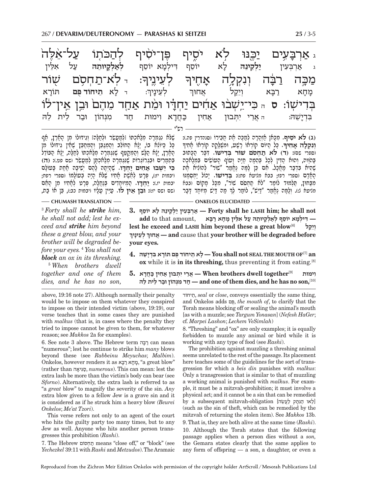|                                                                        |     |               |                 |        |     |            |        | ג אַרְבָעִים יַכֶּנּוּ לִא יֹסֵיף פֶּן־יֹסִיף לִהַכֹּתוֹ עַל־אַלַה               |
|------------------------------------------------------------------------|-----|---------------|-----------------|--------|-----|------------|--------|----------------------------------------------------------------------------------|
| אלֵין                                                                  | עַל | לאַלְקֵיוּתֵה | דִילְמָא יוֹסֵף | יוֹסֵף | לַא | יַלְקֵינֵה |        | ג אַרְבְּעִין                                                                    |
| ד לְא־תַחְסָם שָׁוֹר <sub>-</sub>                                      |     |               |                 |        |     |            |        | ּמַכְָּה רַבְּה וְנִקְלֶה אָחֶיךָּ לְעֵינֶיךְः                                   |
| אֲחוּךְ לְעֵינָיךְ: - לָא תֵ <b>יחוֹד פִּם</b> תּוֹרָא                 |     |               |                 |        |     | וְיֵקַל    | רַבָּא | מֲחָא                                                                            |
|                                                                        |     |               |                 |        |     |            |        | בִּדִישְׁוֹ: ס הּכִּי־יֵשְׁבֹוּ אֲחָים יַחְדָו וּמֵת אַחָד מֵהֶם וּבֵן אֵין־לֹוֹ |
| ה אֲרֵי יִתְּבוּן אַחִין כַּחֲדָא וִימוּת חַד מִנְּהוֹן וּבַר לֵית לֵה |     |               |                 |        |     |            |        | בִּדְיָשֵׁה:                                                                     |
|                                                                        |     |               |                 |        |     |            |        |                                                                                  |

**ִכּ ֵ י י ְשׁבוּ א ִ חים י ְ** ֹשֶׁלֹא נִגְמְרָה מְלַאְכְתּוֹ וַלְמַעֲשֹׁר וּלְחַלָּה) וְגִידּוּלוֹ מִן הָאָרֶץ, אַף<br>כָּל כַּיּוֹלַא בּוֹ, יָלָא הַחוֹלֵב וְהַמְגַּבֵּן וְהַמְחַבֵּץ שָׁאֵין גִידּוּלוֹ מִן<br>הָאָרֶץ, יָלָא הַלָּשׁׁ וְהַמְחַמֵּף שֶׁנִּמְרָה (יבמות יז:), פּרט לאָשְׁת אַחִיו שִׁלֹּא הִיה בּעוֹלמוֹ (ספרי רפח; י יוֹ יוֹ יוֹ זוֹ זוֹ דְּבְעֵי יִהְ יִהְ יִהְ יִהְ יִהְ יִהְ יִחְ יִהְ יִהְ יִהְ יִהְ יִהְ הָלֹם יִי יִחְ הָלֹם<br>יבמות יו.): **יִחֹדוֹ.** הְמִיוּחַדִים בַּנְחַלֶה, פַּרְטַ לַחִ֫חִיו מו הַחֹם (שם ושם יז:): **ֵוּב ֵ ן אין לוֹ.** עֵ יּ ָ ין עָליו (יבמות כב:) ֵ , בּן אוֹ ב ת,

ָ **(ג) לֹא יֹ ִסיף.** ִמָכּאן אְ זָהָר ְה למֶ כּ ֶה א ֲ ת חֵבירוֹ (סנהדרין פה.): **ָ .** ָכּל ה ְ יּוֹם קוֹר ָ אוֹ רָשׁ ִ ע, וּמֶשָּׁלָּק ְ ה קוֹר ָ אוֹ אִחיך **ְוִנְקלה א ִ חיך** (ספרי שם): **(ד) לֹא ת ְ חסֹ ְ ם שׁוֹר בִּדישׁוֹ.** ִדֶּבּר הָ כּתוּב בַּהֹוֵּה, וְהוּא הַדִּין לְכָל בִּהֲמָה חַיָּה וָעוֹף הָעוֹשִׂים בִּמְלָאכָה שֶהִיֹּא בִּדְבַר מַאֲכָל. אִם כֵּן לָמָה נֶאֲמַר "שׁוֹר" לְהוֹלִיא אֶת<br>הָאָדָם וספרי רפז, בבא מגיעא פתּז**: בִּדִישׁוֹ.** יָכוֹל יַחְסְמֶנוּ<br>מִבַּחוּץ, פְּלַמוּד לוֹמֵר "לֹא תַחִסֹם שוֹר", מִכֵּל מַקוֹם ובבא מִצְיֹח **אַ יִּהְיֹח עֹ**ל יִהָ הַלְּמֹה לִךְ "דִּישׁ", לוֹמֹר לִךְ

**CHUMASH TRANSLATION** — **CHUMASH TRANSLATION** — **ONKELOS ELUCIDATED** 

3  *Forty shall he strike him, he shall not add; lest he exceed and strike him beyond these a great blow, and your brother will be degraded before your eyes.* <sup>4</sup>  *You shall not block an ox in its threshing.*

5  *When brothers dwell together and one of them dies, and he has no son,* 

- **not shall he; him LASH he shall Forty — אְר ְבּ ִע ין י ְלֵק ֵינ ָהּ ל ֵ א יוֹסף 3. — ִדּ ְילָמ ֵ א יוֹס ְ ף לא ְלָק ֵ יוּת הּ ע ִל אֵלּ ָ ין מ ָח א רָבּא** ,amount that to **add lest he exceed and LASH him beyond these a great blow**[6] **קליֵו ְ ְ ְ ְ לֵע ָיניך אחוּךֲ — and** cause that **your br other will be degraded before your eyes.**
- **an**]7[**OF MOUTH THE SEAL not shall You — ָל ֵא ת ֻ יחוֹד פּ ָ ם תּוֹר ִא בְּדָי ֵשׁהּ 4. ox** while it is **in its threshing,** thus preventing it from eating.[8]
- **ִ וימוּת** [9]**together dwell brothers When — ֲאֵר ִי י ְתּ בוּן א ִח ין כֲּחָדא 5.** [10]**,son no has he and ,dies them of one and — ח ִד מְנּ הוֹן וּב ֵר ל ֵ ית להּ**

above, 19:16 note 27). Although normally their penalty would be to impose on them whatever they conspired to impose on their intended victim (above, 19:19), our verse teaches that in some cases they are punished with *malkus* (that is, in cases where the penalty they tried to impose cannot be given to them, for whatever reason; see *Makkos* 2a for examples).

6. See note 3 above. The Hebrew term בּהר can mean "numerous"; lest he continue to strike him *many* blows beyond these (see *Rabbeinu Meyuchas*; *Malbim*). Onkelos, however renders it as בּאר א חמ," a great blow" (rather than יאה גִּס, *numerous*). This can mean: lest the extra lash be more than the victim's body can bear (see *Sforno*). Alternatively, the extra lash is referred to as "a *great* blow" to magnify the severity of the sin. *Any* extra blow given to a fellow Jew is a grave sin and it is considered as if he struck him a heavy blow *(Beurei Onkelos*; *Me'at Tzori*).

This verse refers not only to an agent of the court who hits the guilty party too many times, but to any Jew as well. Anyone who hits another person transgresses this prohibition (*Rashi*).

7. The Hebrew חסוֹםְ ת means "close off," or "block" (see *Yechezkel* 39:11 with *Rashi* and *Metzudos*). The Aramaic

תיחוֹדֵ, *seal* or *close*, conveys essentially the same thing, and Onkelos adds פּםֻ, *the mouth of*, to clarify that the Torah means blocking off or sealing the animal's mouth [as with a muzzle; see *Targum Yonasan*] (*Nefesh HaGer*; cf. *Marpei Lashon*; *Lechem VeSimlah*)

8. "Threshing" and "ox" are only examples; it is equally forbidden to muzzle any animal or bird while it is working with any type of food (see *Rashi*).

The prohibition against muzzling a threshing animal seems unrelated to the rest of the passage. Its placement here teaches some of the guidelines for the sort of transgression for which a *beis din* punishes with *malkus*: Only a transgression that is similar to that of muzzling a working animal is punished with *malkus*. For example, it must be a mitzvah-prohibition; it must involve a physical act; and it cannot be a sin that can be remedied by a subsequent mitzvah-obligation [לֹאו הַנִּתַּק לַעֲשֶׂה] (such as the sin of theft, which can be remedied by the mitzvah of returning the stolen item). See *Makkos* 13b. 9. That is, they are both alive at the same time (*Rashi*). 10. Although the Torah states that the following passage applies when a person dies without a *son,*  the Gemara states clearly that the same applies to any form of offspring — a son, a daughter, or even a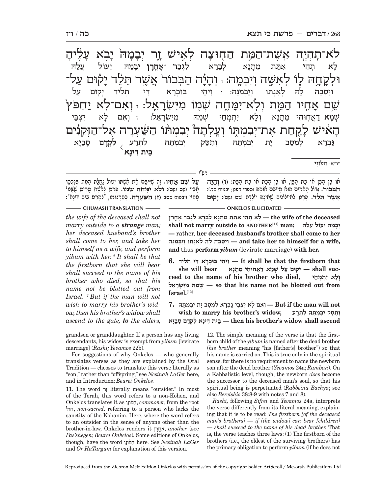המת החוּצה ה לְאֵישׁ זֶר יְבָ -<br>הָבָ ה' י $\zeta$ ָבֹא עָל <u>ָי</u>לִיהָ ְוּלק-ּ וֹיבּמהּ: ֓֒֓֓֓֓׆֥֓<br><del>ׇ</del> יִיָּה הַבְּכוֹר<sup>י</sup> אֲשֶׁר תֵּלֵד יָלְ ַקוּם עַל־; שִׁם אָ $\vec{\omega}$ המת מחה שמו מי ְ־אֵל: ז וְאִם־לֹא יַחְפֹּץ  $\dot{\bf k}$ הָ זאיש ל ְלֵקֲחַת אֶת־יְבִמְתֶוֹ וְעֲלְתָ ָזָה יְבִמְתוֹ הַשַּׁעְרָה אָ ְרָה אֶל־הַזְקֵנִים לָא וִ תהי אתת ֿו<sup>ָ</sup>נָא ק א לב- $\aleph$ **אחרו** יִבמַה ֶבְמַה<sub>ּ</sub> יֵעוֹל עֲלַה וְיִסְּבַהּ לֵהּ לְאִנְתּוּ וְיַבְּמִנַּהּ: וּ וִיהֵי בּוּכְרָא ו א דִי תְלִיד יְקוּם *עַ*ל ְשׁמ-א דַאֲחְוּהִי מֵתָנָא וְ א וְלָא יִ יתמחי *שׁ*מה ַרְאֵל: ז וְאִם לָא יִ א י ְצֵבּי ִל ְתרע **ִל ְקד ם** ס-ֻזְבַיִּ א גַּבְרָא ק א לְמִסֵּב יָת יְ ַּיַת יִבְמִתֵּהּ וְתִסֵּק יִבְמִתֵּהּ  $\overline{\langle}$ **ֵבּית ִדּינ א**

∗נ״א: חִלוֹנָי

**הַבְּבוֹר. גְּדוֹל הֻאֲחִים הוּח מְיַיִּבֶּם חוֹתַה וספרי רפט; יבמות כד.): בּכוֹר.** ְגּ ָ דוֹל האִ ח ְ ים הוּא מי ֵיבּ ָ ם אוֹתהּ (ספרי רפט; יבמות כד.): ֶ אוֹ בן הֵ בּן אוֹ בת הֵ בּ ֶ ן, אוֹ בן ה בּ ת אוֹ בת ה בּ ת: **ְ (ו) וה יה ֲא ֶשׁ ֵ ר תֵּלד.** ְפָּר ְ ט לֵא ִ יילוֹנ ֶ ית שֵׁאָינ ֶ הּ יוֹלֶדת (שם ושם): **י קוּם על שם אחיו. זה שייבּם את אשׁתּוֹ יטּוֹל נחלת המת בּנכסי** ָמחוּי (יבמות שם): **(ז) ה שּׁ ְ ער ה.** ְכּתְ ר ִ גּוּמוֹ, "ל ְתר ֵ ע בּ ִ ית דּ ָינא": ָאִביו (שם ושם): **ְולֹ ִא ימֶּ ח ְ ה שׁמוֹ.** ְפָּר ְט לֵאֶשׁ ָ ת סִר ֶ יס שְׁשּׁמוֹ רש"י

#### **CHUMASH TRANSLATION ONKELOS ELUCIDATED**

*the wife of the deceased shall not marry outside to a strange man; her deceased husband's brother shall come to her, and take her to himself as a wife, and perform yibum with her.* <sup>6</sup>  *It shall be that the firstborn that she will bear shall succeed to the name of his brother who died, so that his name not be blotted out from Israel.* <sup>7</sup>  *But if the man will not wish to marry his brother's widow, then his brother's widow shall ascend to the gate, to the elders,* 

 **deceased the of wife the — ָל ְא תֵה ִ י אתּ ֵת מָתָנ ְא לָבָר ִא ל ְגב ָר אֳחָרן**  $\mathbf{h}$  **ishall** not marry outside to ANOTHER<sup>[11]</sup> man;  **—** rather, **her deceased husband's brother shall come to her ,wife a for himself to her take and — ְוִי ְסּב ֵהּ ל ְהּ ל ִאְנ ְ תּוּ וי ְבּ ִמנּהּ and** thus **perform** *yibum* (levirate marriage) **with her.**

 **that firstborn the that be shall It — ִו ֵיה ְ י בּוּכָר ִא דּ ְ י ת ִליד 6. ְ ו ָל ִא י ְת ְמֵחי ,died who brother his of name the to ceedsuc shall — ְי קוּם ע ְ ל שָׁמ א דֲא ִחוּה ֵ י מָתָנא bear will she אלֵרָשְׂ יִּמ הּ ִ מֵשְׁ — so that his name not be blotted out from Israel.**[12]

 **not will man the if But — ְו ִא ָם ל ִא י ְצֵבּ י גּ ְבָר ְא ל ִמסּ ָב י ְת י ִב ְמֵתּהּ 7. ְ ו ִתסּ ְק י ִב ְמֵתּ ִהּ ל ְתרע ,widow s'brother his marry to wish ascend shall widow s'brother his then — ֵבּ ִ ית דּ ָינ ִא ל ְקָד ָם סבָיּא**

grandson or granddaughter. If a person has any living descendants, his widow is exempt from *yibum* [levirate marriage] (*Rashi; Yevamos* 22b).

For suggestions of why Onkelos — who generally translates verses as they are explained by the Oral Tradition — chooses to translate this verse literally as "son," rather than "offspring," see *Nesinah LaGer* here, and in Introduction; *Beurei Onkelos.*

11. The word זר literally means "outsider." In most of the Torah, this word refers to a non-Kohen, and Onkelos translates it as לּוֹני חִ , *commoner,* from the root חול, *non-sacred,* referring to a person who lacks the sanctity of the Kohanim*.* Here, where the word refers to an outsider in the sense of anyone other than the brother-in-law, Onkelos renders it רןחֳא, *another* (see *Pas'shegen; Beurei Onkelos*)*.* Some editions of Onkelos, though, have the word לּוֹני חִ here. See *Nesinah LaGer*  and *Or HaTargum* for explanation of this version.

12. The simple meaning of the verse is that the firstborn child of the *yibum* is named after the dead brother (*his brother* meaning "his [father's] brother") so that his name is carried on. This is true only in the spiritual sense, for there is no requirement to name the newborn son after the dead brother (*Yevamos* 24a; *Ramban*). On a Kabbalistic level, though, the newborn *does* become the successor to the deceased man's soul, so that his spiritual being is perpetuated (*Rabbeinu Bachya*; see also *Bereishis* 38:8-9 with notes 7 and 8).

*Rashi,* following *Sifrei* and *Yevamos* 24a, interprets the verse differently from its literal meaning, explaining that it is to be read: *The firstborn [of the deceased man's brothers] — if [the widow] can bear [children] — shall succeed to the name of his dead brother.* That is, the verse teaches three laws: (1) The firstborn of the brothers (i.e., the oldest of the surviving brothers) has the primary obligation to perform *yibum* (if he does not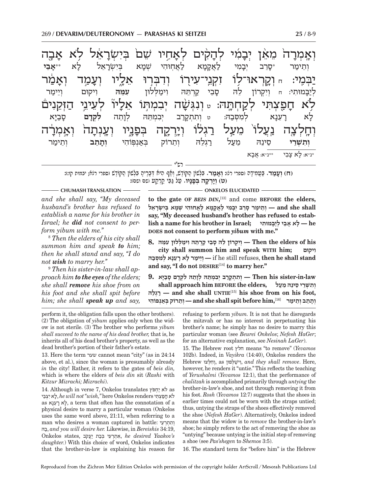רש"י **יְא<sub>ֲמָ</sub>י**ָ ָ־הֹ מֵאֵ**ּ**ן יְבָבִ ֲ יָמִׁי לְהָקִ ים לאחיו ַ זִּחְיו *שׁ*ם בְּיִשְׂרָאֵ يتزم ذٰ א ֿ<br>בָה יַבְּמֶי: חֵ וְקֵרְאוּ־לָוֹ זִקְנֵי־עִירֻוֹ וְדִבְּרֵוּ אֵלֵיו וְעָ ָנַמַד וְאָ<u>ּ</u>בֹ יְקֹור ֥לֹא ח-ֿוַפַֿצְתִּי לְקַחְתָּהּ: <sub>ײַ</sub> וְּנִגְּשָׂ שׁ ְה י ִב ְמ ֣תּ ֵ וֹ אל ֘ -יון לְעֵינֵי הַזְקֵנִים וְחֶלְצָה נַעֲלוֹ מֵעַל רַגְלוֹ וְיָרְקֶה בְּפָ יָנְיו<sub>ָ</sub> וְעֲנְתָ ַזה וְאָמְו ּרָה וְתֵימַר \*ס<u>ָ</u> זֶרֵב יְבָנ נִמִי לַאֲקָ יַת<br>ז אמא $\nu$ א בְּיִשְׂרָ רָאַל לָ א \*\***אֵ בי** לְיַבָּמוּו ְנְמוּתִי: ח וְיִקְרוֹן לֵה<sub>ּ</sub> סָ ֵ בי קְ רֵתּ ִ הּ וימ ְ לּלוּן **ִעֵמּהּ** ִו ְ יקוּם וֵיימ ר ל  $\zeta$ א בֻ ָרְעֵנָא ק מסבה: ט ותתקרב במתה ֵ תה **ִל ְקד ם** ס-ָֿז<mark>ְ</mark>בַיָ א **וְתִשְׁרֵי שֵׁינֵהּ מֵעַל רַגְלֵהּ וְתֵרוֹק בְּאַנְפִּוֹהִי וְ<b>תָתֵב** וְתֵימַר \*נ"א: ל- א צ-יָבֵי \*\*נ״א: אֲבָא

(ח) **ועמד.** בַּעמידה (ספרי רג): **ואמר.** בַּלְשׁוֹן הִקּוֹדָשׁ, ואֵף הִיא דְּבָרִיה בַּלְשׁוֹן הַקּוֹדָשׁ (ספרי רגא; יבמות קו:): **ְ (ט) ויְ רק ְ ה בּפ נ יו.** ע ל גֵּ בּי קְ רקע (שם ושם):

*and she shall say, ''My deceased husband's brother has refused to establish a name for his brother in Israel; he did not consent to perform yibum with me.''*

8  *Then the elders of his city shall summon him and speak to him; then he shall stand and say, ''I do not wish to marry her.''*

9  *Then his sister-in-law shall approach him to the eyes of the elders; she shall remove his shoe from on his foot and she shall spit before him; she shall speak up and say,* 

#### **CHUMASH TRANSLATION** ————————————————————— ONKELOS ELUCIDATED

**to the gate OF** *BEIS DIN***,** [13] and come **BEFORE the elders, shall she and — ְוֵת ימ ָר סֵר ְב יָב ִמ י לֲאָקָמ א לֲא ִחוּה ְ י שָׁמ ְא בִּי ְשָׂרֵאל say, "My deceased husband's brother has refused to establish a name for his brother in Israel; מוּתיִ בָּיל י ְ בֵא אָ לָ — he DOES not consent to perform** *yibum* **with me."**

 **his of elders the Then — ְוִי ְק ֵ רוֹן ל ָהּ סֵב י קְרֵתּ ִהּ ו ימ ְלּ ִ לוּן עֵמּהּ 8.**

**city shall summon him and speak WITH him; ויקוּם ִ if he still refuses, then he shall stand** — **ו**יימר לא רענא למסבה **and say, "I do not DESIRE**[14] **to marry her."**

 **law-in-sister his Then — ְו ִת ְתָקר ְב י ִב ְמֵתּ ְהּ לָוֵת ִהּ ל ְקָד ָם סבָיּא 9. ְ ו ִת ְשֵׁר ֵ י ס ֵינ ֵהּ מעל ,elders the BEFORE him approach shall להֵּגְר — and she shall UNTIE**[15] **his shoe from on his foot, יִתְרוֹק בְּאֵנְפּוֹהִי — and she shall spit before him,**[16] — יְתֵרוֹק בְּאֵנְפּוֹהִי

perform it, the obligation falls upon the other brothers). (2) The obligation of *yibum* applies only when the widow is not sterile. (3) The brother who performs *yibum shall succeed to the name of his dead brother,* that is, he inherits all of his dead brother's property, as well as the dead brother's portion of their father's estate.

13.Here the term שער cannot mean "city" (as in 24:14 above, et al.), since the woman is presumably already *in* the city! Rather, it refers to the gates of *beis din,*  which is where the elders of *beis din* sit (*Rashi* with *Kitzur Mizrachi; Mizrachi*).

14. Although in verse 7, Onkelos translates לא יַחִפּץ as לֹא חַפַּצְתִּי he will not "wish," here Onkelos renders, לֹא יִצְבֵּי as נאעֵר א ל, a term that often has the connotation of a physical desire to marry a particular woman (Onkelos uses the same word above, 21:11, when referring to a man who desires a woman captured in battle: וְתִתְרָעֵי בהּ, *and you will desire her.* Likewise, in *Bereishis* 34:19, **Onkelos states, אִחְרְעִי** בְּבַת יַעֲקֹב, he desired Yaakov's *daughter.*) With this choice of word, Onkelos indicates that the brother-in-law is explaining his reason for

refusing to perform *yibum.* It is not that he disregards the mitzvah or has no interest in perpetuating his brother's name; he simply has no desire to marry this particular woman (see *Beurei Onkelos*; *Nefesh HaGer*; for an alternative explanation, see *Nesinah LaGer*).

15. The Hebrew root חלץ means "to remove" (*Yevamos* 102b). Indeed, in *Vayikra* (14:40), Onkelos renders the Hebrew לּצוְּ חִ וְ, as לּפוּןְ ישׁ וִ, *and they shall remove*. Here, however, he renders it "untie." This reflects the teaching of *Yerushalmi* (*Yevamos* 12:1), that the performance of *chalitzah* is accomplished primarily through *untying* the brother-in-law's shoe, and not through removing it from his foot. *Rosh* (*Yevamos* 12:7) suggests that the shoes in earlier times could not be worn with the straps untied; thus, untying the straps of the shoes effectively removed the shoe (*Nefesh HaGer*). Alternatively, Onkelos indeed means that the widow is to *remove* the brother-in-law's shoe; he simply refers to the act of removing the shoe as "untying" because untying is the initial step of removing a shoe (see *Pas'shegen* to *Shemos* 3:5).

16. The standard term for "before him" is the Hebrew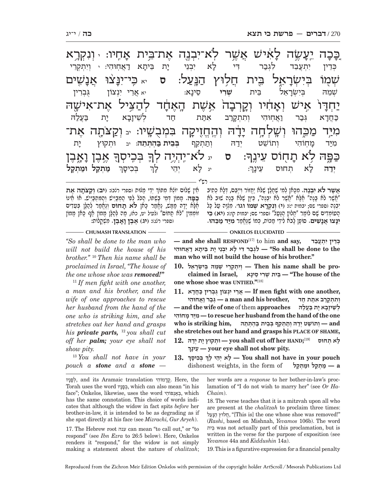בפה לא תחוס

<mark>יה לְא</mark> ו

**ידה** 

<u>ר</u> ֚כּכ-

ה יִעֲ **ְ**נִשֶּׂה לָא אִישׁ אֲשֶׁר לְא־יִבְנֶה אֶת־בֵּית אָ**'** :אחיו ֿשְׁמָוֹ בְּיִשְׂרָ רָאֵל בֵּית חֲלִוּץ הַנְּעַל: ס<sub>ַ יֹא</sub>ַ כִּי־יִנָּצ<sup>ֹ</sup> **ַצׁוּ אַבָ** שִׁים: $\ddot{\omega}$ י ְ חדּ-ָ־וֹ אֵישׁ וְאָדֹ ֿז<sub>ּ</sub>דִוֹיו וְקֵרְבָ אשת ּחָד לְהַצִּיל אֶת־אִישֶׁהּ מִיַּר מַכֵּהוּ וְשָׁלְחָה יִ ֔-ה והחזיקה בּמבּ ה בִּמְבָשֵׁיו: <sub>יב</sub> וְקַצֹּתֶה אֶת־ ֿ אֶבֶן <mark>ו</mark> .<br>ค' <mark>ֶ</mark> בְּכְיסְךָ .<br>ה - ח ֵ וֹס עינF ך : **ס** יג לֹא־י ְ" הי ְ Vה לך כְּדֵין יִתְעֲבֵד לִגְבַר דִי לָא יִ יַבְנִי יַת ביתַא א דֲ א ֽח ִוּהי: <sup>י</sup> ְוִי ְתְקֵרי שמה א ֵ ל בּית **ְשִׁרי** ֵסינ-א: יא אֲרֵי יִנְצוֹן גֻּבְרִין: בּ חַדא חִוּהִי וְתִתְקָרַב אתֵת חַד בְא יָ<mark>ּ</mark> ת בַּעֲלַה מיּד מחוֹהי יִתְוֹהִי וְתוֹשֵׁט יְדַהּ וְתַתְקֵף **בְּבֵית בַּד בִּבִית בַּהְתְּתֶה:** יב ת

רש"י

לא יהי

 $\mathbf{r}$  :  $\mathbf{r}$   $\mathbf{r}$   $\mathbf{r}$  :

ְאֵין שָׁלוֹם יוֹאַא מִתּוֹךְ יְדֵי מַנוּת וספרי רנבז: <mark>וִיב) וְקַצוֹתָה אֶת</mark><br>בּפּה. ממוֹן דִמי בֹּשתוֹ, הִכֹּל לִפִי המבייש והמתבייש. אוֹ אִינוֹ בַּפַּה. מָמוֹן דְמֵי בָשִׁתּוֹ, הַכֹּל לִפִי הַמְבַיֵּישׁ וְהַמְתִבַּיֵּישׁ. אוֹ חֵינוֹ אֶלָא יָדָהּ מַמָּשׁ, נֶאֱמַר כָּאן **לֹא תָחוֹם** וְנֵאֱמַר לְהַלֶּן בְּעֵדְים<br>זוֹמְמִין "לֹא תָחוֹם" ולעיל יט, כא), מַה לְהַלֶּן מָמוֹן אַף כָּאן מָמוֹן<br>וספרי רנגז: **ויג) אֵבֵץ וַאַבֵּץ**. מִשְׁקַלוֹת:

ָ<br>דְּבִיסָךְ

כך

### **CHUMASH TRANSLATION ONKELOS ELUCIDATED**

*''So shall be done to the man who will not build the house of his brother.''* <sup>10</sup> *Then his name shall be proclaimed in Israel, ''The house of the one whose shoe was removed!''*

<sup>11</sup> *If men fight with one another, a man and his brother, and the wife of one approaches to rescue her husband from the hand of the one who is striking him, and she stretches out her hand and grasps his private parts,* <sup>12</sup> *you shall cut off her palm; your eye shall not show pity.*

<sup>13</sup> *You shall not have in your pouch a stone and a stone —* 

ּעִינה

**ֲא ֶשׁר לֹ ִא י ְבֶנה.** ִמָכּ ְאן ל ִמ ֶ י שָׁחל ֶ ץ שׁלֹּא יֲח ִ זוֹר וייֵבּ ְ ם, דָּל ְא כִתיב

ת חוּס

"אָשֶׁר לֹא בָנָה" אֶלֶא "אֲשֶׁר לֹא יִבְנֶה", כֵּיוֶן שֶׁלֹא בָנָה שוּב לֹא<br>יִבְנֶה וספרי שם; יבמוס י:: (י) **וְגִקְרָא שְׁמוֹ וגו**׳. מִלְוֶה טַל כָּל<br>הַטוֹמדִים שֵׁם לוֹמַר "חֵלוּץ הַנִּטֵל" וספרי שם; יבמוס קו:: (**יא**) ב

**ִינּ ֲ צוּ אנ ִ שׁים.** ָ סוֹפ ָ ן לבֹ ִא ל ֵידי מ ְ כּוֹת, כּ ֶ מוֹ שֶׁנֱּאמר **ִמיּ ד מֵ** 

**— and she shall RESPOND**[17] to him **and say, בדֵעֲתְ י ין ִ דֵכּ ְ the to done be shall So — "ִל ְגב ִר דּ ָ י ל ִא י ְבֵנ ָ י י ֵת בּ ָית א דֲא ִחוּהי man who will not build the house of his brother."**

10. וְוִתְקְרֵי שְׁמֵהּ בְּיִשְׂרָאֵל (Then his name shall be pro-<br>בֵּית שְׁרִי סֵינָא (The house of the "ב **one whose shoe was UNTIED."**[18]

 **,another one with fight men If — ֲאֵר ִ י יְנ ֻ צוֹן גּ ְבִר ין כֲּחָדא 11. ְו ִת ְתָקר ִב אתּ ת חד ,brother his and man a — ְגּב ר וֲא ִחוּהי ְ ל ֵשׁ ָיזָב ָא י ת בֲּעלהּ approaches** them of **one of wife the and— חוֹהיִ מ דָ יּמִ — to rescue her husband from the hand of the one and — ְו ֵתוֹשׁ ְט יד ְהּ ות ְתֵק ְף בֵּב ית בּ ְה ְתֵּתהּ ,him striking is who she stretches out her hand and grasps his PLACE OF SHAME,**

**;HAND her off cut shall you — ְוּת ָ קוּץ י ְת ידהּ 12. ְ ָ ל ְא תחוּס** [19] **ינךָ עֵ — your eye shall not show pity.**

**13. ְ ְ בּ ִכ ָיסך לך י ָ הֵי אְ לָ — You shall not have in your p ouch ְdishonest weights, in the form of paralytic a** 

 the ,Here ֱ.קד ִמוֹהי translation Aramaic its and , ְלפניו Torah uses the word בִּפָּנָיו, which can also mean "in his face"; Onkelos, likewise, uses the word פּוֹהיִ נְאבְּ , which has the same connotation. This choice of words indicates that although the widow in fact spits *before* her brother-in-law, it is intended to be as degrading as if she spat directly at his face (see *Mizrachi, Gur Aryeh*).

17. The Hebrew root ענה can mean "to call out," or "to respond" (see *Ibn Ezra* to 26:5 below). Here, Onkelos renders it "respond," for the widow is not simply making a statement about the nature of *chalitzah*;

her words are a *response* to her bother-in-law's proclamation of "I do not wish to marry her" (see *Or Ha-Chaim*).

18. The verse teaches that it is a mitzvah upon all who are present at the *chalitzah* to proclaim three times: חֲלוּץ הַנָּעַל, "[This is] the one whose shoe was removed!" (*Rashi*, based on Mishnah, *Yevamos* 106b). The word בּיתֵ was not actually part of this proclamation, but is written in the verse for the purpose of exposition (see *Yevamos* 44a and *Kiddushin* 14a).

19. This is a figurative expression for a financial penalty

ואָבו

ְ **מ ְ תק ל וּמ ְ תק ל**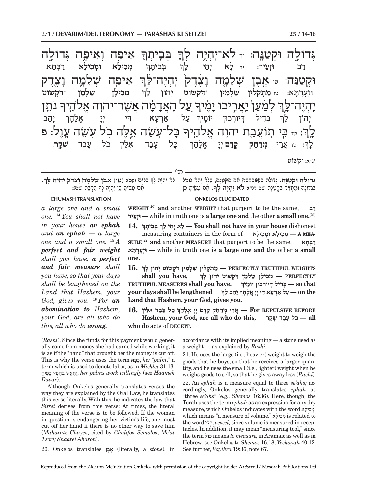ְ אֵיפְה וְאֵיפֶה גְּדוֹלֶה .<br>-<br>1 <mark>ֶ</mark> בְּבִיתְךָ .<br>ค לה וּקטנּה: ּה לֹא־יהיה ֿ אַיפָ<mark>ּ</mark>ָה שָׁלֵמֶה ו<mark>ָ</mark> צ1ֶ דק ֿוּקְטַנֵּה: <sub>ײ</sub> אֶבֶן שָׁלֵמֶה וָצֶ יֶצֶדֶק יְהְיֶה־*ל*ָ ה־לָן .<br>-<br>1 ֹ נתן .<br>-<br>1 **ַעַל הָאֲדָנָ** ֧֧֝֓<u>֚֓</u>֓׆ׇ֧֧ׅ֧֧ׅ֧֧֧֧֧ׅ֧֧ׅ֧ׅ֧ׅ֧֧֚֚֜֬֘֘֜֜֓֜֜֜֜֜֓֜֜֓֜֜֓֜֜֓֜ ָ־מָה אֲשֶׁר־יהוָה אֱלֹהֻיךִ<del>ּ</del> י <mark>לְמַעַן</mark> יַ<mark>אֲר</mark>ִיכוּ יָ ָׂיָמִיך י יְהָיָה־ל<u>ָי</u>ךְ יה כֿ ֿ ל־ע ֵשׂה אֶg לּ ֖ ֹ ה כּ ֥ ֹ ל ע ֵשׂה ע7ֶ ול: **פ** ּ $\mathbb{F}_{\mathbf{F}}$  יש כֵּי תוֹעֲבֵת יהוָה אֱלֹהֶיך לֲנ ְ **ְמ ִכיל ְ א וּמ ִכיל א** ר ְ בּת- א ְ ְבֵּבית- ך רַב וּזְעֵיר: יד *כָ*א יְ יהי ך ְ **ְמ ִכילן שׁ ְ למ ן** \***ִדּ ְקשׁוֹט** ְוּזֶעְרתּ- א: טו **מ ְ ת ְק ִלין שׁ ְ ל ִמין** \***ִדּ ְקשׁוֹט** ְיהוֹן ל- ך ְ י-יהב ֿ עַל אַרְעָא <mark>ּ</mark>  $\zeta$   $\zeta$   $\zeta$   $\zeta$  אל- ה- ך ֿ בְּדִיל דְיוֹרְכוּן יוֹמָ יך ְיהוֹן ל- ך כּל עבד נְבֵד אִלֵּין כֹּל עָנִ בד **ְשׁק ר**: ְ : טז ֲאֵרי **ְמר** .<br>רחק *י* ק<u>דם יי</u> אל- ה- ך ל- ך \*נ"א: ְ וּקשׁוֹט

רש"י

**ְ**ָוּם נשִם: (שו) אֶבֶן שְׁדֵבְּה וָצֶדֶ.<br>אָם עשׂית כּו יהיה לדּ הרבּה ושם):

**CHUMASH TRANSLATION ONKELOS ELUCIDATED** 

**גִּדוֹלֹה וּקטַנֵּה. גִּדוֹלִה כִּשׁמִכְתְּשׁת את הִקְטְנֶה, שַׁלֹּח יהָא נוֹטְל ָ**בְּגְדוֹלָה וּמַחְזִיר בְּקְטַנָּה ושם רנד)**: לא יִהְיֶה לְךָ.** אִם עָשִׂיתָ כֵּן גְּדוֹ<mark>לָה וּקְטַנָּה.</mark> גְּדוֹלָה כְּשֶׁמַּכְחֶשֶׁת חֶת הַקְטַנָּה, שֶׁלֹא יְהֵא נוֹטֵל – לֹא יִהְיֶה לְךָ כְּלוּם ושם): (**טו**) **אֶבֶץ שְׁלֵמָה וָצֶדֶק יִהְיֶה לְ**ךָ.<br>בּגדוֹלה וּמחזיר בּקטנה ושם רנד): **לא יהיה ל**ך. אם עשי

*a large one and a small one.* <sup>14</sup> *You shall not have in your house an ephah and an ephah — a large one and a small one.* <sup>15</sup> *A perfect and fair weight shall you have, a perfect and fair measure shall you have, so that your days shall be lengthened on the Land that Hashem, your God, gives you.* <sup>16</sup> *For an abomination to Hashem, your God, are all who do this, all who do wrong.*

**WEIGHT**[20] **and** another **WEIGHT** that purport to be the same, **רב עירֵוּזְ —** while in truth one is **a large one and** the other **a small one.**[21]

**14. ְ ְ בֵּב ָיתך לך י ָ הֵי אְ לָ — You shall not have in your house** dishonest **ְ**measuring containers in the form of **ילאָ כִ וּמ א ְ ילָ כִ מְ — A MEA-SURE**[22] **and** another **MEASURE** that purport to be the same, **תאָבְּ ר תּאָרְעֶוּזְ —** while in truth one is **a large one and** the other **a small one.**

- **15. ְ WEIGHTS TRUTHFUL PERFECTLY — מ ְת ְק ִל ין שׁ ְל ִמ ִ ין דּ ְק ְ שׁוֹט י ָ הוֹן לך shall you have, ְ PERFECTLY — ְמ ִכ ָיל ן שׁ ְלָמ ִ ן דּ ְק ְ שׁוֹט י ָ הוֹן לך TRUTHFUL MEASURES shall you have, ְ that so — ְבִּד ְ יל דּ ְיוֹר ָ כוּן יוֹמיך your days shall be lengthened ְ ְ ָ יֵה ָב לך the on — ע ל אְרָע ִא דּ ְי יָי ֱ אָל ָהך Land that Hashem, your God, gives you.**
- **ְ ָ כּ ָ ל עֵב ִ ד אֵלּין 16. BEFORE REPULSIVE For — ֲאֵר ְ י מרח ֳק קָד ְם יָי ֱ אָל ָהך Hashem, your God, are all who do this, קרָשׁ ד ְ בֵע לָ כֹּ — all**  who do acts of **DECEIT**.

(*Rashi*). Since the funds for this payment would generally come from money she had earned while working, it is as if the "hand" that brought her the money is cut off. This is why the verse uses the term פּהּכּ, *her "palm*,*"* a term which is used to denote labor, as in *Mishlei* 31:13:  *Haamek* see (*willingly work palms her* ,ותּע ְשׂ בֵּחֶפ ץ כֶּפּ יה *Davar*).

Although Onkelos generally translates verses the way they are explained by the Oral Law, he translates this verse literally. With this, he indicates the law that *Sifrei* derives from this verse: At times, the literal meaning of the verse is to be followed. If the woman in question is endangering her victim's life, one must cut off her hand if there is no other way to save him (*Maharatz Chayes*, cited by *Chalifos Semalos*; *Me'at Tzori; Shaarei Aharon*).

20. Onkelos translates בןֶאֶ) literally, a *stone*), in

accordance with its implied meaning — a stone used as a weight — as explained by *Rashi.*

21. He uses the large (i.e., heavier) weight to weigh the goods that he buys, so that he receives a larger quantity, and he uses the small (i.e., lighter) weight when he weighs goods to sell, so that he gives away less (*Rashi*). 22. An *ephah* is a measure equal to three *se'ahs;* accordingly, Onkelos generally translates *ephah* as "three *se'ahs*" (e.g., *Shemos* 16:36). Here, though, the Torah uses the term *ephah* as an expression for any dry measure, which Onkelos indicates with the word יפילא, which means "a measure of volume." ילא כִ מְ is related to the word ליִ כְּ , *vessel,* since volume is measured in receptacles. In addition, it may mean "measuring tool," since the term כול means *to measure,* in Aramaic as well as in Hebrew; see Onkelos to *Shemos* 16:18; *Yeshayah* 40:12. See further, *Vayikra* 19:36, note 67.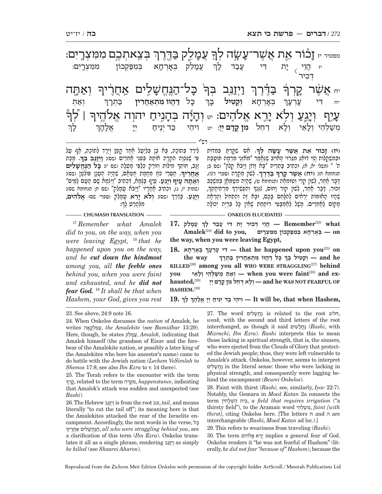**ָ .** ִא ִ ם שׁקְּ רָתּ ְ בִּמדּוֹת **(יז) ז ֵ כוֹר א ֲ ת א ֶשׁר ע שׂ ְ ה לך ְ**וּבְמִשְׁקָלוֹת <u>הֵוֵ</u>י דוֹאֵג מִגְּרוּי הָאוֹיֵב שֶׁנֶּאֱמַר "מֹאוֹזְיֵ מִרְמָה תּוֹטֲבַת<br>ה' " (משלי יא, א), וּכתיב בּתריהּ "בּא זדוֹן וּיבֹא קלוֹן" (שִם בּ; יַ *תנחר יון יון דְּעִיכ כַּעְרֵיט בָּיו*<br>תנחומת ח): (**יח) אשר קרך בדרר ָ** $\zeta$ יֹרֶד בְּתוֹכָהּ, בָּא בֵן בְּלִיַּטֲל חֵסְד קַפָּץ וְיָרַד לְתוֹכָהּ, אֲף עַל ְְ, יִהְ זוֹתַךְ מִילוֹת וְזוֹרֵק כְּלֵפֵי מִעְלָה וִשִׁי יִבְּל הַ**בְּחֲשֶׁלִים**<br>אחריה, קסרי כח מחמת חטאס, שהיה הענו פּוֹלְטוּ (שס):  **נֱּחשׁ ִ לים** ִפּ ֶ י שִׁנּ ְכָו ִה הְקָר ָ ה אוֹת ִ הּ בְּפֵנ ֲ י אֵחִרים (שם): **וְ יזֵ נּ ְ ב בּך ָאֲ חֶריך** רש"י ִ בְ<mark>יֵאתְכֶם מִמִּצְרָיִם:</mark> גִּשָׂה לְךָּ עֲמָלֵק בַּדֶּרֶךְ מפטיר יז ז -וֹר את אשו .<br>-<br>1 יִא<sub>ַ</sub>הָה  $\mathbf{\Xi}$ דנח ּזֲלִים אֲדֲוָרִיךָ .<br>ล. וינב ֶ בַּדֶ<u>ּ</u>רֶך .<br>คิ יי א<del>ַ</del> $\phi$ ת קלך  $\mathbf{h}^{\parallel}$ .<br>-<br>|-ּעֲיֵף וְיָגֵעַ וְלָא יָרֶא אֱלֹהִים: 。 וְהָיָ֫ה בְּהָנִיחַ יהוְה אֱלֹהֶיךָּ | לְךְ ְנֻי**ֶ**ח וְיַ יְג<u>ֵע</u> וְלִא יְ יָרֶא אֱלֹהֶים: 。 יִדְיָיה בְּהָ ַנְנִיחַ יהוְה אֱלֹהֶיךִּ ְ ֲעמֵ -ֿיִנלַק בְּאָרְחָא ב בִּמִפַּקָכוּן מִמִצְרֵיִם: יָת ת דִי <u>עֲב</u>ַד *ל*ָ ך יז $\overline{\langle}$  ְד ִכיר יִת כל ל **דֲּ הווֹ ִמ ְתאֲ חִרין** בּ ְ תר- ך ְ ְבּא- $K\Box$  א **ְוק ִ טּיל** בּ-⊑ְך יח **דִי** עָ יָנְ ך ׇׅ֧֧֧֦֧֢ׅ֖֖֧֓֝֬֓֓֓֓֓֓<u>֓</u> .<br>י ך מְשַׁלְהֵי וְלָ ְאֵי וְלָא וְ א ד ֵחל **ִמן ֳקד ם ְיָי**: יט ִו ֵיהי כּ ְ ד ינ" יח ְ יי ֱ -אל: ה-ך

ָ

<u> הַעֲרָי הַ הְּהָיֹר עֵיף בְּג</u>ְמָת, דְּכִתִיב "וִיּצְמִת ּם הָעַם לְמִיּם" (שמות יז, ג), וּכְתִיב אֲחֲרֵיו "וַיִּבֹּת עֲמָלֶק" (שם ח; תנחומת שם): ְ (שם): **ְולֹא יֵ רא** ֲעָמֵלק (ספרי שם) **ֱאלֹ ִהים**, **ְויֵגַע.** בֶּ דֵּרך ּ יְרֵא עֲמָיֵ<br>מלּהרט לד:

דָּבָר אַתֵּר, לְשׁוֹן קֵרִי וְטוּמְחָה (תנחומא ט), שֶׁהָיָה מְטַמְּחָן בְּמִשְׁכַּב ׅׅ֧֚֚֚֚֚֚֚֚֚֚֚֚֚֚֚֚֡֡֜֓֡֟֡֡֓֡֟֓֡֟֓֡֟֓֡֡֬ ֵ מְרִת ָיחֶתך ְ ו ִהְפִשׁ ְירך ָשֶׁהָיוּ הָאוּמוֹת יְרֵאִים לְהִלָּחֵם בָּכֶם, וּבָא זֶה וְהִתְתִיל וְהֶרְאָה<br>מַקוֹם לַאֲחֵרִים. מֵשָׁל לְאַמִבֻּמִּי רוֹתַחַת שָׁאֵין כַּל בִּרְיָה יְכוֹלָה

#### **CHUMASH TRANSLATION ONKELOS ELUCIDATED**

<sup>17</sup> *Remember what Amalek did to you, on the way, when you were leaving Egypt,* <sup>18</sup> *that he happened upon you on the way, and he cut down the hindmost among you, all the feeble ones behind you, when you were faint and exhausted, and he did not fear God.* <sup>19</sup> *It shall be that when Hashem, your God, gives you rest* 

**ְ ֲ עָמֵלק 17. what**]23[**Remember — ֲהֵו ְ י ד ִכ ָ יר י ִ ת דּ ֲ י עב ָ ד לך on — ְבָּאְר ָח ְא בּ ִמפּ ְק ִ כוֹן מ ִמּ ְצָרִים ,you to did**]24[**Amalek the way, when you were leaving Egypt,**

**ְ ְ בָּאְר ָחא 18. עךָרְע י ָ דִּ — that he happened upon you**[25] **on the way ְ ְ ָ כּ ל דֲּה ִ ווֹ מ ְתאֲחִר ין בּ ְתָרך he and — ְוק ִטּ ָ יל בּך KILLED**[26] **among you all WHO WERE STRAGGLING**[27] **behind**   $\mathbf{p}$  **p i ?**) — when you were faint<sup>[28]</sup> and exhausted,<sup>[29]</sup> — **?**<br>**p** – יִלָּא דְחֵל מִן קֵדָם יִיִ **ex and**]28[**faint were you when — ְוא ְתּ ְ מ שׁ ְלֵה ְ י ו ָלֵאי you HASHEM.** [30]

**19. <b>} (** $\mathbf{r}$  יִוּהֵי כִּד יִנִּיחַ יִיִּ אֵלְהָךְּ לִךְ $\mathbf{r}$  that when Hashem, **ְ**

27. The word ליםִ שׁ חֱנֶ is related to the root חלש, *weak,* with the second and third letters of the root interchanged, as though it said שׁיםִ לחֱנֶ) *Rashi*, with *Mizrachi*; *Ibn Ezra*). *Rashi* interprets this to mean those lacking in spiritual strength, that is, the sinners, who were ejected from the Clouds of Glory that protected the Jewish people; thus, they were left vulnerable to Amalek's attack. Onkelos, however, seems to interpret ליםִ שׁ חֱנֶ in the literal sense: those who were lacking in physical strength, and consequently were lagging behind the encampment (*Beurei Onkelos*).

28. Faint with thirst (*Rashi*; see, similarly, *Iyov* 22:7). Notably, the Gemara in *Moed Katan* 2a connects the term חיןִ לשְּׁ ה ית בֵּ, *a field that requires irrigation* ("a thirsty field"), to the Aramaic word היֵלְ שׁ מְ , *faint [with thirst]*, citing Onkelos here. [The letters ח and ה are interchangeable (*Rashi, Moed Katan* ad loc.).]

29. This refers to weariness from traveling (*Rashi*).

30. The term היםִ ֹאל אֱ רֵי implies a general fear of God. Onkelos renders it "he was not fearful of Hashem" (literally, *he did not fear "because of" Hashem*), because the

<sup>23.</sup> See above, 24:9 note 16.

<sup>24.</sup> When Onkelos discusses the *nation* of Amalek, he .(13:29 *Bamidbar* see (*Amalekite the* ֲ,עמ ְלקאה writes Here, though, he states לקֵמעֲ, *Amalek,* indicating that Amalek himself (the grandson of Eisav and the forebear of the Amalekite nation, or possibly a later king of the Amalekites who bore his ancestor's name) came to do battle with the Jewish nation (*Lechem VeSimlah* to *Shemos* 17:8; see also *Ibn Ezra* to v. 14 there).

<sup>25.</sup> The Torah refers to the encounter with the term ׇ֚֚֡֬ רךְק, related to the term רהֶקְמִ , *happenstance*, indicating that Amalek's attack was sudden and unexpected (see *Rashi*).

<sup>26.</sup> The Hebrew נּבֵזיְו is from the root זנב, *tail*, and means literally "to cut the tail off"; its meaning here is that the Amalekites attacked the rear of the Israelite encampment. Accordingly, the next words in the verse, כּל הַנֶּחֲשָׁלִים אֲחֲרִיךּ, all who were straggling behind you, are a clarification of this term (*Ibn Ezra*). Onkelos translates it all as a single phrase, rendering נּבֵזיְו as simply *he killed* (see *Shaarei Aharon*).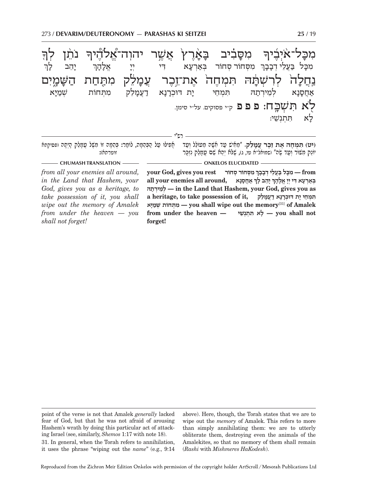

**CHUMASH TRANSLATION ONKELOS ELUCIDATED** 

*from all your enemies all around, in the Land that Hashem, your God, gives you as a heritage, to take possession of it, you shall wipe out the memory of Amalek from under the heaven — you shall not forget!* 

 $\boldsymbol{\phi}$  **your God, gives you rest from — ִמָכּ ל בֲּעֵל ְי דָבָבך all your enemies all around, נאָסָחֲא ְ ָ יֵה ָב לך ְ בּאְרָע ִא דּ ְי יָי ֱ אָלָהך ְתהּירְ מֵלְ — in the Land that Hashem, your God, gives you as ִ תּ ְמֵח ָ י י ְ ת דּוּכָרָנ א דֲעָמֵלק ,it of possession take to ,heritage a יּאָמשׁ חוֹת ְ תְּ מִ — you shall wipe out the memory**[31] **of Amalek from under the heaven — שׁיֵנְתְ תּ אִ לָ — you shall not forget!**

point of the verse is not that Amalek *generally* lacked fear of God, but that he was not afraid of arousing Hashem's wrath by doing this particular act of attacking Israel (see, similarly, *Shemos* 1:17 with note 18).

above). Here, though, the Torah states that we are to wipe out the *memory* of Amalek. This refers to more than simply annihilating them: we are to utterly obliterate them, destroying even the animals of the Amalekites, so that no memory of them shall remain (*Rashi* with *Mishmeres HaKodesh*).

31. In general, when the Torah refers to annihilation, it uses the phrase "wiping out the *name*" (e.g., 9:14

Reproduced from the Zichron Meir Edition Onkelos with permission of the copyright holder ArtScroll / Mesorah Publications Ltd